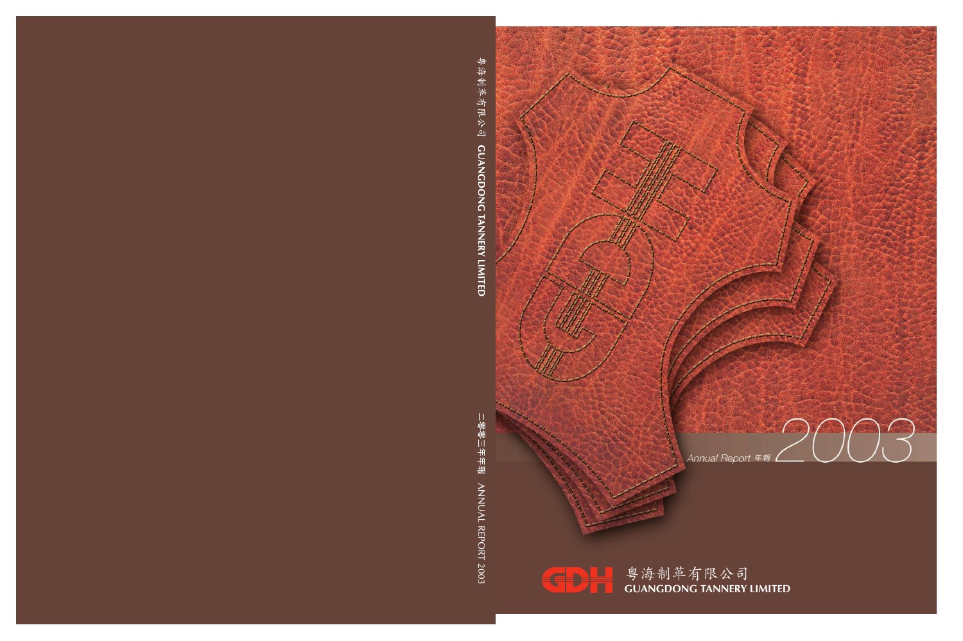



**GUANGDONG TANNERY LIMITED** 粵海制革有限公司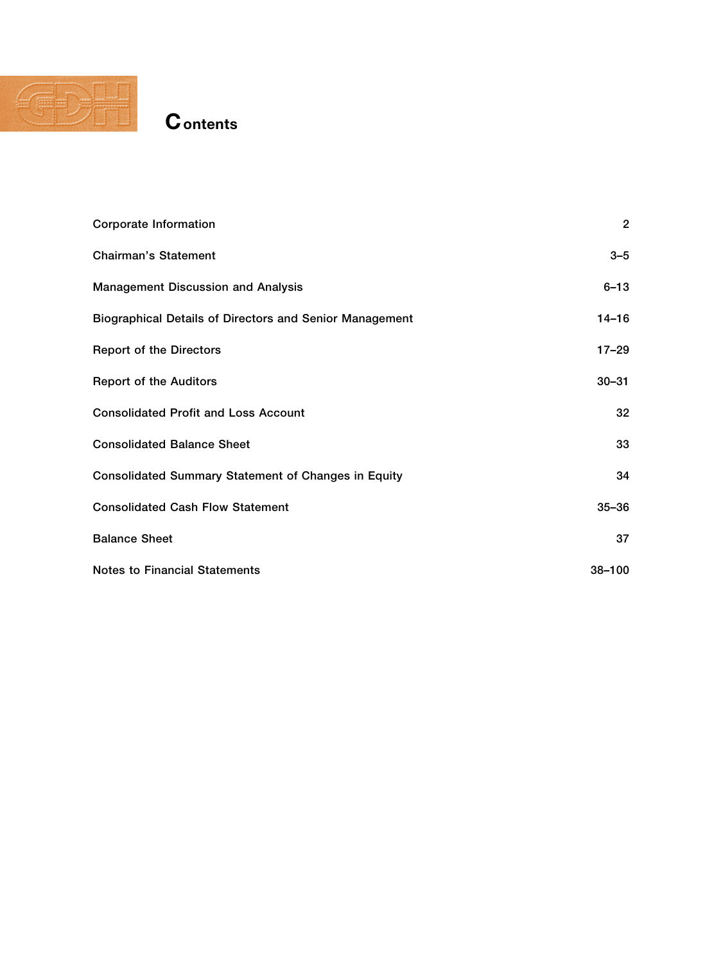

# Contents

| <b>Corporate Information</b>                                   | $\overline{2}$ |
|----------------------------------------------------------------|----------------|
| <b>Chairman's Statement</b>                                    | $3 - 5$        |
| <b>Management Discussion and Analysis</b>                      | $6 - 13$       |
| <b>Biographical Details of Directors and Senior Management</b> | $14 - 16$      |
| <b>Report of the Directors</b>                                 | $17 - 29$      |
| <b>Report of the Auditors</b>                                  | $30 - 31$      |
| <b>Consolidated Profit and Loss Account</b>                    | 32             |
| <b>Consolidated Balance Sheet</b>                              | 33             |
| <b>Consolidated Summary Statement of Changes in Equity</b>     | 34             |
| <b>Consolidated Cash Flow Statement</b>                        | $35 - 36$      |
| <b>Balance Sheet</b>                                           | 37             |
| <b>Notes to Financial Statements</b>                           | $38 - 100$     |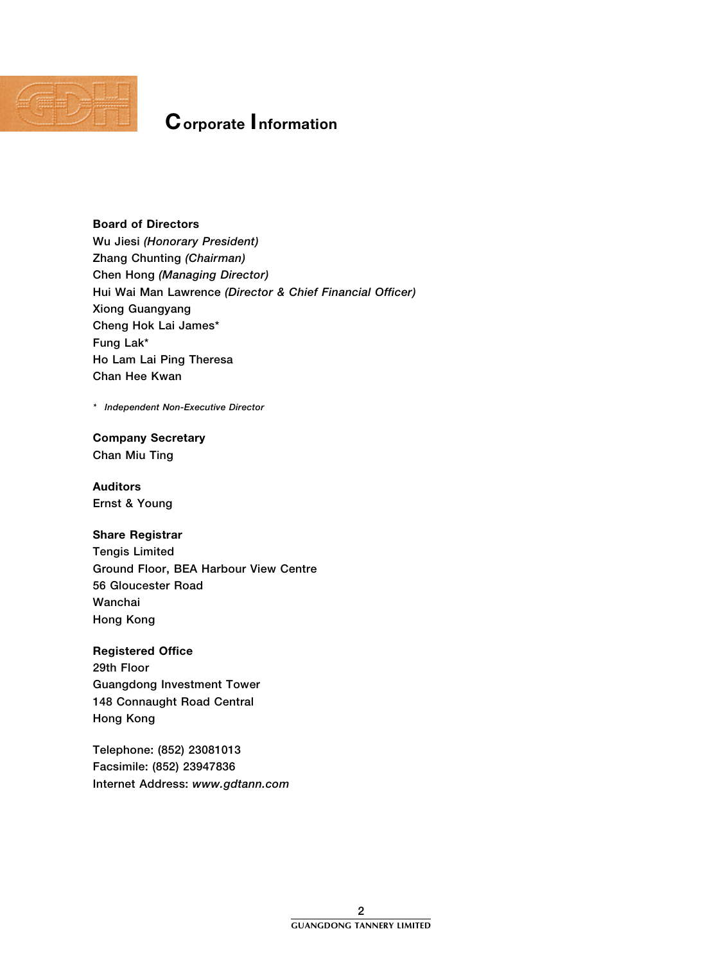

## Corporate Information

#### Board of Directors

Wu Jiesi (Honorary President) Zhang Chunting (Chairman) Chen Hong (Managing Director) Hui Wai Man Lawrence (Director & Chief Financial Officer) Xiong Guangyang Cheng Hok Lai James\* Fung Lak\* Ho Lam Lai Ping Theresa Chan Hee Kwan

\* Independent Non-Executive Director

# Company Secretary

Chan Miu Ting

Auditors Ernst & Young

#### Share Registrar

Tengis Limited Ground Floor, BEA Harbour View Centre 56 Gloucester Road Wanchai Hong Kong

#### Registered Office

29th Floor Guangdong Investment Tower 148 Connaught Road Central Hong Kong

Telephone: (852) 23081013 Facsimile: (852) 23947836 Internet Address: www.gdtann.com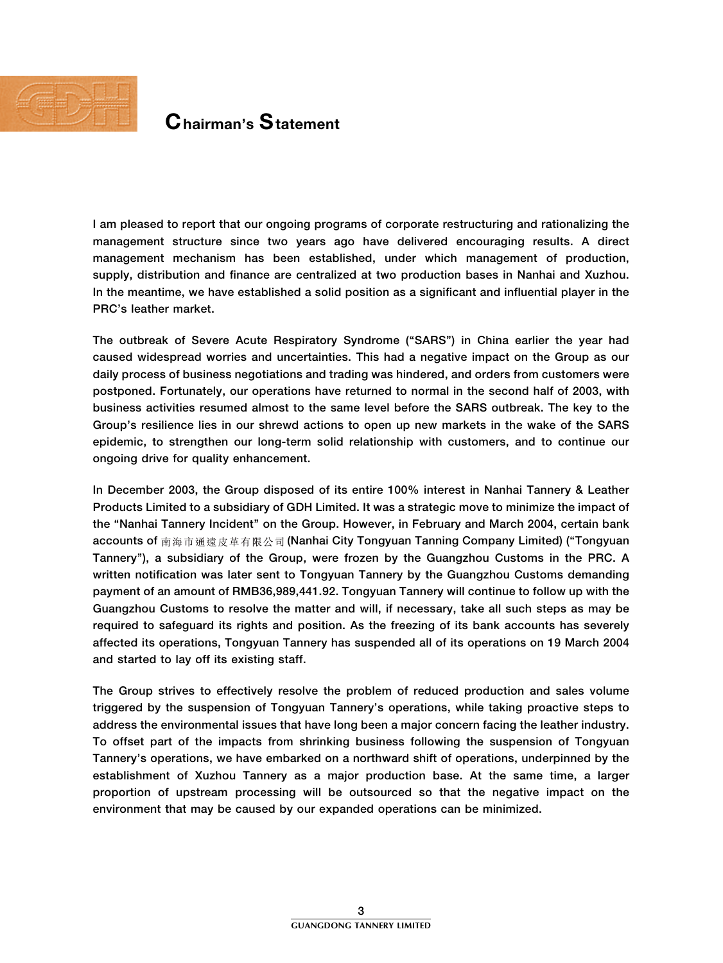

## Chairman's Statement

I am pleased to report that our ongoing programs of corporate restructuring and rationalizing the management structure since two years ago have delivered encouraging results. A direct management mechanism has been established, under which management of production, supply, distribution and finance are centralized at two production bases in Nanhai and Xuzhou. In the meantime, we have established a solid position as a significant and influential player in the PRC's leather market.

The outbreak of Severe Acute Respiratory Syndrome ("SARS") in China earlier the year had caused widespread worries and uncertainties. This had a negative impact on the Group as our daily process of business negotiations and trading was hindered, and orders from customers were postponed. Fortunately, our operations have returned to normal in the second half of 2003, with business activities resumed almost to the same level before the SARS outbreak. The key to the Group's resilience lies in our shrewd actions to open up new markets in the wake of the SARS epidemic, to strengthen our long-term solid relationship with customers, and to continue our ongoing drive for quality enhancement.

In December 2003, the Group disposed of its entire 100% interest in Nanhai Tannery & Leather Products Limited to a subsidiary of GDH Limited. It was a strategic move to minimize the impact of the ''Nanhai Tannery Incident'' on the Group. However, in February and March 2004, certain bank accounts of 南海市通遠皮革有限公司 (Nanhai City Tongyuan Tanning Company Limited) ("Tongyuan Tannery''), a subsidiary of the Group, were frozen by the Guangzhou Customs in the PRC. A written notification was later sent to Tongyuan Tannery by the Guangzhou Customs demanding payment of an amount of RMB36,989,441.92. Tongyuan Tannery will continue to follow up with the Guangzhou Customs to resolve the matter and will, if necessary, take all such steps as may be required to safeguard its rights and position. As the freezing of its bank accounts has severely affected its operations, Tongyuan Tannery has suspended all of its operations on 19 March 2004 and started to lay off its existing staff.

The Group strives to effectively resolve the problem of reduced production and sales volume triggered by the suspension of Tongyuan Tannery's operations, while taking proactive steps to address the environmental issues that have long been a major concern facing the leather industry. To offset part of the impacts from shrinking business following the suspension of Tongyuan Tannery's operations, we have embarked on a northward shift of operations, underpinned by the establishment of Xuzhou Tannery as a major production base. At the same time, a larger proportion of upstream processing will be outsourced so that the negative impact on the environment that may be caused by our expanded operations can be minimized.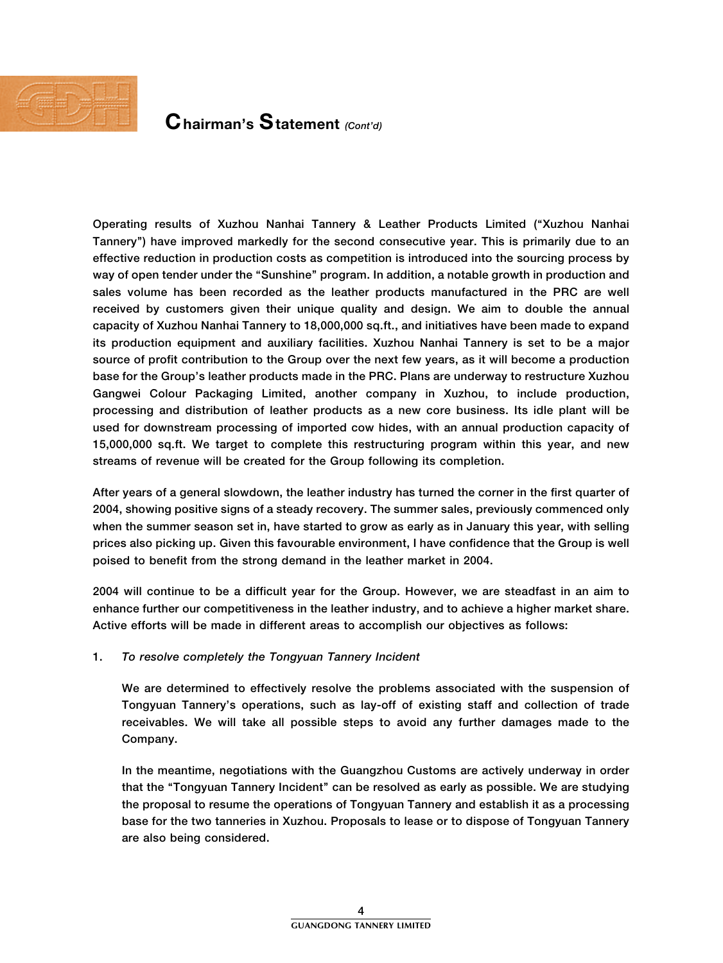

## $C$ hairman's  $S$ tatement (Cont'd)

Operating results of Xuzhou Nanhai Tannery & Leather Products Limited (''Xuzhou Nanhai Tannery'') have improved markedly for the second consecutive year. This is primarily due to an effective reduction in production costs as competition is introduced into the sourcing process by way of open tender under the "Sunshine" program. In addition, a notable growth in production and sales volume has been recorded as the leather products manufactured in the PRC are well received by customers given their unique quality and design. We aim to double the annual capacity of Xuzhou Nanhai Tannery to 18,000,000 sq.ft., and initiatives have been made to expand its production equipment and auxiliary facilities. Xuzhou Nanhai Tannery is set to be a major source of profit contribution to the Group over the next few years, as it will become a production base for the Group's leather products made in the PRC. Plans are underway to restructure Xuzhou Gangwei Colour Packaging Limited, another company in Xuzhou, to include production, processing and distribution of leather products as a new core business. Its idle plant will be used for downstream processing of imported cow hides, with an annual production capacity of 15,000,000 sq.ft. We target to complete this restructuring program within this year, and new streams of revenue will be created for the Group following its completion.

After years of a general slowdown, the leather industry has turned the corner in the first quarter of 2004, showing positive signs of a steady recovery. The summer sales, previously commenced only when the summer season set in, have started to grow as early as in January this year, with selling prices also picking up. Given this favourable environment, I have confidence that the Group is well poised to benefit from the strong demand in the leather market in 2004.

2004 will continue to be a difficult year for the Group. However, we are steadfast in an aim to enhance further our competitiveness in the leather industry, and to achieve a higher market share. Active efforts will be made in different areas to accomplish our objectives as follows:

#### 1. To resolve completely the Tongyuan Tannery Incident

We are determined to effectively resolve the problems associated with the suspension of Tongyuan Tannery's operations, such as lay-off of existing staff and collection of trade receivables. We will take all possible steps to avoid any further damages made to the Company.

In the meantime, negotiations with the Guangzhou Customs are actively underway in order that the ''Tongyuan Tannery Incident'' can be resolved as early as possible. We are studying the proposal to resume the operations of Tongyuan Tannery and establish it as a processing base for the two tanneries in Xuzhou. Proposals to lease or to dispose of Tongyuan Tannery are also being considered.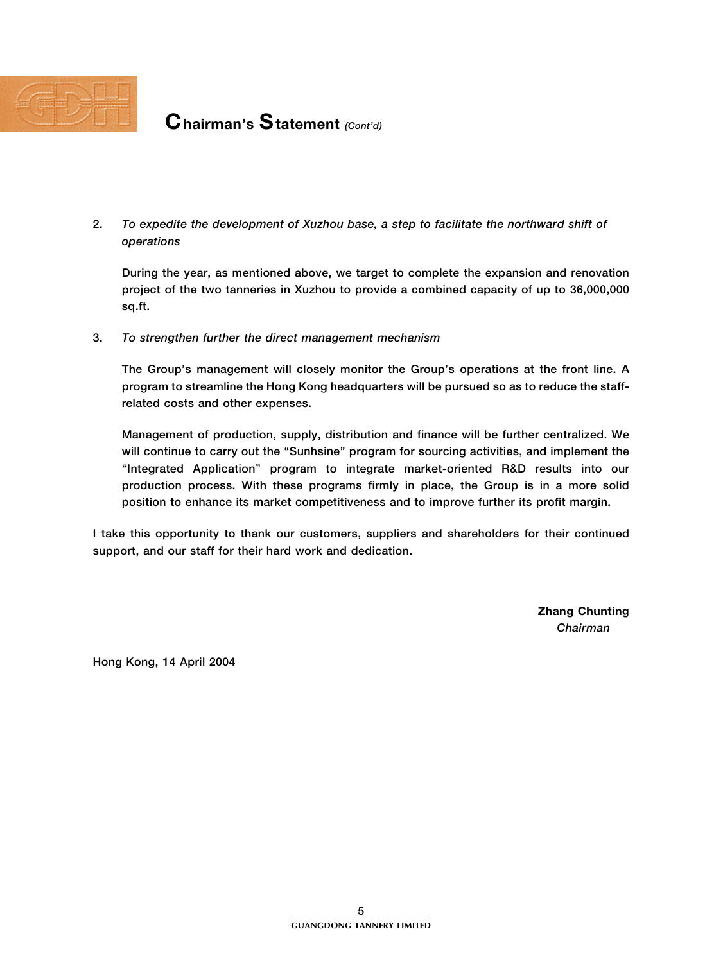

### **hairman's**  $**S**$  **tatement**  $\text{C}$ **<sub>Cont'd</sub>**

2. To expedite the development of Xuzhou base, a step to facilitate the northward shift of operations

During the year, as mentioned above, we target to complete the expansion and renovation project of the two tanneries in Xuzhou to provide a combined capacity of up to 36,000,000 sq.ft.

3. To strengthen further the direct management mechanism

The Group's management will closely monitor the Group's operations at the front line. A program to streamline the Hong Kong headquarters will be pursued so as to reduce the staffrelated costs and other expenses.

Management of production, supply, distribution and finance will be further centralized. We will continue to carry out the "Sunhsine" program for sourcing activities, and implement the ''Integrated Application'' program to integrate market-oriented R&D results into our production process. With these programs firmly in place, the Group is in a more solid position to enhance its market competitiveness and to improve further its profit margin.

I take this opportunity to thank our customers, suppliers and shareholders for their continued support, and our staff for their hard work and dedication.

> Zhang Chunting Chairman

Hong Kong, 14 April 2004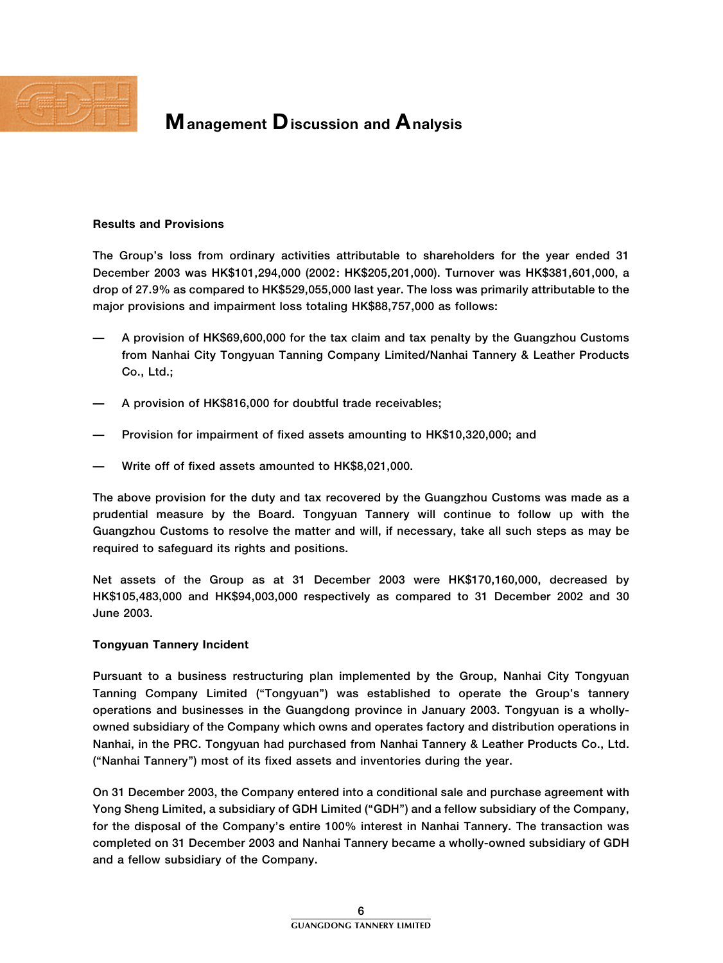

## **M** anagement **D** iscussion and **A**nalysis

#### Results and Provisions

The Group's loss from ordinary activities attributable to shareholders for the year ended 31 December 2003 was HK\$101,294,000 (2002: HK\$205,201,000). Turnover was HK\$381,601,000, a drop of 27.9% as compared to HK\$529,055,000 last year. The loss was primarily attributable to the major provisions and impairment loss totaling HK\$88,757,000 as follows:

- A provision of HK\$69,600,000 for the tax claim and tax penalty by the Guangzhou Customs from Nanhai City Tongyuan Tanning Company Limited/Nanhai Tannery & Leather Products Co., Ltd.;
- A provision of HK\$816,000 for doubtful trade receivables;
- Provision for impairment of fixed assets amounting to HK\$10,320,000; and
- Write off of fixed assets amounted to HK\$8,021,000.

The above provision for the duty and tax recovered by the Guangzhou Customs was made as a prudential measure by the Board. Tongyuan Tannery will continue to follow up with the Guangzhou Customs to resolve the matter and will, if necessary, take all such steps as may be required to safeguard its rights and positions.

Net assets of the Group as at 31 December 2003 were HK\$170,160,000, decreased by HK\$105,483,000 and HK\$94,003,000 respectively as compared to 31 December 2002 and 30 June 2003.

#### Tongyuan Tannery Incident

Pursuant to a business restructuring plan implemented by the Group, Nanhai City Tongyuan Tanning Company Limited (''Tongyuan'') was established to operate the Group's tannery operations and businesses in the Guangdong province in January 2003. Tongyuan is a whollyowned subsidiary of the Company which owns and operates factory and distribution operations in Nanhai, in the PRC. Tongyuan had purchased from Nanhai Tannery & Leather Products Co., Ltd. (''Nanhai Tannery'') most of its fixed assets and inventories during the year.

On 31 December 2003, the Company entered into a conditional sale and purchase agreement with Yong Sheng Limited, a subsidiary of GDH Limited (''GDH'') and a fellow subsidiary of the Company, for the disposal of the Company's entire 100% interest in Nanhai Tannery. The transaction was completed on 31 December 2003 and Nanhai Tannery became a wholly-owned subsidiary of GDH and a fellow subsidiary of the Company.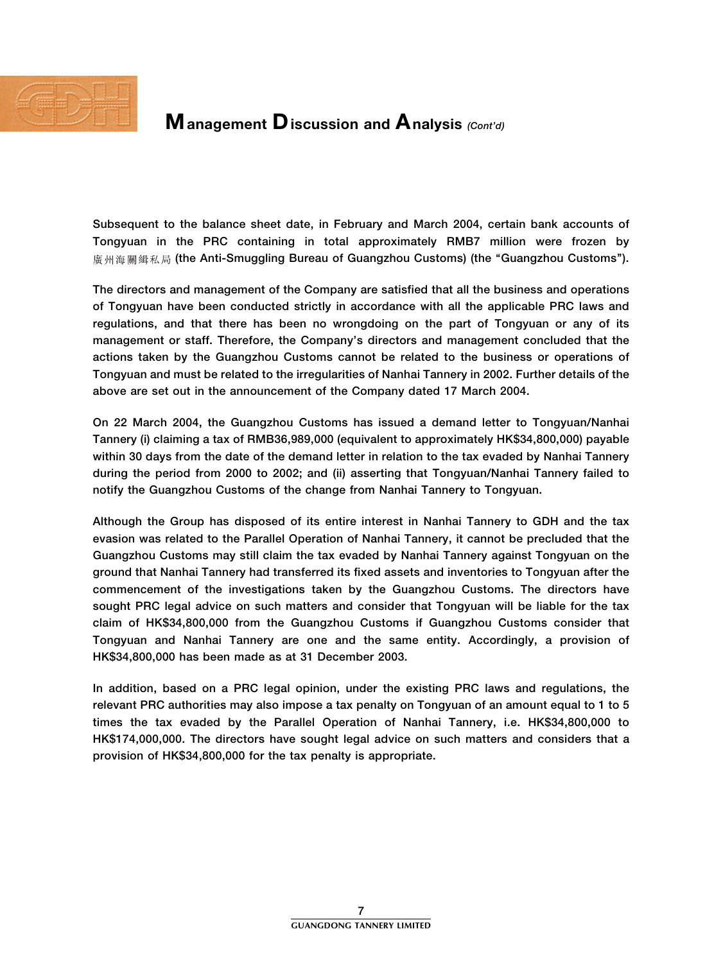

## **M** anagement **D** iscussion and **A**nalysis (Cont'd)

Subsequent to the balance sheet date, in February and March 2004, certain bank accounts of Tongyuan in the PRC containing in total approximately RMB7 million were frozen by 廣州海關緝私局 (the Anti-Smuggling Bureau of Guangzhou Customs) (the "Guangzhou Customs").

The directors and management of the Company are satisfied that all the business and operations of Tongyuan have been conducted strictly in accordance with all the applicable PRC laws and regulations, and that there has been no wrongdoing on the part of Tongyuan or any of its management or staff. Therefore, the Company's directors and management concluded that the actions taken by the Guangzhou Customs cannot be related to the business or operations of Tongyuan and must be related to the irregularities of Nanhai Tannery in 2002. Further details of the above are set out in the announcement of the Company dated 17 March 2004.

On 22 March 2004, the Guangzhou Customs has issued a demand letter to Tongyuan/Nanhai Tannery (i) claiming a tax of RMB36,989,000 (equivalent to approximately HK\$34,800,000) payable within 30 days from the date of the demand letter in relation to the tax evaded by Nanhai Tannery during the period from 2000 to 2002; and (ii) asserting that Tongyuan/Nanhai Tannery failed to notify the Guangzhou Customs of the change from Nanhai Tannery to Tongyuan.

Although the Group has disposed of its entire interest in Nanhai Tannery to GDH and the tax evasion was related to the Parallel Operation of Nanhai Tannery, it cannot be precluded that the Guangzhou Customs may still claim the tax evaded by Nanhai Tannery against Tongyuan on the ground that Nanhai Tannery had transferred its fixed assets and inventories to Tongyuan after the commencement of the investigations taken by the Guangzhou Customs. The directors have sought PRC legal advice on such matters and consider that Tongyuan will be liable for the tax claim of HK\$34,800,000 from the Guangzhou Customs if Guangzhou Customs consider that Tongyuan and Nanhai Tannery are one and the same entity. Accordingly, a provision of HK\$34,800,000 has been made as at 31 December 2003.

In addition, based on a PRC legal opinion, under the existing PRC laws and regulations, the relevant PRC authorities may also impose a tax penalty on Tongyuan of an amount equal to 1 to 5 times the tax evaded by the Parallel Operation of Nanhai Tannery, i.e. HK\$34,800,000 to HK\$174,000,000. The directors have sought legal advice on such matters and considers that a provision of HK\$34,800,000 for the tax penalty is appropriate.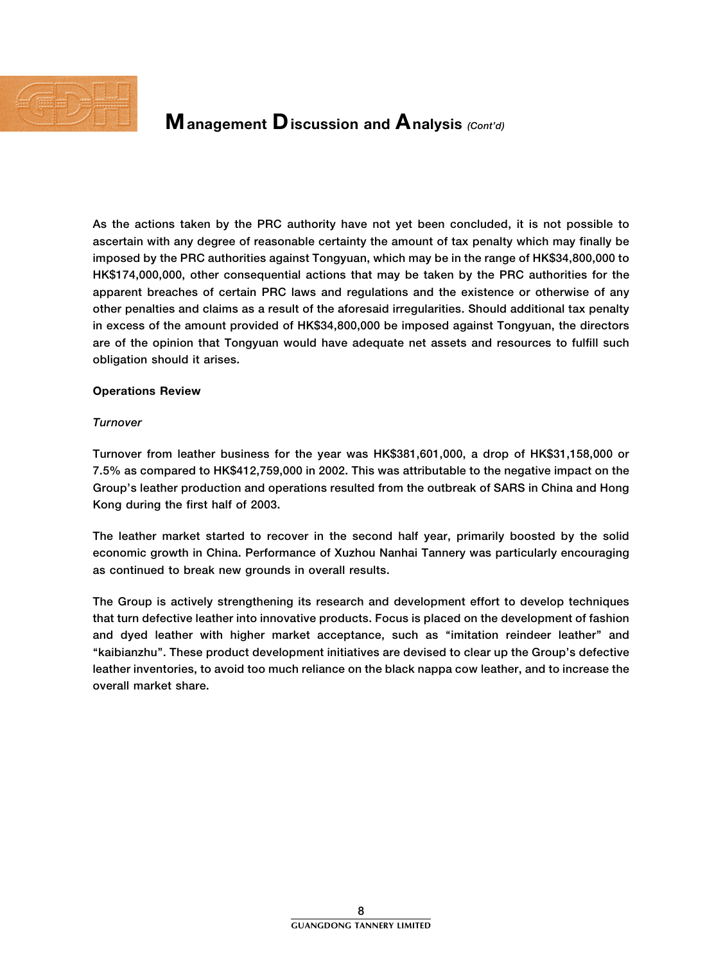

## **M** anagement  $\mathbf{D}$  iscussion and Analysis (Cont'd)

As the actions taken by the PRC authority have not yet been concluded, it is not possible to ascertain with any degree of reasonable certainty the amount of tax penalty which may finally be imposed by the PRC authorities against Tongyuan, which may be in the range of HK\$34,800,000 to HK\$174,000,000, other consequential actions that may be taken by the PRC authorities for the apparent breaches of certain PRC laws and regulations and the existence or otherwise of any other penalties and claims as a result of the aforesaid irregularities. Should additional tax penalty in excess of the amount provided of HK\$34,800,000 be imposed against Tongyuan, the directors are of the opinion that Tongyuan would have adequate net assets and resources to fulfill such obligation should it arises.

#### Operations Review

#### **Turnover**

Turnover from leather business for the year was HK\$381,601,000, a drop of HK\$31,158,000 or 7.5% as compared to HK\$412,759,000 in 2002. This was attributable to the negative impact on the Group's leather production and operations resulted from the outbreak of SARS in China and Hong Kong during the first half of 2003.

The leather market started to recover in the second half year, primarily boosted by the solid economic growth in China. Performance of Xuzhou Nanhai Tannery was particularly encouraging as continued to break new grounds in overall results.

The Group is actively strengthening its research and development effort to develop techniques that turn defective leather into innovative products. Focus is placed on the development of fashion and dyed leather with higher market acceptance, such as ''imitation reindeer leather'' and ''kaibianzhu''. These product development initiatives are devised to clear up the Group's defective leather inventories, to avoid too much reliance on the black nappa cow leather, and to increase the overall market share.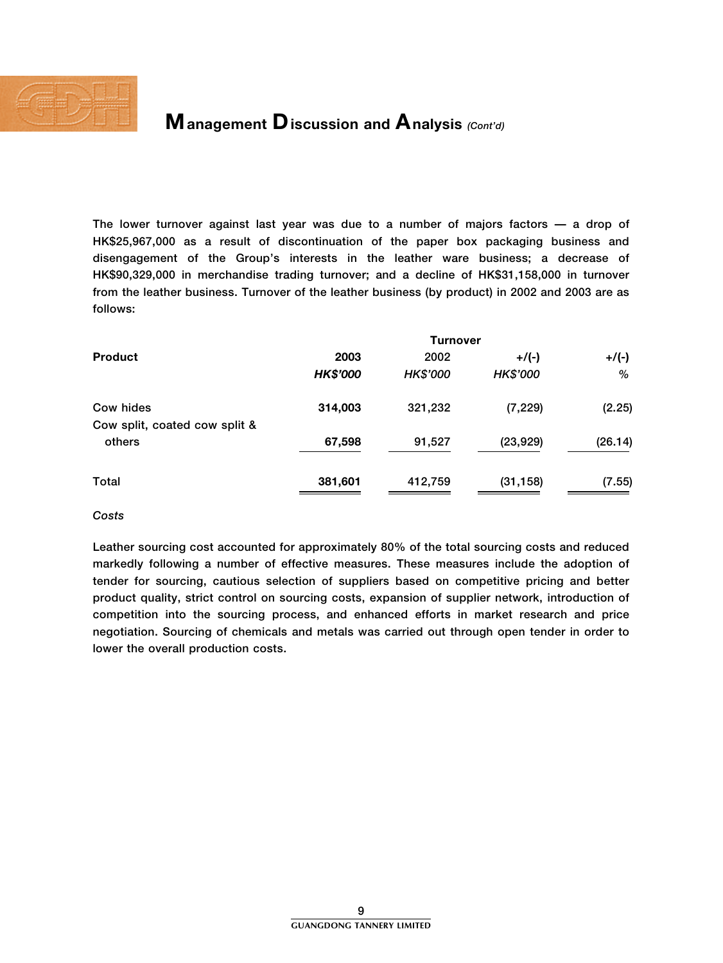

## **M** anagement  $\mathbf{D}$  iscussion and  $\mathbf{A}$  nalysis (Cont'd)

The lower turnover against last year was due to a number of majors factors — a drop of HK\$25,967,000 as a result of discontinuation of the paper box packaging business and disengagement of the Group's interests in the leather ware business; a decrease of HK\$90,329,000 in merchandise trading turnover; and a decline of HK\$31,158,000 in turnover from the leather business. Turnover of the leather business (by product) in 2002 and 2003 are as follows:

|                               |                 | <b>Turnover</b> |           |          |
|-------------------------------|-----------------|-----------------|-----------|----------|
| <b>Product</b>                | 2003            | 2002            | $+$ /(-)  | $+$ /(-) |
|                               | <b>HK\$'000</b> | HK\$'000        | HK\$'000  | %        |
| Cow hides                     | 314,003         | 321,232         | (7, 229)  | (2.25)   |
| Cow split, coated cow split & |                 |                 |           |          |
| others                        | 67,598          | 91,527          | (23, 929) | (26.14)  |
| Total                         | 381,601         | 412,759         | (31, 158) | (7.55)   |
|                               |                 |                 |           |          |

#### Costs

Leather sourcing cost accounted for approximately 80% of the total sourcing costs and reduced markedly following a number of effective measures. These measures include the adoption of tender for sourcing, cautious selection of suppliers based on competitive pricing and better product quality, strict control on sourcing costs, expansion of supplier network, introduction of competition into the sourcing process, and enhanced efforts in market research and price negotiation. Sourcing of chemicals and metals was carried out through open tender in order to lower the overall production costs.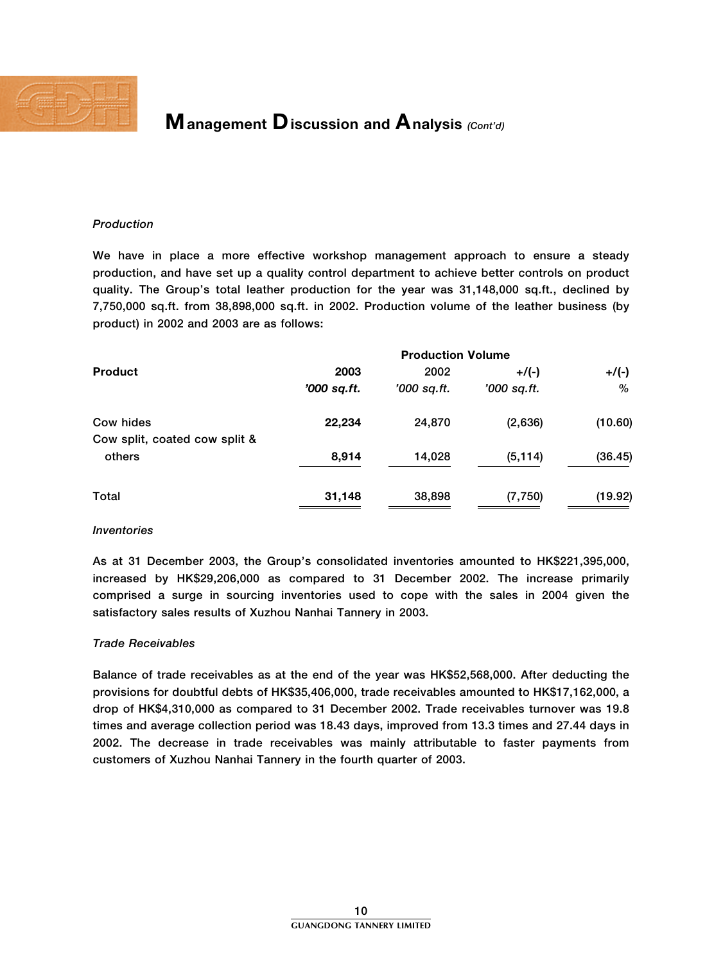

## **M** anagement  $\mathbf{D}$  iscussion and  $\mathbf{A}$  nalysis (Cont'd)

#### Production

We have in place a more effective workshop management approach to ensure a steady production, and have set up a quality control department to achieve better controls on product quality. The Group's total leather production for the year was 31,148,000 sq.ft., declined by 7,750,000 sq.ft. from 38,898,000 sq.ft. in 2002. Production volume of the leather business (by product) in 2002 and 2003 are as follows:

|                               | <b>Production Volume</b> |             |             |          |  |  |
|-------------------------------|--------------------------|-------------|-------------|----------|--|--|
| <b>Product</b>                | 2003                     | 2002        | $+$ /(-)    | $+$ /(-) |  |  |
|                               | '000 sq.ft.              | '000 sq.ft. | '000 sq.ft. | %        |  |  |
| Cow hides                     | 22,234                   | 24,870      | (2,636)     | (10.60)  |  |  |
| Cow split, coated cow split & |                          |             |             |          |  |  |
| others                        | 8,914                    | 14,028      | (5,114)     | (36.45)  |  |  |
| Total                         | 31,148                   | 38,898      | (7, 750)    | (19.92)  |  |  |

#### Inventories

As at 31 December 2003, the Group's consolidated inventories amounted to HK\$221,395,000, increased by HK\$29,206,000 as compared to 31 December 2002. The increase primarily comprised a surge in sourcing inventories used to cope with the sales in 2004 given the satisfactory sales results of Xuzhou Nanhai Tannery in 2003.

#### Trade Receivables

Balance of trade receivables as at the end of the year was HK\$52,568,000. After deducting the provisions for doubtful debts of HK\$35,406,000, trade receivables amounted to HK\$17,162,000, a drop of HK\$4,310,000 as compared to 31 December 2002. Trade receivables turnover was 19.8 times and average collection period was 18.43 days, improved from 13.3 times and 27.44 days in 2002. The decrease in trade receivables was mainly attributable to faster payments from customers of Xuzhou Nanhai Tannery in the fourth quarter of 2003.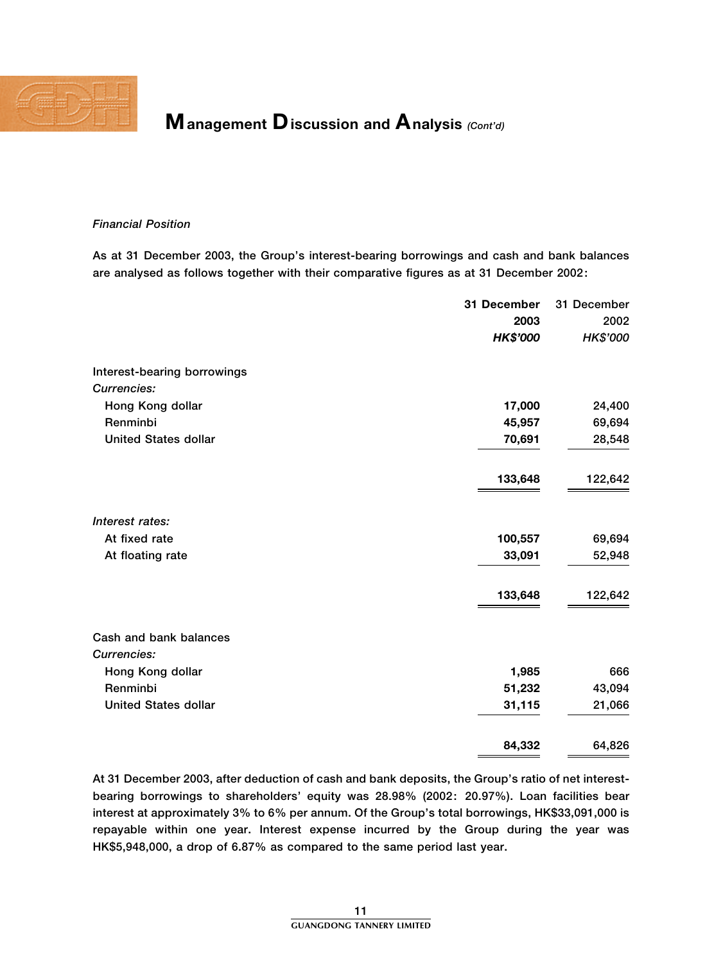

## **M** anagement **D** iscussion and **A** nalysis  $(Cont d)$

### Financial Position

As at 31 December 2003, the Group's interest-bearing borrowings and cash and bank balances are analysed as follows together with their comparative figures as at 31 December 2002:

|                             | 31 December     | 31 December |
|-----------------------------|-----------------|-------------|
|                             | 2003            | 2002        |
|                             | <b>HK\$'000</b> | HK\$'000    |
| Interest-bearing borrowings |                 |             |
| Currencies:                 |                 |             |
| Hong Kong dollar            | 17,000          | 24,400      |
| Renminbi                    | 45,957          | 69,694      |
| <b>United States dollar</b> | 70,691          | 28,548      |
|                             | 133,648         | 122,642     |
| Interest rates:             |                 |             |
| At fixed rate               | 100,557         | 69,694      |
| At floating rate            | 33,091          | 52,948      |
|                             | 133,648         | 122,642     |
| Cash and bank balances      |                 |             |
| Currencies:                 |                 |             |
| Hong Kong dollar            | 1,985           | 666         |
| Renminbi                    | 51,232          | 43,094      |
| <b>United States dollar</b> | 31,115          | 21,066      |
|                             | 84,332          | 64,826      |

At 31 December 2003, after deduction of cash and bank deposits, the Group's ratio of net interestbearing borrowings to shareholders' equity was 28.98% (2002: 20.97%). Loan facilities bear interest at approximately 3% to 6% per annum. Of the Group's total borrowings, HK\$33,091,000 is repayable within one year. Interest expense incurred by the Group during the year was HK\$5,948,000, a drop of 6.87% as compared to the same period last year.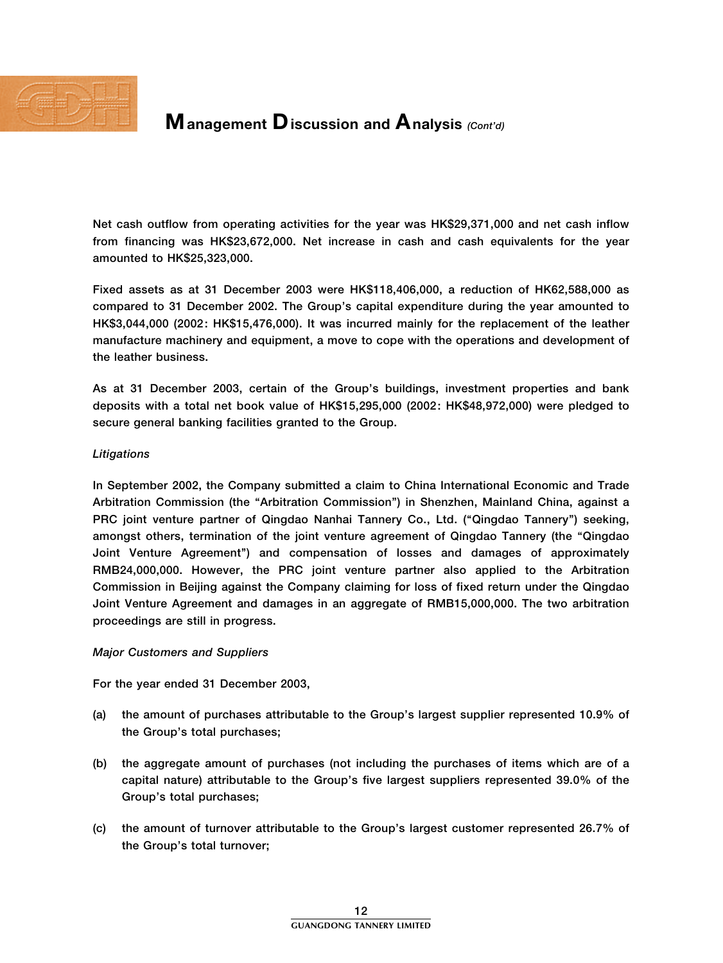

## **M** anagement **D** iscussion and **A**nalysis (Cont'd)

Net cash outflow from operating activities for the year was HK\$29,371,000 and net cash inflow from financing was HK\$23,672,000. Net increase in cash and cash equivalents for the year amounted to HK\$25,323,000.

Fixed assets as at 31 December 2003 were HK\$118,406,000, a reduction of HK62,588,000 as compared to 31 December 2002. The Group's capital expenditure during the year amounted to HK\$3,044,000 (2002: HK\$15,476,000). It was incurred mainly for the replacement of the leather manufacture machinery and equipment, a move to cope with the operations and development of the leather business.

As at 31 December 2003, certain of the Group's buildings, investment properties and bank deposits with a total net book value of HK\$15,295,000 (2002: HK\$48,972,000) were pledged to secure general banking facilities granted to the Group.

#### Litigations

In September 2002, the Company submitted a claim to China International Economic and Trade Arbitration Commission (the "Arbitration Commission") in Shenzhen, Mainland China, against a PRC joint venture partner of Qingdao Nanhai Tannery Co., Ltd. ("Qingdao Tannery") seeking, amongst others, termination of the joint venture agreement of Qingdao Tannery (the ''Qingdao Joint Venture Agreement'') and compensation of losses and damages of approximately RMB24,000,000. However, the PRC joint venture partner also applied to the Arbitration Commission in Beijing against the Company claiming for loss of fixed return under the Qingdao Joint Venture Agreement and damages in an aggregate of RMB15,000,000. The two arbitration proceedings are still in progress.

#### Major Customers and Suppliers

For the year ended 31 December 2003,

- (a) the amount of purchases attributable to the Group's largest supplier represented 10.9% of the Group's total purchases;
- (b) the aggregate amount of purchases (not including the purchases of items which are of a capital nature) attributable to the Group's five largest suppliers represented 39.0% of the Group's total purchases;
- (c) the amount of turnover attributable to the Group's largest customer represented 26.7% of the Group's total turnover;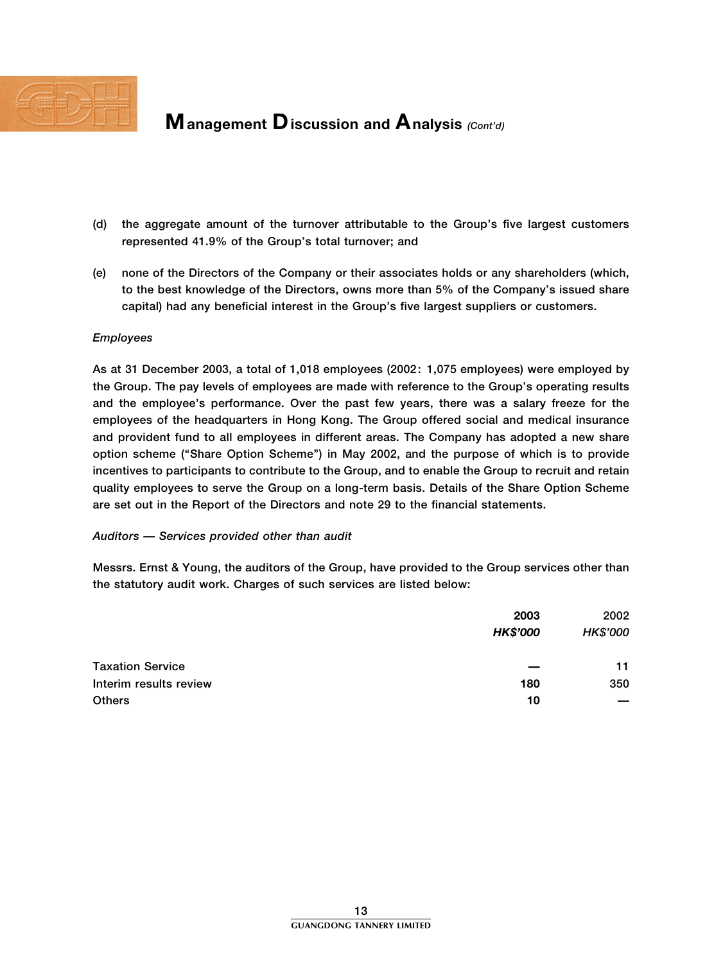

## **M** anagement  $\mathbf{D}$  iscussion and Analysis (Cont'd)

- (d) the aggregate amount of the turnover attributable to the Group's five largest customers represented 41.9% of the Group's total turnover; and
- (e) none of the Directors of the Company or their associates holds or any shareholders (which, to the best knowledge of the Directors, owns more than 5% of the Company's issued share capital) had any beneficial interest in the Group's five largest suppliers or customers.

#### Employees

As at 31 December 2003, a total of 1,018 employees (2002: 1,075 employees) were employed by the Group. The pay levels of employees are made with reference to the Group's operating results and the employee's performance. Over the past few years, there was a salary freeze for the employees of the headquarters in Hong Kong. The Group offered social and medical insurance and provident fund to all employees in different areas. The Company has adopted a new share option scheme (''Share Option Scheme'') in May 2002, and the purpose of which is to provide incentives to participants to contribute to the Group, and to enable the Group to recruit and retain quality employees to serve the Group on a long-term basis. Details of the Share Option Scheme are set out in the Report of the Directors and note 29 to the financial statements.

#### Auditors — Services provided other than audit

Messrs. Ernst & Young, the auditors of the Group, have provided to the Group services other than the statutory audit work. Charges of such services are listed below:

|                         | 2003            | 2002     |
|-------------------------|-----------------|----------|
|                         | <b>HK\$'000</b> | HK\$'000 |
| <b>Taxation Service</b> |                 | 11       |
| Interim results review  | 180             | 350      |
| <b>Others</b>           | 10              |          |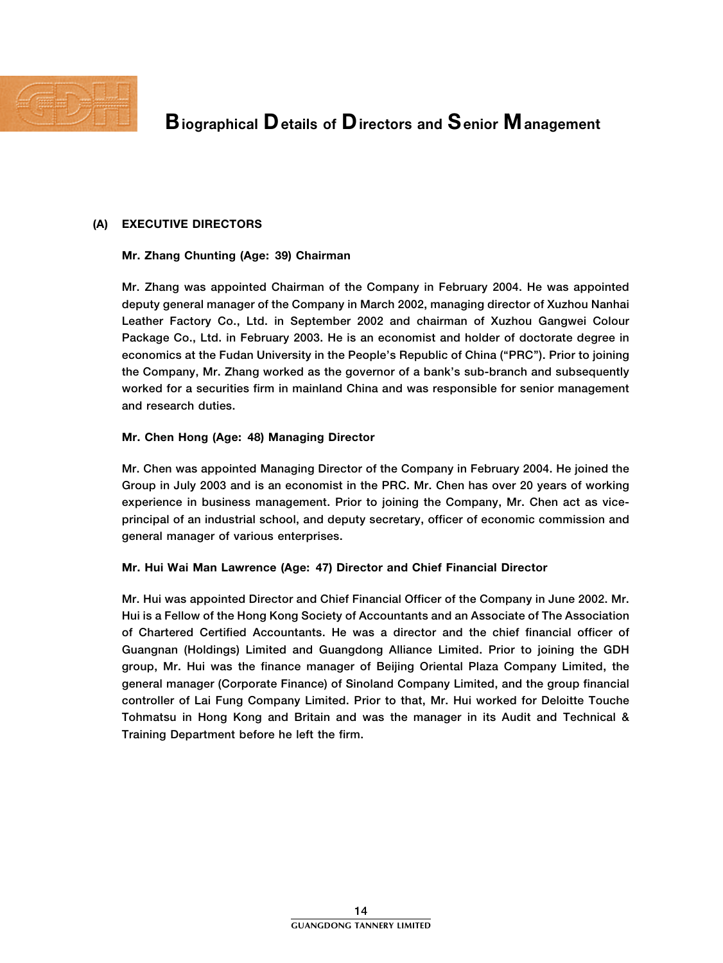

### (A) EXECUTIVE DIRECTORS

#### Mr. Zhang Chunting (Age: 39) Chairman

Mr. Zhang was appointed Chairman of the Company in February 2004. He was appointed deputy general manager of the Company in March 2002, managing director of Xuzhou Nanhai Leather Factory Co., Ltd. in September 2002 and chairman of Xuzhou Gangwei Colour Package Co., Ltd. in February 2003. He is an economist and holder of doctorate degree in economics at the Fudan University in the People's Republic of China ("PRC"). Prior to joining the Company, Mr. Zhang worked as the governor of a bank's sub-branch and subsequently worked for a securities firm in mainland China and was responsible for senior management and research duties.

### Mr. Chen Hong (Age: 48) Managing Director

Mr. Chen was appointed Managing Director of the Company in February 2004. He joined the Group in July 2003 and is an economist in the PRC. Mr. Chen has over 20 years of working experience in business management. Prior to joining the Company, Mr. Chen act as viceprincipal of an industrial school, and deputy secretary, officer of economic commission and general manager of various enterprises.

#### Mr. Hui Wai Man Lawrence (Age: 47) Director and Chief Financial Director

Mr. Hui was appointed Director and Chief Financial Officer of the Company in June 2002. Mr. Hui is a Fellow of the Hong Kong Society of Accountants and an Associate of The Association of Chartered Certified Accountants. He was a director and the chief financial officer of Guangnan (Holdings) Limited and Guangdong Alliance Limited. Prior to joining the GDH group, Mr. Hui was the finance manager of Beijing Oriental Plaza Company Limited, the general manager (Corporate Finance) of Sinoland Company Limited, and the group financial controller of Lai Fung Company Limited. Prior to that, Mr. Hui worked for Deloitte Touche Tohmatsu in Hong Kong and Britain and was the manager in its Audit and Technical & Training Department before he left the firm.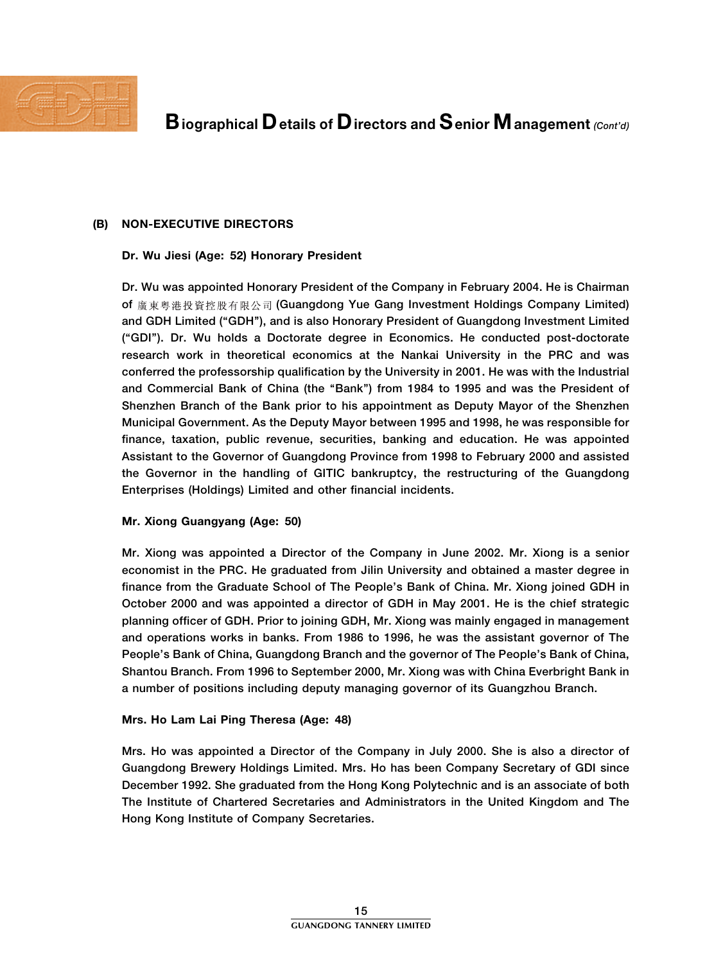

### (B) NON-EXECUTIVE DIRECTORS

### Dr. Wu Jiesi (Age: 52) Honorary President

Dr. Wu was appointed Honorary President of the Company in February 2004. He is Chairman of 廣東粵港投資控股有限公司 (Guangdong Yue Gang Investment Holdings Company Limited) and GDH Limited (''GDH''), and is also Honorary President of Guangdong Investment Limited (''GDI''). Dr. Wu holds a Doctorate degree in Economics. He conducted post-doctorate research work in theoretical economics at the Nankai University in the PRC and was conferred the professorship qualification by the University in 2001. He was with the Industrial and Commercial Bank of China (the "Bank") from 1984 to 1995 and was the President of Shenzhen Branch of the Bank prior to his appointment as Deputy Mayor of the Shenzhen Municipal Government. As the Deputy Mayor between 1995 and 1998, he was responsible for finance, taxation, public revenue, securities, banking and education. He was appointed Assistant to the Governor of Guangdong Province from 1998 to February 2000 and assisted the Governor in the handling of GITIC bankruptcy, the restructuring of the Guangdong Enterprises (Holdings) Limited and other financial incidents.

#### Mr. Xiong Guangyang (Age: 50)

Mr. Xiong was appointed a Director of the Company in June 2002. Mr. Xiong is a senior economist in the PRC. He graduated from Jilin University and obtained a master degree in finance from the Graduate School of The People's Bank of China. Mr. Xiong joined GDH in October 2000 and was appointed a director of GDH in May 2001. He is the chief strategic planning officer of GDH. Prior to joining GDH, Mr. Xiong was mainly engaged in management and operations works in banks. From 1986 to 1996, he was the assistant governor of The People's Bank of China, Guangdong Branch and the governor of The People's Bank of China, Shantou Branch. From 1996 to September 2000, Mr. Xiong was with China Everbright Bank in a number of positions including deputy managing governor of its Guangzhou Branch.

#### Mrs. Ho Lam Lai Ping Theresa (Age: 48)

Mrs. Ho was appointed a Director of the Company in July 2000. She is also a director of Guangdong Brewery Holdings Limited. Mrs. Ho has been Company Secretary of GDI since December 1992. She graduated from the Hong Kong Polytechnic and is an associate of both The Institute of Chartered Secretaries and Administrators in the United Kingdom and The Hong Kong Institute of Company Secretaries.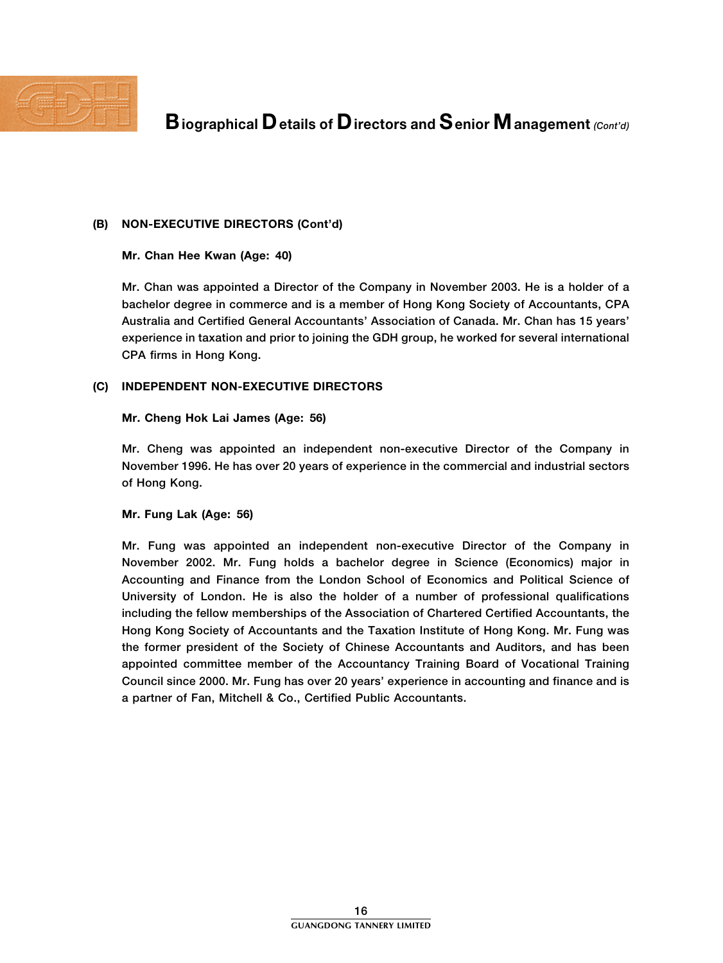

## **B** iographical D etails of D irectors and Senior M anagement  $_{\text{Cont'd}}$

### (B) NON-EXECUTIVE DIRECTORS (Cont'd)

#### Mr. Chan Hee Kwan (Age: 40)

Mr. Chan was appointed a Director of the Company in November 2003. He is a holder of a bachelor degree in commerce and is a member of Hong Kong Society of Accountants, CPA Australia and Certified General Accountants' Association of Canada. Mr. Chan has 15 years' experience in taxation and prior to joining the GDH group, he worked for several international CPA firms in Hong Kong.

### (C) INDEPENDENT NON-EXECUTIVE DIRECTORS

#### Mr. Cheng Hok Lai James (Age: 56)

Mr. Cheng was appointed an independent non-executive Director of the Company in November 1996. He has over 20 years of experience in the commercial and industrial sectors of Hong Kong.

#### Mr. Fung Lak (Age: 56)

Mr. Fung was appointed an independent non-executive Director of the Company in November 2002. Mr. Fung holds a bachelor degree in Science (Economics) major in Accounting and Finance from the London School of Economics and Political Science of University of London. He is also the holder of a number of professional qualifications including the fellow memberships of the Association of Chartered Certified Accountants, the Hong Kong Society of Accountants and the Taxation Institute of Hong Kong. Mr. Fung was the former president of the Society of Chinese Accountants and Auditors, and has been appointed committee member of the Accountancy Training Board of Vocational Training Council since 2000. Mr. Fung has over 20 years' experience in accounting and finance and is a partner of Fan, Mitchell & Co., Certified Public Accountants.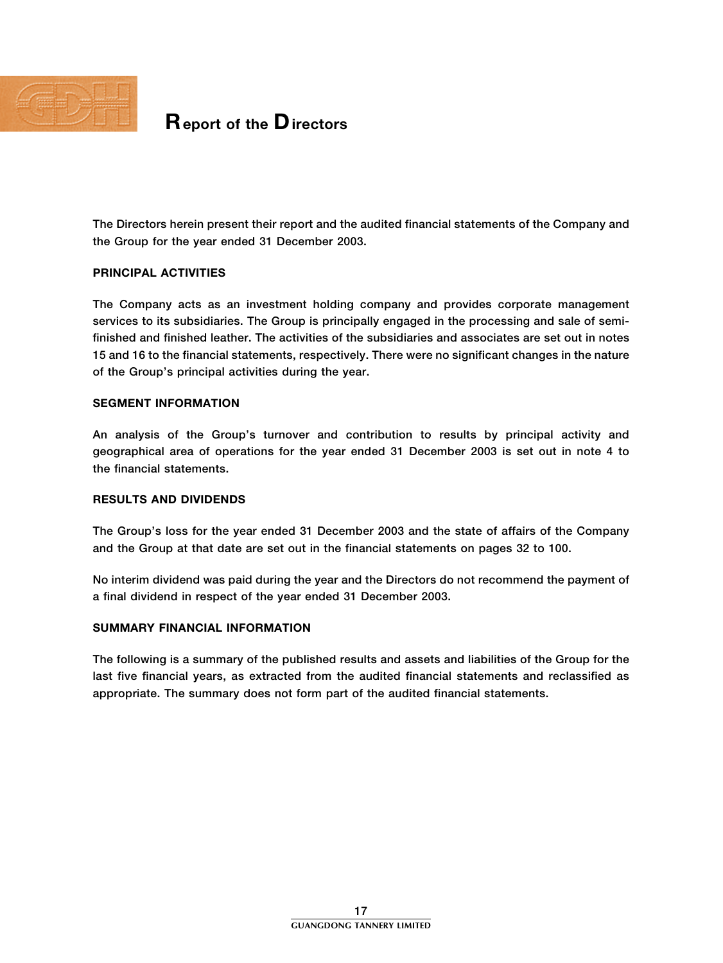

## Report of the Directors

The Directors herein present their report and the audited financial statements of the Company and the Group for the year ended 31 December 2003.

#### PRINCIPAL ACTIVITIES

The Company acts as an investment holding company and provides corporate management services to its subsidiaries. The Group is principally engaged in the processing and sale of semifinished and finished leather. The activities of the subsidiaries and associates are set out in notes 15 and 16 to the financial statements, respectively. There were no significant changes in the nature of the Group's principal activities during the year.

#### SEGMENT INFORMATION

An analysis of the Group's turnover and contribution to results by principal activity and geographical area of operations for the year ended 31 December 2003 is set out in note 4 to the financial statements.

### RESULTS AND DIVIDENDS

The Group's loss for the year ended 31 December 2003 and the state of affairs of the Company and the Group at that date are set out in the financial statements on pages 32 to 100.

No interim dividend was paid during the year and the Directors do not recommend the payment of a final dividend in respect of the year ended 31 December 2003.

### SUMMARY FINANCIAL INFORMATION

The following is a summary of the published results and assets and liabilities of the Group for the last five financial years, as extracted from the audited financial statements and reclassified as appropriate. The summary does not form part of the audited financial statements.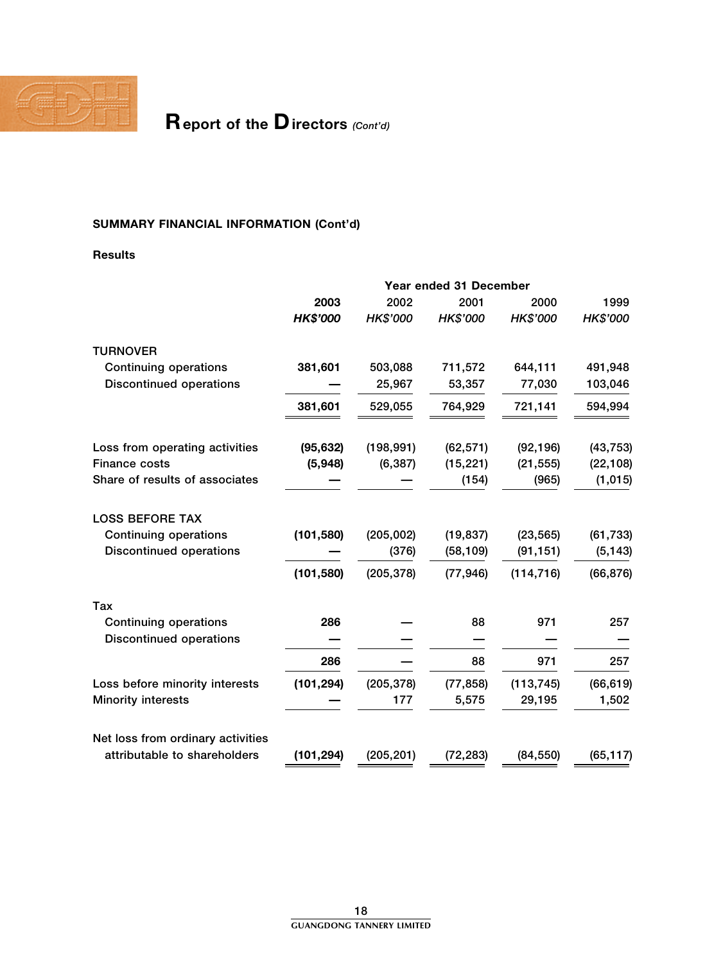

### SUMMARY FINANCIAL INFORMATION (Cont'd)

### Results

|                                   | Year ended 31 December |            |           |            |           |  |  |
|-----------------------------------|------------------------|------------|-----------|------------|-----------|--|--|
|                                   | 2003                   | 2002       | 2001      | 2000       | 1999      |  |  |
|                                   | <b>HK\$'000</b>        | HK\$'000   | HK\$'000  | HK\$'000   | HK\$'000  |  |  |
| <b>TURNOVER</b>                   |                        |            |           |            |           |  |  |
| <b>Continuing operations</b>      | 381,601                | 503,088    | 711,572   | 644,111    | 491,948   |  |  |
| <b>Discontinued operations</b>    |                        | 25,967     | 53,357    | 77,030     | 103,046   |  |  |
|                                   | 381,601                | 529,055    | 764,929   | 721,141    | 594,994   |  |  |
| Loss from operating activities    | (95, 632)              | (198, 991) | (62, 571) | (92, 196)  | (43, 753) |  |  |
| <b>Finance costs</b>              | (5,948)                | (6, 387)   | (15, 221) | (21, 555)  | (22, 108) |  |  |
| Share of results of associates    |                        |            | (154)     | (965)      | (1, 015)  |  |  |
| <b>LOSS BEFORE TAX</b>            |                        |            |           |            |           |  |  |
| <b>Continuing operations</b>      | (101, 580)             | (205,002)  | (19, 837) | (23, 565)  | (61, 733) |  |  |
| <b>Discontinued operations</b>    |                        | (376)      | (58, 109) | (91, 151)  | (5, 143)  |  |  |
|                                   | (101, 580)             | (205, 378) | (77, 946) | (114, 716) | (66, 876) |  |  |
| Tax                               |                        |            |           |            |           |  |  |
| <b>Continuing operations</b>      | 286                    |            | 88        | 971        | 257       |  |  |
| <b>Discontinued operations</b>    |                        |            |           |            |           |  |  |
|                                   | 286                    |            | 88        | 971        | 257       |  |  |
| Loss before minority interests    | (101, 294)             | (205, 378) | (77, 858) | (113, 745) | (66, 619) |  |  |
| <b>Minority interests</b>         |                        | 177        | 5,575     | 29,195     | 1,502     |  |  |
| Net loss from ordinary activities |                        |            |           |            |           |  |  |
| attributable to shareholders      | (101, 294)             | (205, 201) | (72, 283) | (84, 550)  | (65, 117) |  |  |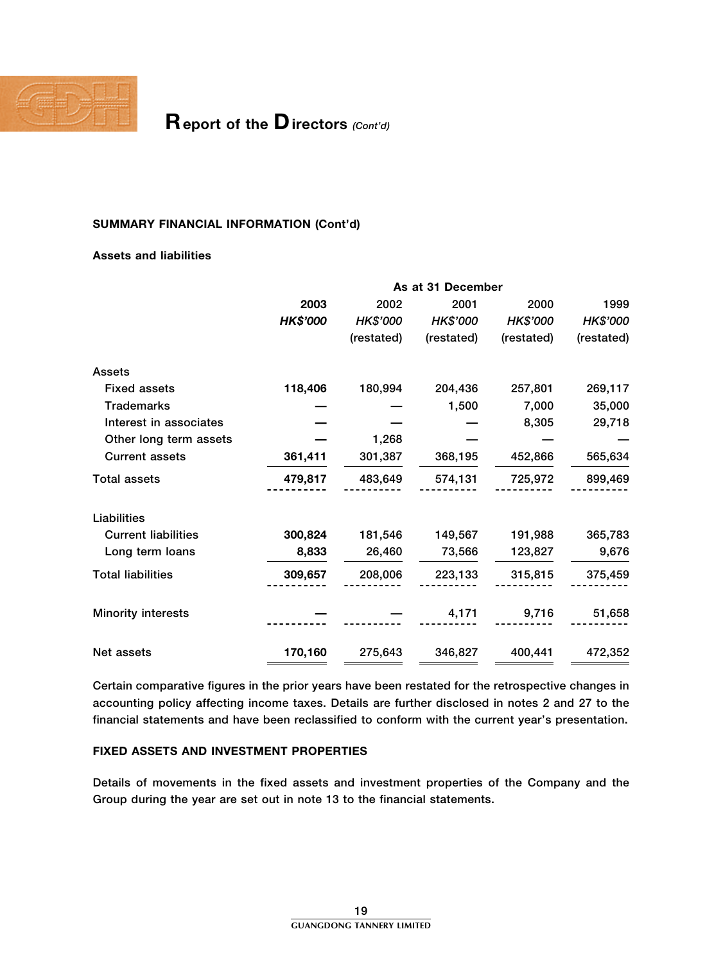

## $\mathbf R$  eport of the  $\mathbf D$  irectors (Cont'd)

#### SUMMARY FINANCIAL INFORMATION (Cont'd)

#### Assets and liabilities

| 2003<br>2002<br>2001<br>2000<br><b>HK\$'000</b><br>HK\$'000<br>HK\$'000<br>HK\$'000<br>(restated)<br>(restated)<br>(restated) | 1999<br>HK\$'000<br>(restated) |
|-------------------------------------------------------------------------------------------------------------------------------|--------------------------------|
|                                                                                                                               |                                |
|                                                                                                                               |                                |
|                                                                                                                               |                                |
| <b>Assets</b>                                                                                                                 |                                |
| 118,406<br>180,994<br>204,436<br>257,801<br><b>Fixed assets</b>                                                               | 269,117                        |
| <b>Trademarks</b><br>1,500<br>7,000                                                                                           | 35,000                         |
| 8,305<br>Interest in associates                                                                                               | 29,718                         |
| 1,268<br>Other long term assets                                                                                               |                                |
| <b>Current assets</b><br>361,411<br>301,387<br>368,195<br>452,866                                                             | 565,634                        |
| 483,649<br>725,972<br><b>Total assets</b><br>479,817<br>574,131                                                               | 899,469                        |
| Liabilities                                                                                                                   |                                |
| 300,824<br><b>Current liabilities</b><br>181,546<br>149,567<br>191,988                                                        | 365,783                        |
| 8,833<br>26,460<br>73,566<br>Long term loans<br>123,827                                                                       | 9,676                          |
| <b>Total liabilities</b><br>309,657<br>208,006<br>223,133<br>315,815                                                          | 375,459                        |
| 9,716<br><b>Minority interests</b><br>4,171                                                                                   | 51,658                         |
| 170,160<br>275,643<br>346,827<br>400,441<br>Net assets                                                                        | 472,352                        |

Certain comparative figures in the prior years have been restated for the retrospective changes in accounting policy affecting income taxes. Details are further disclosed in notes 2 and 27 to the financial statements and have been reclassified to conform with the current year's presentation.

### FIXED ASSETS AND INVESTMENT PROPERTIES

Details of movements in the fixed assets and investment properties of the Company and the Group during the year are set out in note 13 to the financial statements.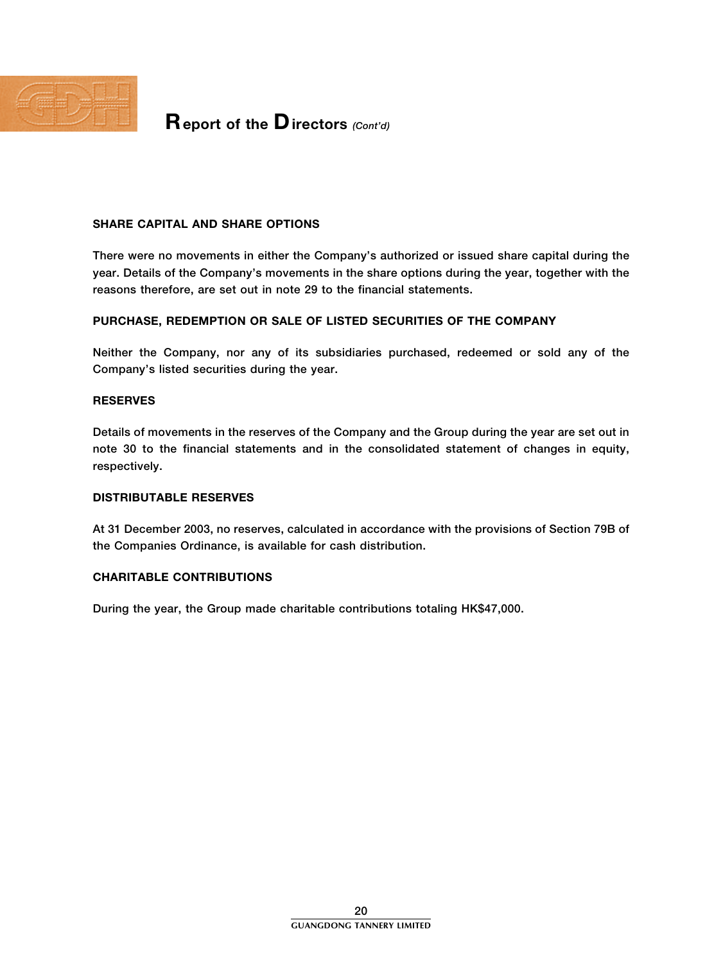

### SHARE CAPITAL AND SHARE OPTIONS

There were no movements in either the Company's authorized or issued share capital during the year. Details of the Company's movements in the share options during the year, together with the reasons therefore, are set out in note 29 to the financial statements.

### PURCHASE, REDEMPTION OR SALE OF LISTED SECURITIES OF THE COMPANY

Neither the Company, nor any of its subsidiaries purchased, redeemed or sold any of the Company's listed securities during the year.

#### RESERVES

Details of movements in the reserves of the Company and the Group during the year are set out in note 30 to the financial statements and in the consolidated statement of changes in equity, respectively.

#### DISTRIBUTABLE RESERVES

At 31 December 2003, no reserves, calculated in accordance with the provisions of Section 79B of the Companies Ordinance, is available for cash distribution.

#### CHARITABLE CONTRIBUTIONS

During the year, the Group made charitable contributions totaling HK\$47,000.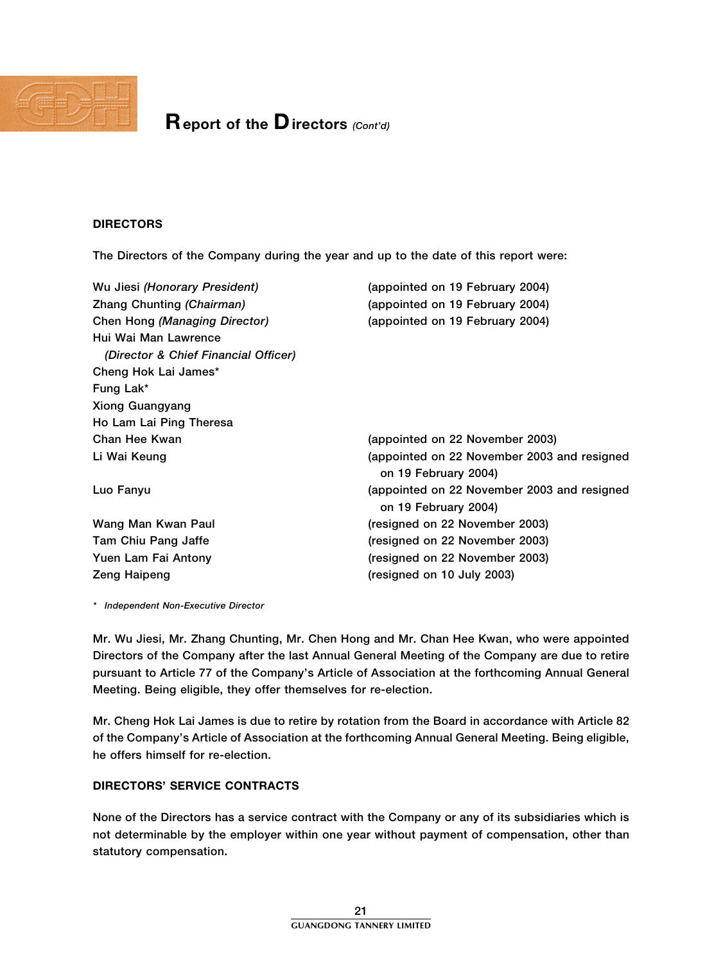

### DIRECTORS

The Directors of the Company during the year and up to the date of this report were:

| Wu Jiesi (Honorary President)        | (appointed on 19 February 2004)                                     |
|--------------------------------------|---------------------------------------------------------------------|
| Zhang Chunting (Chairman)            | (appointed on 19 February 2004)                                     |
| Chen Hong (Managing Director)        | (appointed on 19 February 2004)                                     |
| Hui Wai Man Lawrence                 |                                                                     |
| (Director & Chief Financial Officer) |                                                                     |
| Cheng Hok Lai James*                 |                                                                     |
| Fung Lak*                            |                                                                     |
| <b>Xiong Guangyang</b>               |                                                                     |
| Ho Lam Lai Ping Theresa              |                                                                     |
| Chan Hee Kwan                        | (appointed on 22 November 2003)                                     |
| Li Wai Keung                         | (appointed on 22 November 2003 and resigned<br>on 19 February 2004) |
| Luo Fanyu                            | (appointed on 22 November 2003 and resigned<br>on 19 February 2004) |
| Wang Man Kwan Paul                   | (resigned on 22 November 2003)                                      |
| Tam Chiu Pang Jaffe                  | (resigned on 22 November 2003)                                      |
| Yuen Lam Fai Antony                  | (resigned on 22 November 2003)                                      |
| <b>Zeng Haipeng</b>                  | (resigned on 10 July 2003)                                          |

\* Independent Non-Executive Director

Mr. Wu Jiesi, Mr. Zhang Chunting, Mr. Chen Hong and Mr. Chan Hee Kwan, who were appointed Directors of the Company after the last Annual General Meeting of the Company are due to retire pursuant to Article 77 of the Company's Article of Association at the forthcoming Annual General Meeting. Being eligible, they offer themselves for re-election.

Mr. Cheng Hok Lai James is due to retire by rotation from the Board in accordance with Article 82 of the Company's Article of Association at the forthcoming Annual General Meeting. Being eligible, he offers himself for re-election.

### DIRECTORS' SERVICE CONTRACTS

None of the Directors has a service contract with the Company or any of its subsidiaries which is not determinable by the employer within one year without payment of compensation, other than statutory compensation.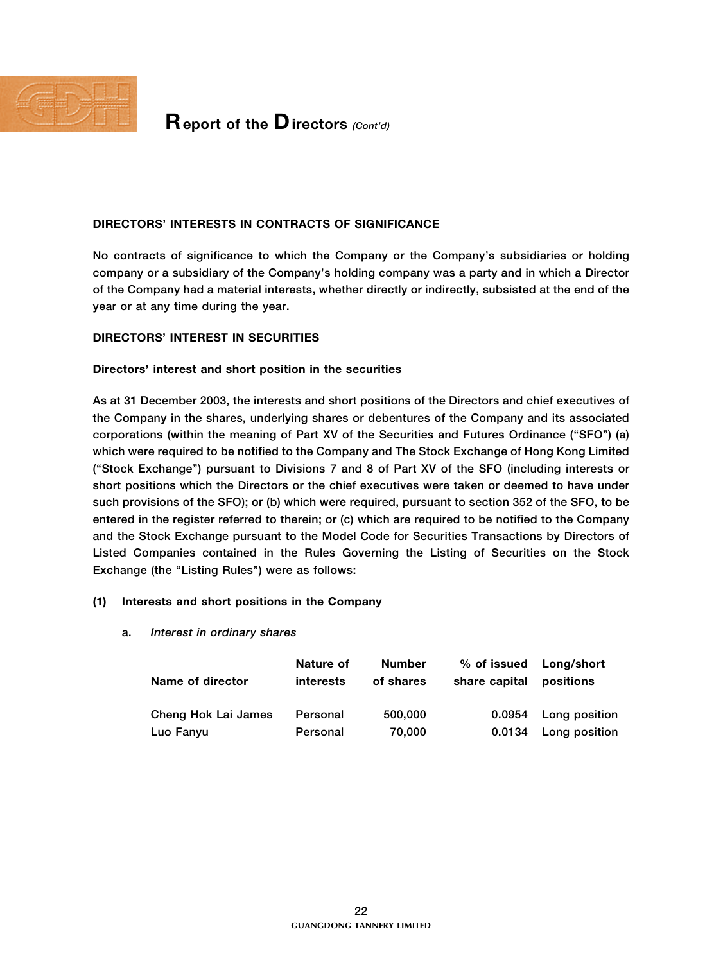

### DIRECTORS' INTERESTS IN CONTRACTS OF SIGNIFICANCE

No contracts of significance to which the Company or the Company's subsidiaries or holding company or a subsidiary of the Company's holding company was a party and in which a Director of the Company had a material interests, whether directly or indirectly, subsisted at the end of the year or at any time during the year.

### DIRECTORS' INTEREST IN SECURITIES

#### Directors' interest and short position in the securities

As at 31 December 2003, the interests and short positions of the Directors and chief executives of the Company in the shares, underlying shares or debentures of the Company and its associated corporations (within the meaning of Part XV of the Securities and Futures Ordinance (''SFO'') (a) which were required to be notified to the Company and The Stock Exchange of Hong Kong Limited (''Stock Exchange'') pursuant to Divisions 7 and 8 of Part XV of the SFO (including interests or short positions which the Directors or the chief executives were taken or deemed to have under such provisions of the SFO); or (b) which were required, pursuant to section 352 of the SFO, to be entered in the register referred to therein; or (c) which are required to be notified to the Company and the Stock Exchange pursuant to the Model Code for Securities Transactions by Directors of Listed Companies contained in the Rules Governing the Listing of Securities on the Stock Exchange (the "Listing Rules") were as follows:

#### (1) Interests and short positions in the Company

#### a. Interest in ordinary shares

|                     | Nature of        | <b>Number</b> | $\%$ of issued | Long/short    |
|---------------------|------------------|---------------|----------------|---------------|
| Name of director    | <b>interests</b> | of shares     | share capital  | positions     |
| Cheng Hok Lai James | Personal         | 500,000       | 0.0954         | Long position |
| Luo Fanyu           | Personal         | 70.000        | 0.0134         | Long position |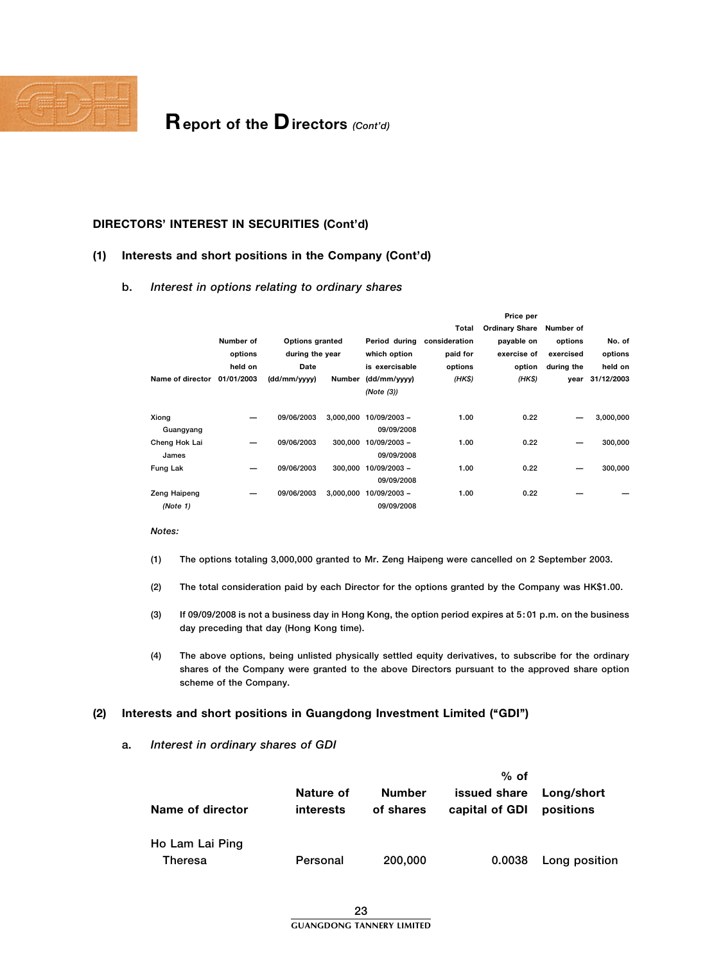

## $\mathbf R$  eport of the  $\mathbf D$  irectors (Cont'd)

#### DIRECTORS' INTEREST IN SECURITIES (Cont'd)

#### (1) Interests and short positions in the Company (Cont'd)

#### b. Interest in options relating to ordinary shares

|                  |            |                        |           |                     |               | <b>Price per</b>      |            |            |
|------------------|------------|------------------------|-----------|---------------------|---------------|-----------------------|------------|------------|
|                  |            |                        |           |                     | Total         | <b>Ordinary Share</b> | Number of  |            |
|                  | Number of  | <b>Options granted</b> |           | Period during       | consideration | payable on            | options    | No. of     |
|                  | options    | during the year        |           | which option        | paid for      | exercise of           | exercised  | options    |
|                  | held on    | Date                   |           | is exercisable      | options       | option                | during the | held on    |
| Name of director | 01/01/2003 | (dd/mm/yyyy)           |           | Number (dd/mm/yyyy) | (HKS)         | (HKS)                 | year       | 31/12/2003 |
|                  |            |                        |           | (Note (3))          |               |                       |            |            |
| Xiong            |            | 09/06/2003             | 3,000,000 | 10/09/2003 -        | 1.00          | 0.22                  |            | 3,000,000  |
| Guangyang        |            |                        |           | 09/09/2008          |               |                       |            |            |
| Cheng Hok Lai    |            | 09/06/2003             | 300.000   | 10/09/2003 -        | 1.00          | 0.22                  |            | 300,000    |
| James            |            |                        |           | 09/09/2008          |               |                       |            |            |
| Fung Lak         | –          | 09/06/2003             | 300.000   | 10/09/2003 -        | 1.00          | 0.22                  |            | 300,000    |
|                  |            |                        |           | 09/09/2008          |               |                       |            |            |
| Zeng Haipeng     |            | 09/06/2003             | 3,000,000 | 10/09/2003 -        | 1.00          | 0.22                  |            |            |
| (Note 1)         |            |                        |           | 09/09/2008          |               |                       |            |            |

Price per

Notes:

- (1) The options totaling 3,000,000 granted to Mr. Zeng Haipeng were cancelled on 2 September 2003.
- (2) The total consideration paid by each Director for the options granted by the Company was HK\$1.00.
- (3) If 09/09/2008 is not a business day in Hong Kong, the option period expires at 5: 01 p.m. on the business day preceding that day (Hong Kong time).
- (4) The above options, being unlisted physically settled equity derivatives, to subscribe for the ordinary shares of the Company were granted to the above Directors pursuant to the approved share option scheme of the Company.

#### (2) Interests and short positions in Guangdong Investment Limited (''GDI'')

#### a. Interest in ordinary shares of GDI

|                  |                        |                            | $%$ of                                |                         |
|------------------|------------------------|----------------------------|---------------------------------------|-------------------------|
| Name of director | Nature of<br>interests | <b>Number</b><br>of shares | <b>issued share</b><br>capital of GDI | Long/short<br>positions |
| Ho Lam Lai Ping  |                        |                            |                                       |                         |
| Theresa          | Personal               | 200,000                    | 0.0038                                | Long position           |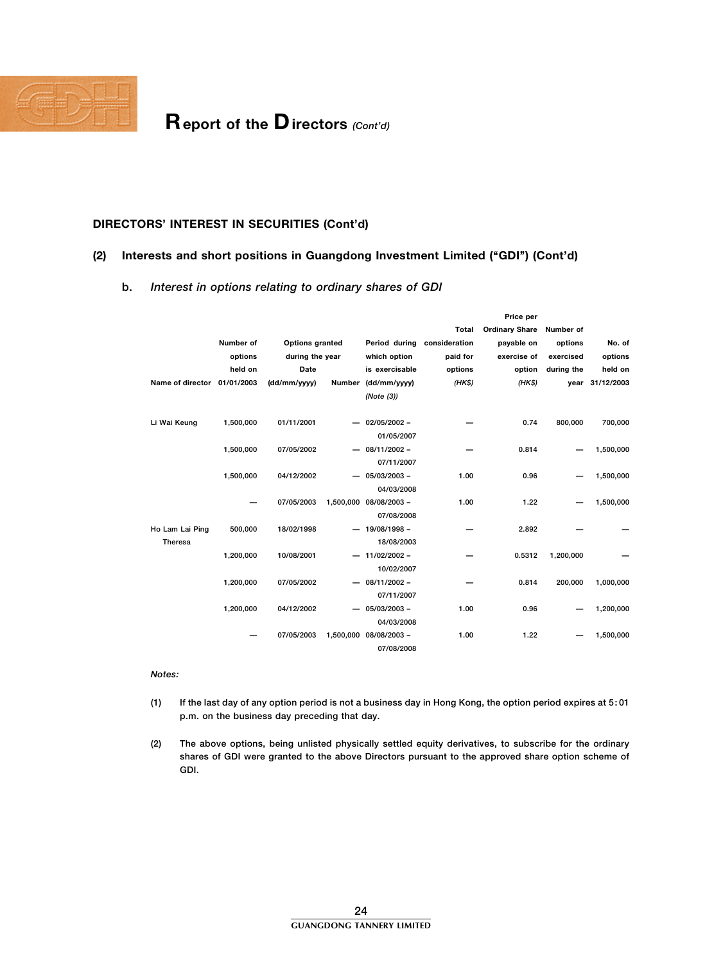

## $\mathbf R$  eport of the  $\mathbf D$  irectors (Cont'd)

### DIRECTORS' INTEREST IN SECURITIES (Cont'd)

#### (2) Interests and short positions in Guangdong Investment Limited (''GDI'') (Cont'd)

b. Interest in options relating to ordinary shares of GDI

|                             |           |                        |                        |               | Price per             |            |            |
|-----------------------------|-----------|------------------------|------------------------|---------------|-----------------------|------------|------------|
|                             |           |                        |                        | Total         | <b>Ordinary Share</b> | Number of  |            |
|                             | Number of | <b>Options granted</b> | Period during          | consideration | payable on            | options    | No. of     |
|                             | options   | during the year        | which option           | paid for      | exercise of           | exercised  | options    |
|                             | held on   | Date                   | is exercisable         | options       | option                | during the | held on    |
| Name of director 01/01/2003 |           | (dd/mm/yyyy)           | Number (dd/mm/yyyy)    | (HKS)         | (HKS)                 | year       | 31/12/2003 |
|                             |           |                        | (Note (3))             |               |                       |            |            |
|                             |           |                        |                        |               |                       |            |            |
| Li Wai Keung                | 1,500,000 | 01/11/2001             | 02/05/2002 -           |               | 0.74                  | 800,000    | 700,000    |
|                             |           |                        | 01/05/2007             |               |                       |            |            |
|                             | 1,500,000 | 07/05/2002             | $-$ 08/11/2002 -       |               | 0.814                 |            | 1,500,000  |
|                             |           |                        | 07/11/2007             |               |                       |            |            |
|                             | 1,500,000 | 04/12/2002             | $-05/03/2003 -$        | 1.00          | 0.96                  |            | 1,500,000  |
|                             |           |                        | 04/03/2008             |               |                       |            |            |
|                             |           | 07/05/2003             | 1,500,000 08/08/2003 - | 1.00          | 1.22                  |            | 1,500,000  |
|                             |           |                        | 07/08/2008             |               |                       |            |            |
| Ho Lam Lai Ping             | 500,000   | 18/02/1998             | $- 19/08/1998 -$       |               | 2.892                 |            |            |
| Theresa                     |           |                        | 18/08/2003             |               |                       |            |            |
|                             | 1,200,000 | 10/08/2001             | $-11/02/2002 -$        |               | 0.5312                | 1,200,000  |            |
|                             |           |                        | 10/02/2007             |               |                       |            |            |
|                             | 1,200,000 | 07/05/2002             | $-$ 08/11/2002 -       |               | 0.814                 | 200,000    | 1,000,000  |
|                             |           |                        | 07/11/2007             |               |                       |            |            |
|                             | 1,200,000 | 04/12/2002             | $-05/03/2003 -$        | 1.00          | 0.96                  |            | 1,200,000  |
|                             |           |                        | 04/03/2008             |               |                       |            |            |
|                             |           | 07/05/2003             | 1,500,000 08/08/2003 - | 1.00          | 1.22                  |            | 1,500,000  |
|                             |           |                        | 07/08/2008             |               |                       |            |            |

#### Notes:

- (1) If the last day of any option period is not a business day in Hong Kong, the option period expires at 5: 01 p.m. on the business day preceding that day.
- (2) The above options, being unlisted physically settled equity derivatives, to subscribe for the ordinary shares of GDI were granted to the above Directors pursuant to the approved share option scheme of GDI.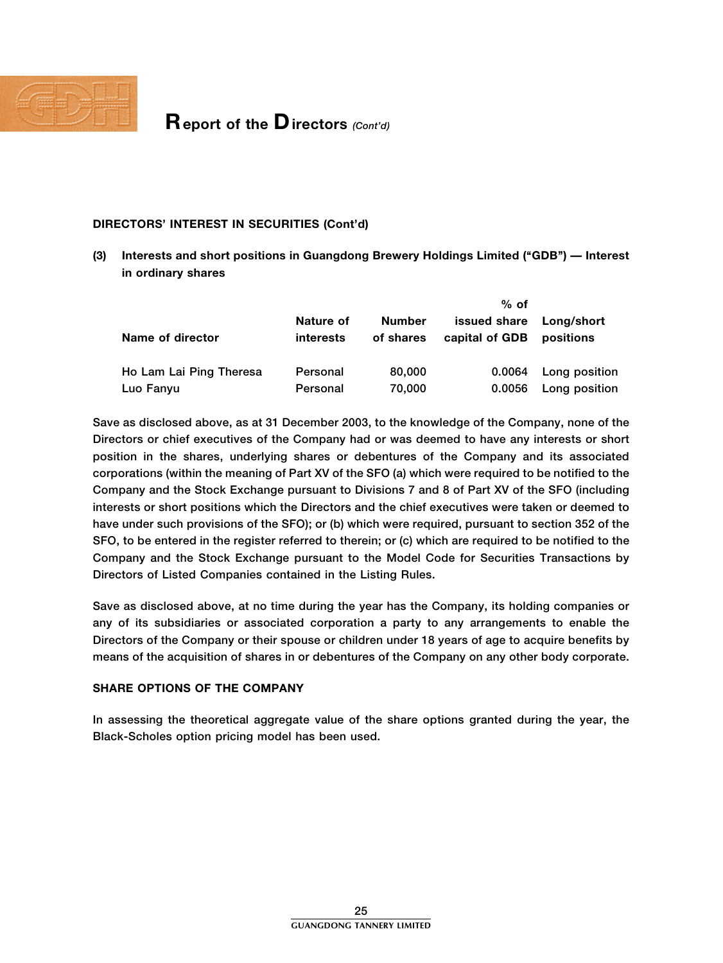

### DIRECTORS' INTEREST IN SECURITIES (Cont'd)

(3) Interests and short positions in Guangdong Brewery Holdings Limited (''GDB'') — Interest in ordinary shares

|                         |                               |                            | $%$ of                                    |               |
|-------------------------|-------------------------------|----------------------------|-------------------------------------------|---------------|
| Name of director        | Nature of<br><b>interests</b> | <b>Number</b><br>of shares | issued share Long/short<br>capital of GDB | positions     |
| Ho Lam Lai Ping Theresa | Personal                      | 80,000                     | 0.0064                                    | Long position |
| Luo Fanyu               | Personal                      | 70,000                     | 0.0056                                    | Long position |

Save as disclosed above, as at 31 December 2003, to the knowledge of the Company, none of the Directors or chief executives of the Company had or was deemed to have any interests or short position in the shares, underlying shares or debentures of the Company and its associated corporations (within the meaning of Part XV of the SFO (a) which were required to be notified to the Company and the Stock Exchange pursuant to Divisions 7 and 8 of Part XV of the SFO (including interests or short positions which the Directors and the chief executives were taken or deemed to have under such provisions of the SFO); or (b) which were required, pursuant to section 352 of the SFO, to be entered in the register referred to therein; or (c) which are required to be notified to the Company and the Stock Exchange pursuant to the Model Code for Securities Transactions by Directors of Listed Companies contained in the Listing Rules.

Save as disclosed above, at no time during the year has the Company, its holding companies or any of its subsidiaries or associated corporation a party to any arrangements to enable the Directors of the Company or their spouse or children under 18 years of age to acquire benefits by means of the acquisition of shares in or debentures of the Company on any other body corporate.

#### SHARE OPTIONS OF THE COMPANY

In assessing the theoretical aggregate value of the share options granted during the year, the Black-Scholes option pricing model has been used.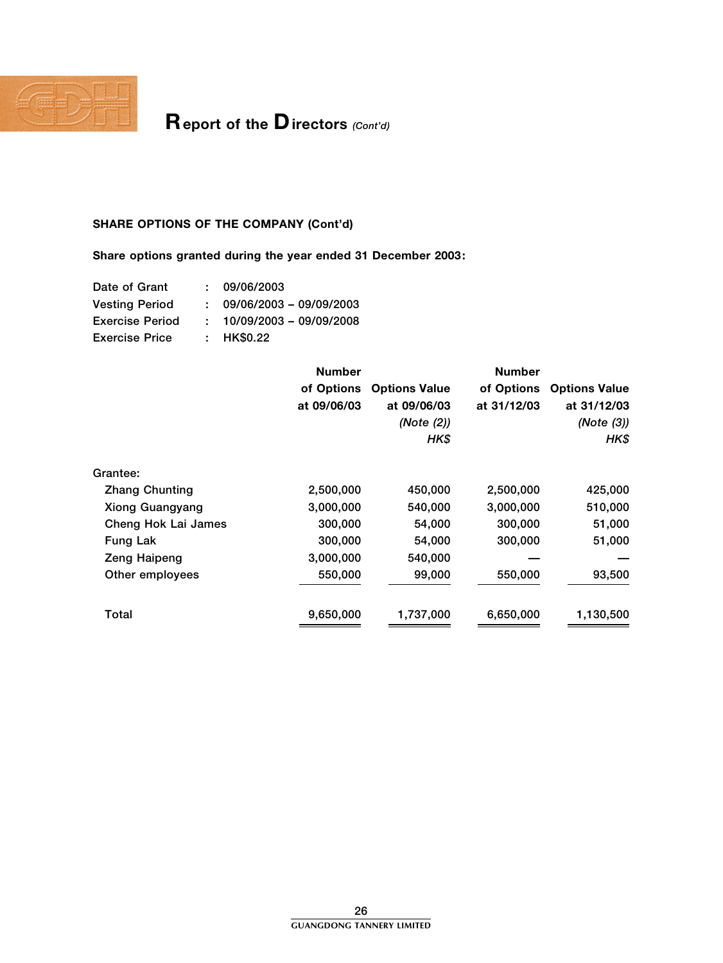

### SHARE OPTIONS OF THE COMPANY (Cont'd)

### Share options granted during the year ended 31 December 2003:

| Date of Grant          | 09/06/2003              |
|------------------------|-------------------------|
| <b>Vesting Period</b>  | 09/06/2003 - 09/09/2003 |
| <b>Exercise Period</b> | 10/09/2003 - 09/09/2008 |
| <b>Exercise Price</b>  | : HK\$0.22              |

| <b>Number</b> |                      | <b>Number</b> |                      |
|---------------|----------------------|---------------|----------------------|
| of Options    | <b>Options Value</b> | of Options    | <b>Options Value</b> |
| at 09/06/03   | at 09/06/03          | at 31/12/03   | at 31/12/03          |
|               | (Note (2))           |               | (Note (3))           |
|               | HK\$                 |               | HK\$                 |
|               |                      |               |                      |
| 2,500,000     | 450,000              | 2,500,000     | 425,000              |
| 3,000,000     | 540,000              | 3,000,000     | 510,000              |
| 300,000       | 54,000               | 300,000       | 51,000               |
| 300,000       | 54,000               | 300,000       | 51,000               |
| 3,000,000     | 540,000              |               |                      |
| 550,000       | 99,000               | 550,000       | 93,500               |
| 9,650,000     | 1,737,000            | 6,650,000     | 1,130,500            |
|               |                      |               |                      |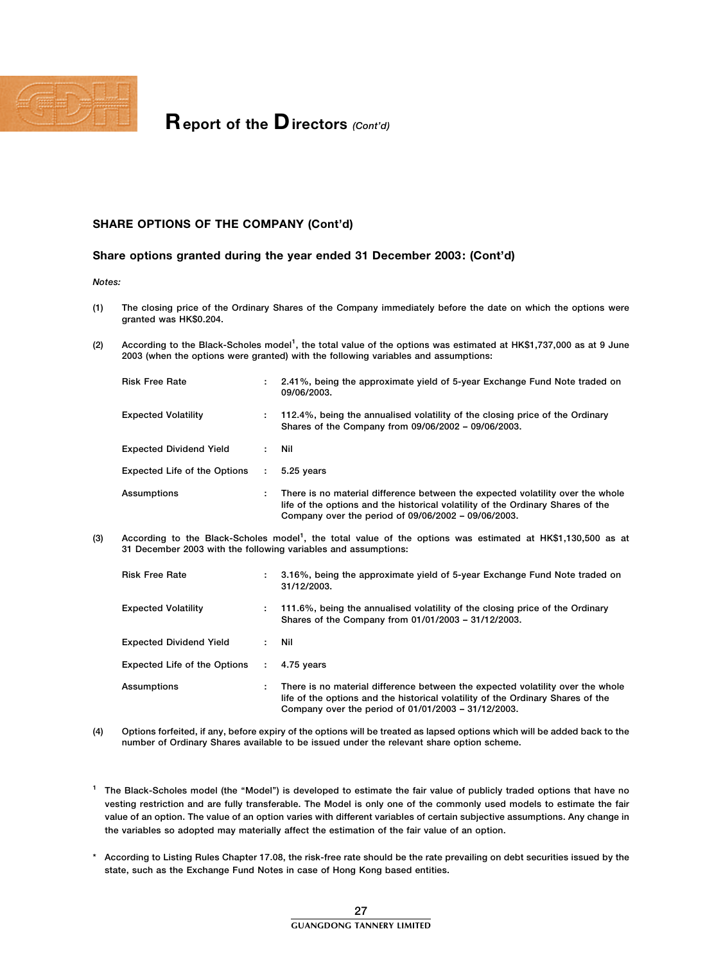

#### SHARE OPTIONS OF THE COMPANY (Cont'd)

#### Share options granted during the year ended 31 December 2003: (Cont'd)

#### Notes:

- (1) The closing price of the Ordinary Shares of the Company immediately before the date on which the options were granted was HK\$0.204.
- (2) According to the Black-Scholes model<sup>1</sup>, the total value of the options was estimated at HK\$1,737,000 as at 9 June 2003 (when the options were granted) with the following variables and assumptions:

|     | <b>Risk Free Rate</b>                                          |               | 2.41%, being the approximate yield of 5-year Exchange Fund Note traded on<br>09/06/2003.                                                                                                                                 |
|-----|----------------------------------------------------------------|---------------|--------------------------------------------------------------------------------------------------------------------------------------------------------------------------------------------------------------------------|
|     | <b>Expected Volatility</b>                                     | ÷.            | 112.4%, being the annualised volatility of the closing price of the Ordinary<br>Shares of the Company from 09/06/2002 - 09/06/2003.                                                                                      |
|     | <b>Expected Dividend Yield</b>                                 | t.            | Nil                                                                                                                                                                                                                      |
|     | <b>Expected Life of the Options</b>                            | $\mathcal{L}$ | 5.25 years                                                                                                                                                                                                               |
|     | Assumptions                                                    |               | There is no material difference between the expected volatility over the whole<br>life of the options and the historical volatility of the Ordinary Shares of the<br>Company over the period of 09/06/2002 – 09/06/2003. |
| (3) | 31 December 2003 with the following variables and assumptions: |               | According to the Black-Scholes model <sup>1</sup> , the total value of the options was estimated at HK\$1,130,500 as at                                                                                                  |
|     | <b>Risk Free Rate</b>                                          |               | 3.16%, being the approximate yield of 5-year Exchange Fund Note traded on<br>31/12/2003.                                                                                                                                 |

| <b>Expected Volatility</b>     |    | 111.6%, being the annualised volatility of the closing price of the Ordinary<br>Shares of the Company from 01/01/2003 - 31/12/2003.                                                                                      |
|--------------------------------|----|--------------------------------------------------------------------------------------------------------------------------------------------------------------------------------------------------------------------------|
| <b>Expected Dividend Yield</b> |    | Nil                                                                                                                                                                                                                      |
| Expected Life of the Options   | ÷. | 4.75 years                                                                                                                                                                                                               |
| Assumptions                    |    | There is no material difference between the expected volatility over the whole<br>life of the options and the historical volatility of the Ordinary Shares of the<br>Company over the period of 01/01/2003 - 31/12/2003. |

- (4) Options forfeited, if any, before expiry of the options will be treated as lapsed options which will be added back to the number of Ordinary Shares available to be issued under the relevant share option scheme.
- <sup>1</sup> The Black-Scholes model (the "Model") is developed to estimate the fair value of publicly traded options that have no vesting restriction and are fully transferable. The Model is only one of the commonly used models to estimate the fair value of an option. The value of an option varies with different variables of certain subjective assumptions. Any change in the variables so adopted may materially affect the estimation of the fair value of an option.
- \* According to Listing Rules Chapter 17.08, the risk-free rate should be the rate prevailing on debt securities issued by the state, such as the Exchange Fund Notes in case of Hong Kong based entities.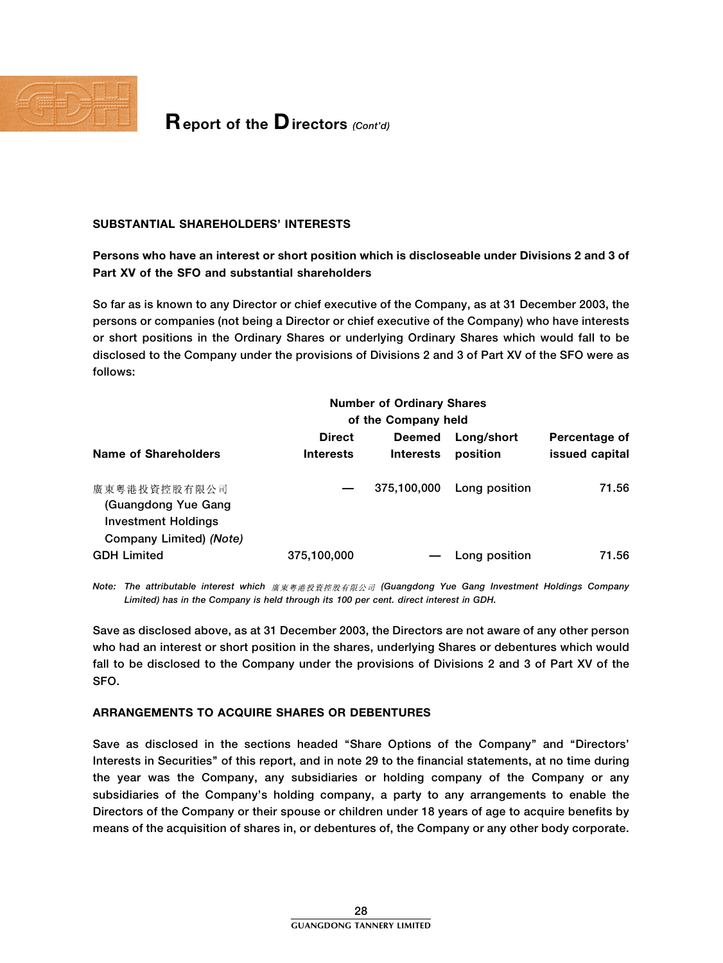

### SUBSTANTIAL SHAREHOLDERS' INTERESTS

### Persons who have an interest or short position which is discloseable under Divisions 2 and 3 of Part XV of the SFO and substantial shareholders

So far as is known to any Director or chief executive of the Company, as at 31 December 2003, the persons or companies (not being a Director or chief executive of the Company) who have interests or short positions in the Ordinary Shares or underlying Ordinary Shares which would fall to be disclosed to the Company under the provisions of Divisions 2 and 3 of Part XV of the SFO were as follows:

|                                                                                        | <b>Number of Ordinary Shares</b> |                     |               |                |  |
|----------------------------------------------------------------------------------------|----------------------------------|---------------------|---------------|----------------|--|
|                                                                                        |                                  | of the Company held |               |                |  |
|                                                                                        | <b>Direct</b>                    | <b>Deemed</b>       | Long/short    | Percentage of  |  |
| Name of Shareholders                                                                   | <b>Interests</b>                 | <b>Interests</b>    | position      | issued capital |  |
| 廣東粵港投資控股有限公司<br>(Guangdong Yue Gang)<br>Investment Holdings<br>Company Limited) (Note) |                                  | 375,100,000         | Long position | 71.56          |  |
| <b>GDH Limited</b>                                                                     | 375,100,000                      |                     | Long position | 71.56          |  |

Note: The attributable interest which 廣東粵港投資控股有限公司 (Guangdong Yue Gang Investment Holdings Company Limited) has in the Company is held through its 100 per cent. direct interest in GDH.

Save as disclosed above, as at 31 December 2003, the Directors are not aware of any other person who had an interest or short position in the shares, underlying Shares or debentures which would fall to be disclosed to the Company under the provisions of Divisions 2 and 3 of Part XV of the SFO.

#### ARRANGEMENTS TO ACQUIRE SHARES OR DEBENTURES

Save as disclosed in the sections headed ''Share Options of the Company'' and ''Directors' Interests in Securities'' of this report, and in note 29 to the financial statements, at no time during the year was the Company, any subsidiaries or holding company of the Company or any subsidiaries of the Company's holding company, a party to any arrangements to enable the Directors of the Company or their spouse or children under 18 years of age to acquire benefits by means of the acquisition of shares in, or debentures of, the Company or any other body corporate.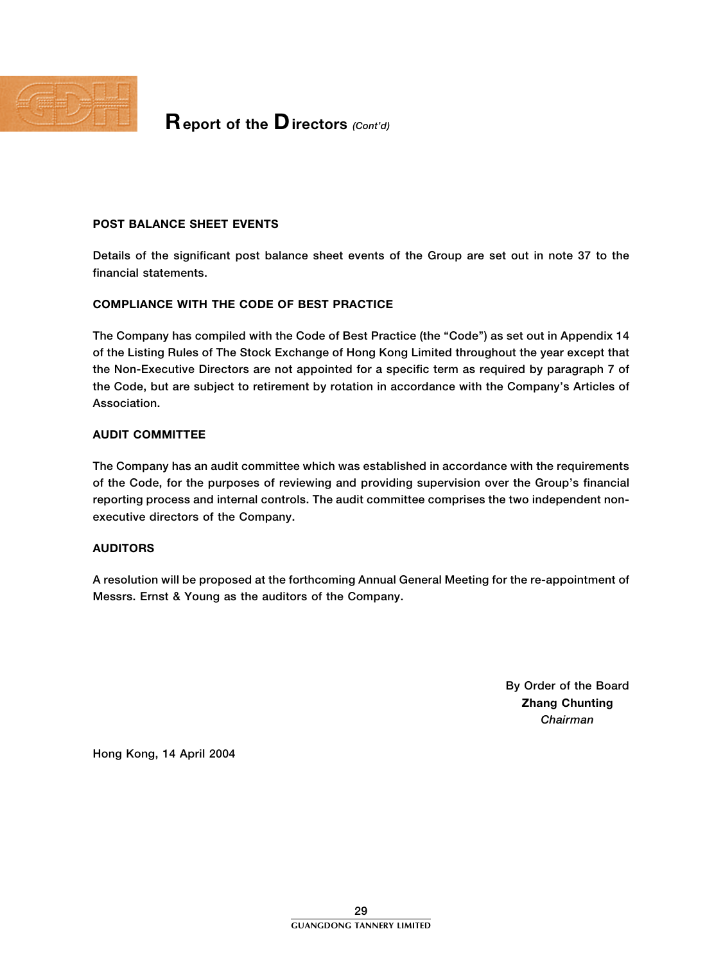

### POST BALANCE SHEET EVENTS

Details of the significant post balance sheet events of the Group are set out in note 37 to the financial statements.

### COMPLIANCE WITH THE CODE OF BEST PRACTICE

The Company has compiled with the Code of Best Practice (the "Code") as set out in Appendix 14 of the Listing Rules of The Stock Exchange of Hong Kong Limited throughout the year except that the Non-Executive Directors are not appointed for a specific term as required by paragraph 7 of the Code, but are subject to retirement by rotation in accordance with the Company's Articles of Association.

#### AUDIT COMMITTEE

The Company has an audit committee which was established in accordance with the requirements of the Code, for the purposes of reviewing and providing supervision over the Group's financial reporting process and internal controls. The audit committee comprises the two independent nonexecutive directors of the Company.

### AUDITORS

A resolution will be proposed at the forthcoming Annual General Meeting for the re-appointment of Messrs. Ernst & Young as the auditors of the Company.

> By Order of the Board Zhang Chunting Chairman

Hong Kong, 14 April 2004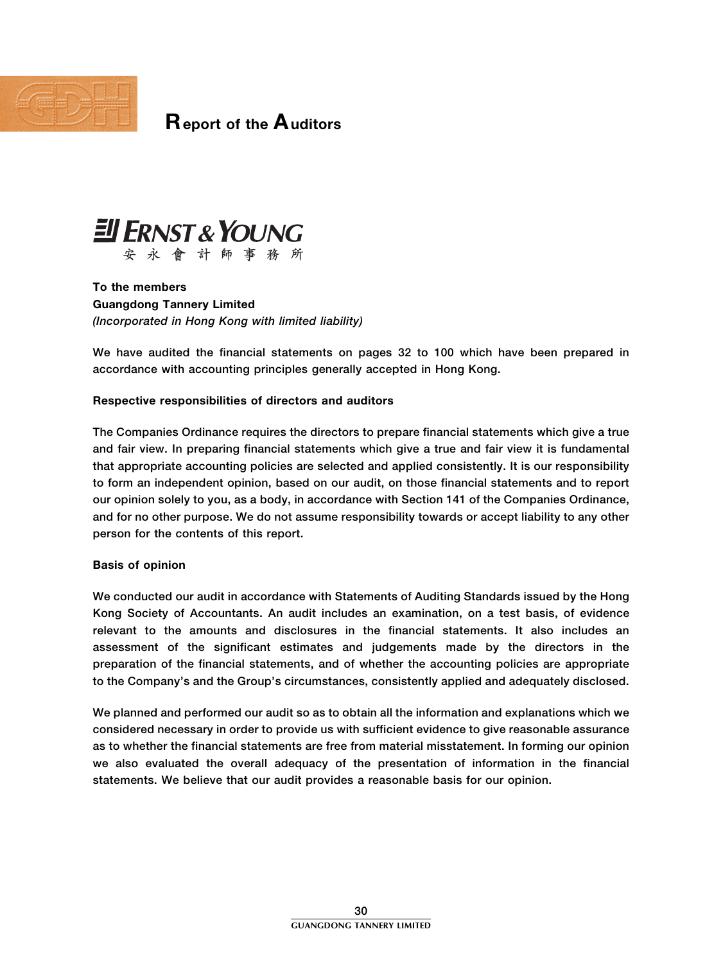

## Report of the Auditors



To the members Guangdong Tannery Limited (Incorporated in Hong Kong with limited liability)

We have audited the financial statements on pages 32 to 100 which have been prepared in accordance with accounting principles generally accepted in Hong Kong.

#### Respective responsibilities of directors and auditors

The Companies Ordinance requires the directors to prepare financial statements which give a true and fair view. In preparing financial statements which give a true and fair view it is fundamental that appropriate accounting policies are selected and applied consistently. It is our responsibility to form an independent opinion, based on our audit, on those financial statements and to report our opinion solely to you, as a body, in accordance with Section 141 of the Companies Ordinance, and for no other purpose. We do not assume responsibility towards or accept liability to any other person for the contents of this report.

#### Basis of opinion

We conducted our audit in accordance with Statements of Auditing Standards issued by the Hong Kong Society of Accountants. An audit includes an examination, on a test basis, of evidence relevant to the amounts and disclosures in the financial statements. It also includes an assessment of the significant estimates and judgements made by the directors in the preparation of the financial statements, and of whether the accounting policies are appropriate to the Company's and the Group's circumstances, consistently applied and adequately disclosed.

We planned and performed our audit so as to obtain all the information and explanations which we considered necessary in order to provide us with sufficient evidence to give reasonable assurance as to whether the financial statements are free from material misstatement. In forming our opinion we also evaluated the overall adequacy of the presentation of information in the financial statements. We believe that our audit provides a reasonable basis for our opinion.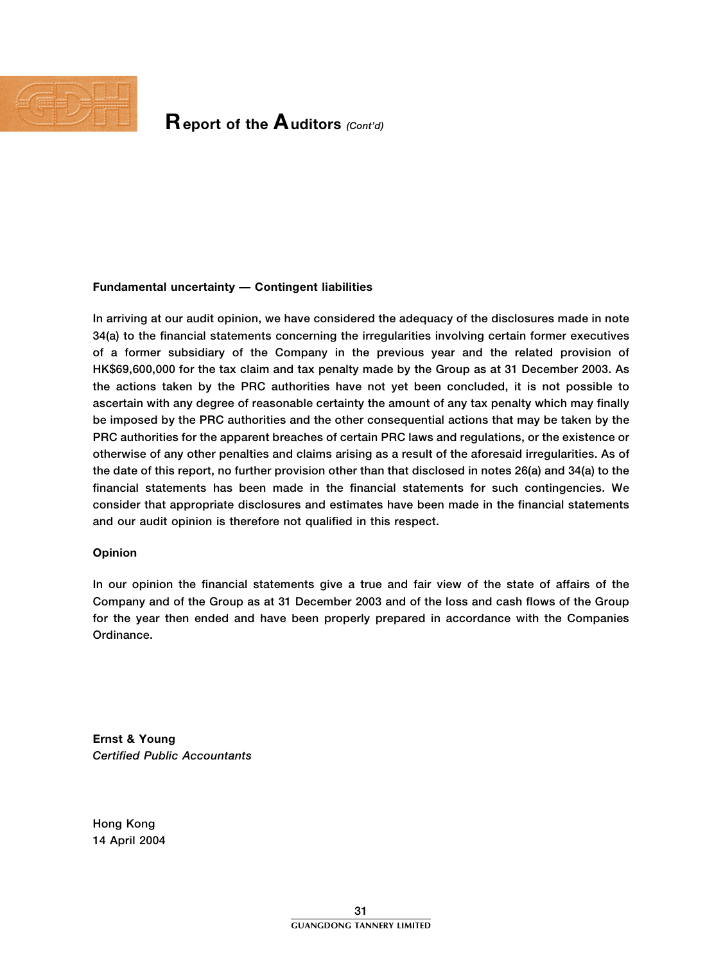

### **Report of the Auditors** (Cont'd)

#### Fundamental uncertainty — Contingent liabilities

In arriving at our audit opinion, we have considered the adequacy of the disclosures made in note 34(a) to the financial statements concerning the irregularities involving certain former executives of a former subsidiary of the Company in the previous year and the related provision of HK\$69,600,000 for the tax claim and tax penalty made by the Group as at 31 December 2003. As the actions taken by the PRC authorities have not yet been concluded, it is not possible to ascertain with any degree of reasonable certainty the amount of any tax penalty which may finally be imposed by the PRC authorities and the other consequential actions that may be taken by the PRC authorities for the apparent breaches of certain PRC laws and regulations, or the existence or otherwise of any other penalties and claims arising as a result of the aforesaid irregularities. As of the date of this report, no further provision other than that disclosed in notes 26(a) and 34(a) to the financial statements has been made in the financial statements for such contingencies. We consider that appropriate disclosures and estimates have been made in the financial statements and our audit opinion is therefore not qualified in this respect.

#### Opinion

In our opinion the financial statements give a true and fair view of the state of affairs of the Company and of the Group as at 31 December 2003 and of the loss and cash flows of the Group for the year then ended and have been properly prepared in accordance with the Companies Ordinance.

Ernst & Young Certified Public Accountants

Hong Kong 14 April 2004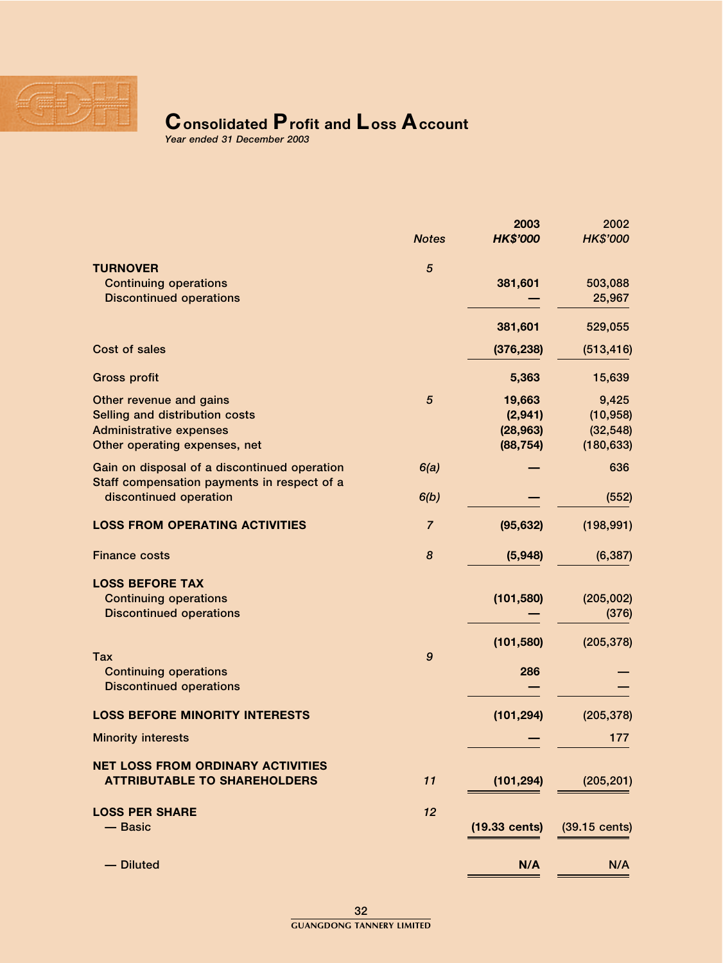

## Consolidated Profit and Loss Account

Year ended 31 December 2003

|                                                                                                                              | <b>Notes</b>   | 2003<br><b>HK\$'000</b>                     | 2002<br>HK\$'000                              |
|------------------------------------------------------------------------------------------------------------------------------|----------------|---------------------------------------------|-----------------------------------------------|
| <b>TURNOVER</b><br><b>Continuing operations</b><br><b>Discontinued operations</b>                                            | 5              | 381,601                                     | 503,088<br>25,967                             |
|                                                                                                                              |                | 381,601                                     | 529,055                                       |
| Cost of sales                                                                                                                |                | (376, 238)                                  | (513, 416)                                    |
| <b>Gross profit</b>                                                                                                          |                | 5,363                                       | 15,639                                        |
| Other revenue and gains<br>Selling and distribution costs<br><b>Administrative expenses</b><br>Other operating expenses, net | 5              | 19,663<br>(2,941)<br>(28, 963)<br>(88, 754) | 9,425<br>(10, 958)<br>(32, 548)<br>(180, 633) |
| Gain on disposal of a discontinued operation<br>Staff compensation payments in respect of a<br>discontinued operation        | 6(a)<br>6(b)   |                                             | 636<br>(552)                                  |
| <b>LOSS FROM OPERATING ACTIVITIES</b>                                                                                        | $\overline{7}$ | (95, 632)                                   | (198, 991)                                    |
| <b>Finance costs</b>                                                                                                         | 8              | (5,948)                                     | (6, 387)                                      |
| <b>LOSS BEFORE TAX</b><br><b>Continuing operations</b><br><b>Discontinued operations</b>                                     |                | (101, 580)                                  | (205,002)<br>(376)                            |
| Tax<br><b>Continuing operations</b><br><b>Discontinued operations</b>                                                        | 9              | (101, 580)<br>286                           | (205, 378)                                    |
| <b>LOSS BEFORE MINORITY INTERESTS</b>                                                                                        |                | (101, 294)                                  | (205, 378)                                    |
| <b>Minority interests</b>                                                                                                    |                |                                             | 177                                           |
| <b>NET LOSS FROM ORDINARY ACTIVITIES</b><br><b>ATTRIBUTABLE TO SHAREHOLDERS</b>                                              | 11             | (101, 294)                                  | (205, 201)                                    |
| <b>LOSS PER SHARE</b><br>— Basic                                                                                             | 12             | $(19.33 \text{ cents})$                     | (39.15 cents)                                 |
| - Diluted                                                                                                                    |                | N/A                                         | N/A                                           |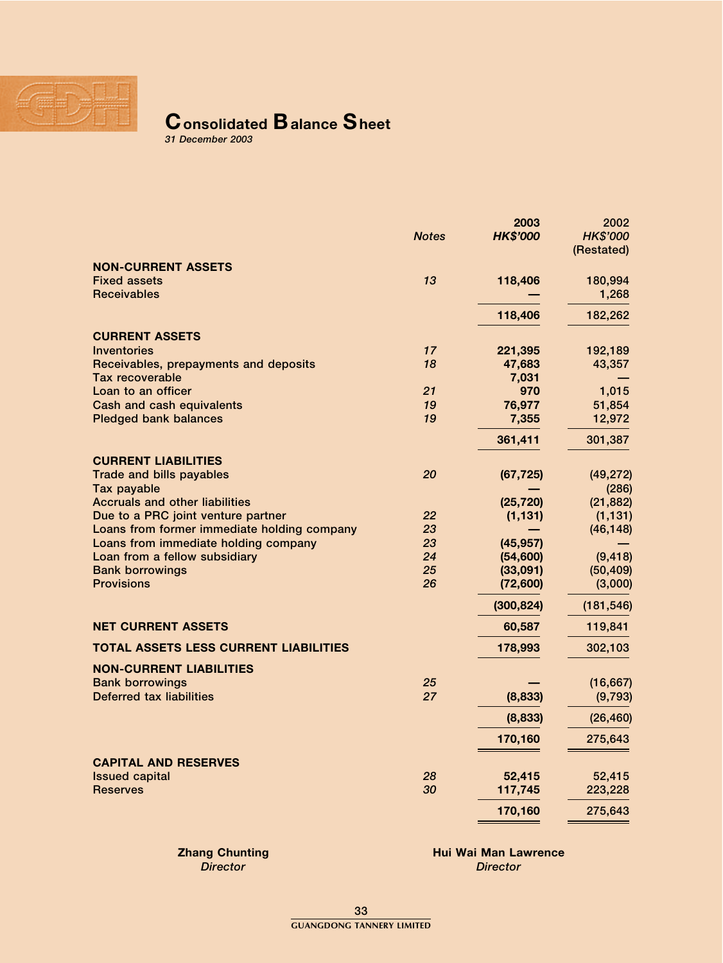

# Consolidated Balance Sheet

31 December 2003

|                                                                       | <b>Notes</b> | 2003<br><b>HK\$'000</b> | 2002<br>HK\$'000<br>(Restated) |
|-----------------------------------------------------------------------|--------------|-------------------------|--------------------------------|
| <b>NON-CURRENT ASSETS</b>                                             |              |                         |                                |
| <b>Fixed assets</b><br><b>Receivables</b>                             | 13           | 118,406                 | 180,994<br>1,268               |
|                                                                       |              | 118,406                 | 182,262                        |
| <b>CURRENT ASSETS</b>                                                 |              |                         |                                |
| <b>Inventories</b>                                                    | 17           | 221,395                 | 192,189                        |
| Receivables, prepayments and deposits                                 | 18           | 47,683                  | 43,357                         |
| <b>Tax recoverable</b>                                                |              | 7,031                   |                                |
| Loan to an officer                                                    | 21           | 970                     | 1,015                          |
| Cash and cash equivalents                                             | 19           | 76,977                  | 51,854                         |
| <b>Pledged bank balances</b>                                          | 19           | 7,355                   | 12,972                         |
|                                                                       |              | 361,411                 | 301,387                        |
| <b>CURRENT LIABILITIES</b>                                            |              |                         |                                |
| <b>Trade and bills payables</b>                                       | 20           | (67, 725)               | (49, 272)                      |
| Tax payable                                                           |              |                         | (286)                          |
| <b>Accruals and other liabilities</b>                                 |              | (25, 720)               | (21, 882)                      |
| Due to a PRC joint venture partner                                    | 22           | (1, 131)                | (1, 131)                       |
| Loans from former immediate holding company                           | 23           |                         | (46, 148)                      |
| Loans from immediate holding company<br>Loan from a fellow subsidiary | 23<br>24     | (45, 957)<br>(54,600)   | (9, 418)                       |
| <b>Bank borrowings</b>                                                | 25           | (33,091)                | (50, 409)                      |
| <b>Provisions</b>                                                     | 26           | (72,600)                | (3,000)                        |
|                                                                       |              | (300, 824)              | (181, 546)                     |
| <b>NET CURRENT ASSETS</b>                                             |              | 60,587                  | 119,841                        |
| TOTAL ASSETS LESS CURRENT LIABILITIES                                 |              | 178,993                 | 302,103                        |
| <b>NON-CURRENT LIABILITIES</b>                                        |              |                         |                                |
| <b>Bank borrowings</b>                                                | 25           |                         | (16, 667)                      |
| Deferred tax liabilities                                              | 27           | (8, 833)                | (9,793)                        |
|                                                                       |              | (8,833)                 | (26, 460)                      |
|                                                                       |              | 170,160                 | 275,643                        |
| <b>CAPITAL AND RESERVES</b>                                           |              |                         |                                |
| <b>Issued capital</b>                                                 | 28           | 52,415                  | 52,415                         |
| <b>Reserves</b>                                                       | 30           | 117,745                 | 223,228                        |
|                                                                       |              | 170,160                 | 275,643                        |
|                                                                       |              |                         |                                |

**Zhang Chunting Names and Science Engineeries and Science Hui Wai Man Lawrence Director Director**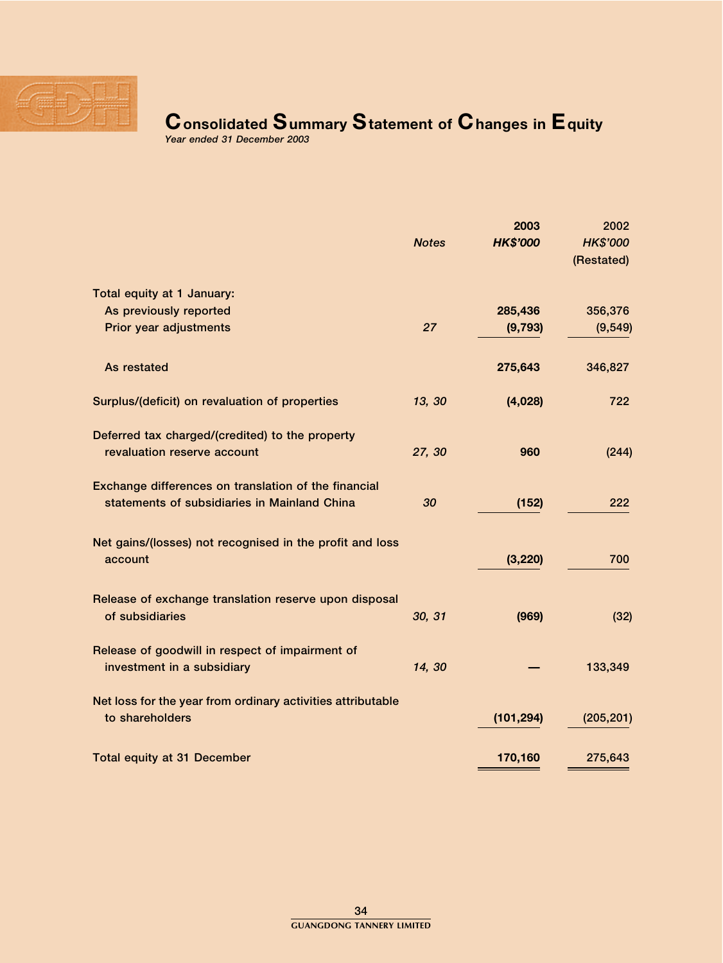

# ${\mathbf C}$  onsolidated  ${\mathbf S}$ ummary  ${\mathbf S}$ tatement of  ${\mathbf C}$ hanges in  ${\mathbf E}$  quity

Year ended 31 December 2003

|                                                                                                      | <b>Notes</b> | 2003<br><b>HK\$'000</b> | 2002<br><b>HK\$'000</b><br>(Restated) |
|------------------------------------------------------------------------------------------------------|--------------|-------------------------|---------------------------------------|
| Total equity at 1 January:                                                                           |              |                         |                                       |
| As previously reported                                                                               |              | 285,436                 | 356,376                               |
| Prior year adjustments                                                                               | 27           | (9, 793)                | (9, 549)                              |
| As restated                                                                                          |              | 275,643                 | 346,827                               |
| Surplus/(deficit) on revaluation of properties                                                       | 13, 30       | (4,028)                 | 722                                   |
| Deferred tax charged/(credited) to the property<br>revaluation reserve account                       | 27, 30       | 960                     | (244)                                 |
| Exchange differences on translation of the financial<br>statements of subsidiaries in Mainland China | 30           | (152)                   | 222                                   |
| Net gains/(losses) not recognised in the profit and loss<br>account                                  |              | (3, 220)                | 700                                   |
| Release of exchange translation reserve upon disposal<br>of subsidiaries                             | 30, 31       | (969)                   | (32)                                  |
| Release of goodwill in respect of impairment of<br>investment in a subsidiary                        | 14, 30       |                         | 133,349                               |
| Net loss for the year from ordinary activities attributable<br>to shareholders                       |              | (101, 294)              | (205, 201)                            |
| <b>Total equity at 31 December</b>                                                                   |              | 170,160                 | 275,643                               |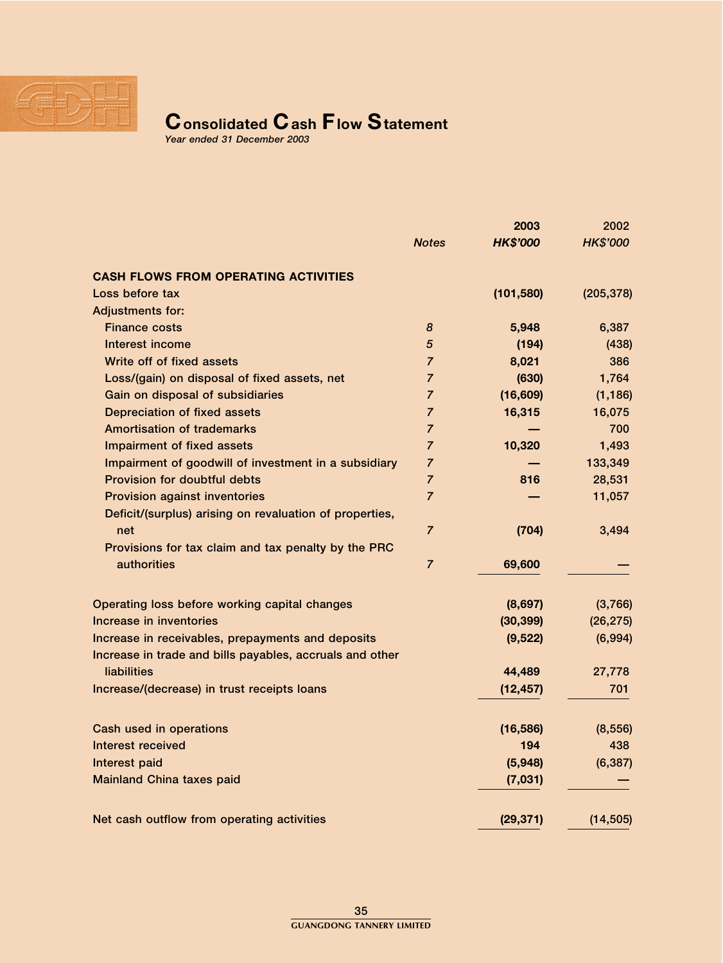

## **Consolidated Cash Flow Statement**

Year ended 31 December 2003

|                                                                                                               |                | 2003            | 2002            |
|---------------------------------------------------------------------------------------------------------------|----------------|-----------------|-----------------|
|                                                                                                               | <b>Notes</b>   | <b>HK\$'000</b> | <b>HK\$'000</b> |
| <b>CASH FLOWS FROM OPERATING ACTIVITIES</b>                                                                   |                |                 |                 |
| Loss before tax                                                                                               |                | (101, 580)      | (205, 378)      |
| <b>Adjustments for:</b>                                                                                       |                |                 |                 |
| <b>Finance costs</b>                                                                                          | 8              | 5,948           | 6,387           |
| Interest income                                                                                               | 5              | (194)           | (438)           |
| Write off of fixed assets                                                                                     | $\overline{7}$ | 8,021           | 386             |
| Loss/(gain) on disposal of fixed assets, net                                                                  | $\overline{7}$ | (630)           | 1,764           |
| Gain on disposal of subsidiaries                                                                              | $\overline{7}$ | (16, 609)       | (1, 186)        |
| <b>Depreciation of fixed assets</b>                                                                           | $\overline{7}$ | 16,315          | 16,075          |
| <b>Amortisation of trademarks</b>                                                                             | $\overline{7}$ |                 | 700             |
| Impairment of fixed assets                                                                                    | $\overline{7}$ | 10,320          | 1,493           |
| Impairment of goodwill of investment in a subsidiary                                                          | $\overline{7}$ |                 | 133,349         |
| <b>Provision for doubtful debts</b>                                                                           | $\overline{7}$ | 816             | 28,531          |
| <b>Provision against inventories</b>                                                                          | $\overline{7}$ |                 | 11,057          |
| Deficit/(surplus) arising on revaluation of properties,                                                       |                |                 |                 |
| net                                                                                                           | $\overline{7}$ | (704)           | 3,494           |
| Provisions for tax claim and tax penalty by the PRC                                                           |                |                 |                 |
| authorities                                                                                                   | $\overline{7}$ | 69,600          |                 |
|                                                                                                               |                |                 |                 |
| Operating loss before working capital changes                                                                 |                | (8,697)         | (3,766)         |
| Increase in inventories                                                                                       |                | (30, 399)       | (26, 275)       |
| Increase in receivables, prepayments and deposits<br>Increase in trade and bills payables, accruals and other |                | (9,522)         | (6,994)         |
| liabilities                                                                                                   |                | 44,489          |                 |
|                                                                                                               |                |                 | 27,778<br>701   |
| Increase/(decrease) in trust receipts loans                                                                   |                | (12, 457)       |                 |
| Cash used in operations                                                                                       |                | (16, 586)       | (8, 556)        |
| Interest received                                                                                             |                | 194             | 438             |
| Interest paid                                                                                                 |                | (5,948)         | (6, 387)        |
| <b>Mainland China taxes paid</b>                                                                              |                | (7,031)         |                 |
| Net cash outflow from operating activities                                                                    |                | (29, 371)       | (14, 505)       |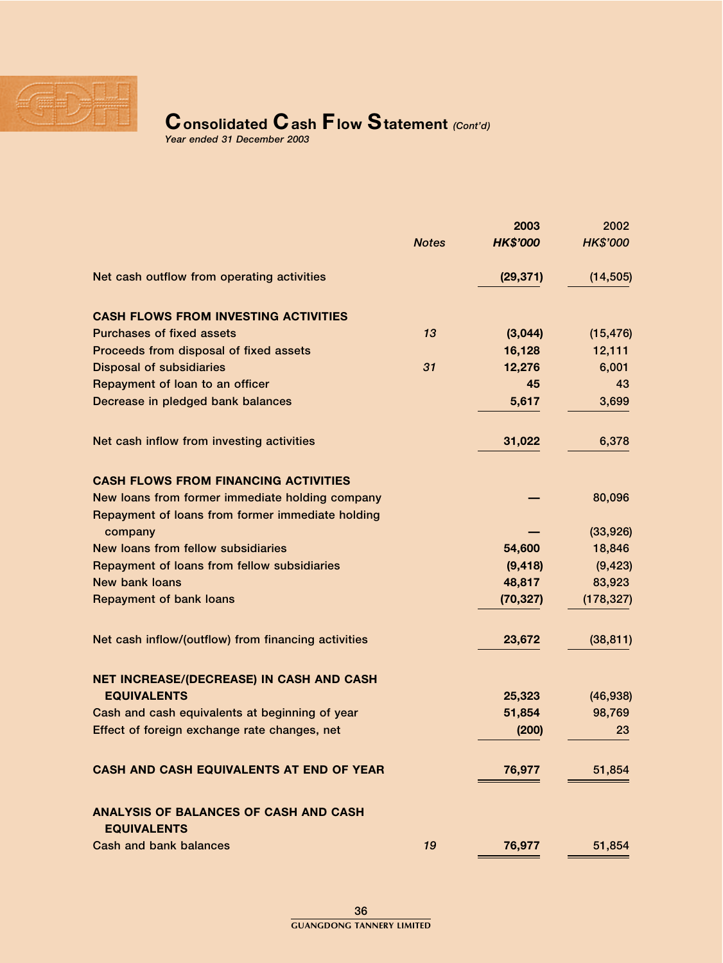

## $\mathbf C$  onsolidated  $\mathbf C$  ash  $\mathbf F$  low  $\mathbf S$ tatement (Cont'd)

Year ended 31 December 2003

|                                                                    |              | 2003            | 2002            |
|--------------------------------------------------------------------|--------------|-----------------|-----------------|
|                                                                    | <b>Notes</b> | <b>HK\$'000</b> | <b>HK\$'000</b> |
| Net cash outflow from operating activities                         |              | (29, 371)       | (14, 505)       |
| <b>CASH FLOWS FROM INVESTING ACTIVITIES</b>                        |              |                 |                 |
| <b>Purchases of fixed assets</b>                                   | 13           | (3,044)         | (15, 476)       |
| Proceeds from disposal of fixed assets                             |              | 16,128          | 12,111          |
| <b>Disposal of subsidiaries</b>                                    | 31           | 12,276          | 6,001           |
| Repayment of loan to an officer                                    |              | 45              | 43              |
| Decrease in pledged bank balances                                  |              | 5,617           | 3,699           |
| Net cash inflow from investing activities                          |              | 31,022          | 6,378           |
| <b>CASH FLOWS FROM FINANCING ACTIVITIES</b>                        |              |                 |                 |
| New loans from former immediate holding company                    |              |                 | 80,096          |
| Repayment of loans from former immediate holding<br>company        |              |                 | (33, 926)       |
| New loans from fellow subsidiaries                                 |              | 54,600          | 18,846          |
| Repayment of loans from fellow subsidiaries                        |              | (9, 418)        | (9, 423)        |
| New bank loans                                                     |              | 48,817          | 83,923          |
| <b>Repayment of bank loans</b>                                     |              | (70, 327)       | (178, 327)      |
| Net cash inflow/(outflow) from financing activities                |              | 23,672          | (38, 811)       |
| <b>NET INCREASE/(DECREASE) IN CASH AND CASH</b>                    |              |                 |                 |
| <b>EQUIVALENTS</b>                                                 |              | 25,323          | (46, 938)       |
| Cash and cash equivalents at beginning of year                     |              | 51,854          | 98,769          |
| Effect of foreign exchange rate changes, net                       |              | (200)           | 23              |
| CASH AND CASH EQUIVALENTS AT END OF YEAR                           |              | 76,977          | 51,854          |
| <b>ANALYSIS OF BALANCES OF CASH AND CASH</b><br><b>EQUIVALENTS</b> |              |                 |                 |
| <b>Cash and bank balances</b>                                      | 19           | 76,977          | 51,854          |
|                                                                    |              |                 |                 |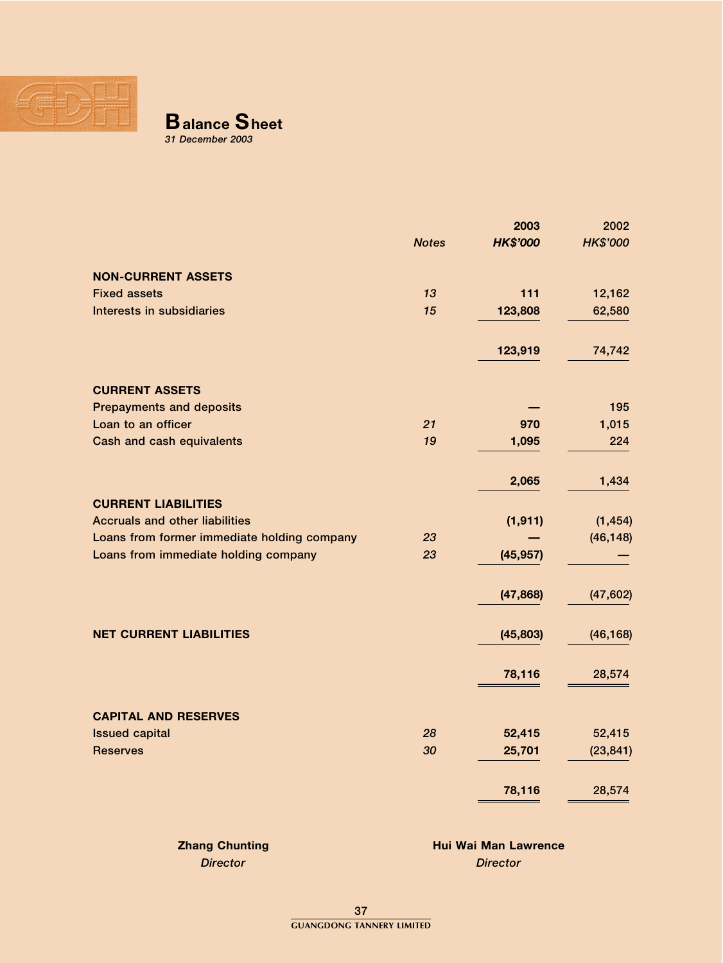

## **Balance Sheet** 31 December 2003

| <b>Notes</b> | 2003<br><b>HK\$'000</b> | 2002<br><b>HK\$'000</b>                 |
|--------------|-------------------------|-----------------------------------------|
|              |                         |                                         |
| 13           | 111                     | 12,162                                  |
| 15           | 123,808                 | 62,580                                  |
|              | 123,919                 | 74,742                                  |
|              |                         |                                         |
|              |                         |                                         |
|              |                         | 195                                     |
| 21           | 970                     | 1,015                                   |
| 19           | 1,095                   | 224                                     |
|              |                         |                                         |
|              | 2,065                   | 1,434                                   |
|              |                         |                                         |
|              | (1, 911)                | (1, 454)                                |
| 23           |                         | (46, 148)                               |
| 23           | (45, 957)               |                                         |
|              |                         |                                         |
|              | (47, 868)               | (47, 602)                               |
|              |                         | (46, 168)                               |
|              |                         |                                         |
|              | 78,116                  | 28,574                                  |
|              |                         |                                         |
|              |                         |                                         |
|              |                         | 52,415                                  |
|              |                         | (23, 841)                               |
|              |                         | 28,574                                  |
|              | 28<br>30                | (45, 803)<br>52,415<br>25,701<br>78,116 |

**Zhang Chunting Hui Wai Man Lawrence Director** Director **Director**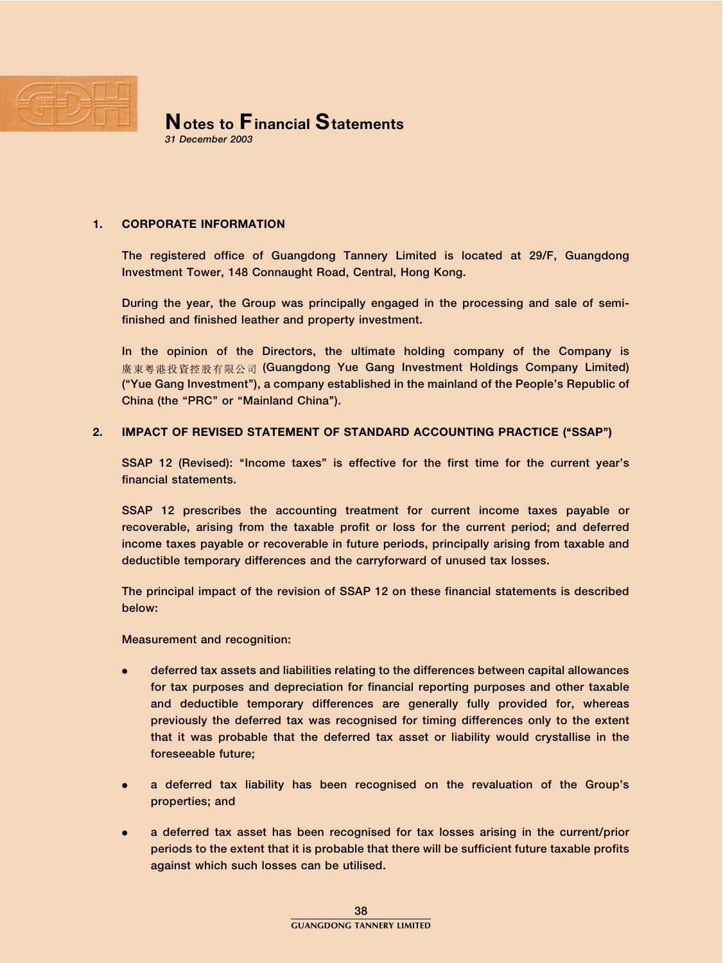

## Notes to Financial Statements

31 December 2003

## 1. CORPORATE INFORMATION

The registered office of Guangdong Tannery Limited is located at 29/F, Guangdong Investment Tower, 148 Connaught Road, Central, Hong Kong.

During the year, the Group was principally engaged in the processing and sale of semifinished and finished leather and property investment.

In the opinion of the Directors, the ultimate holding company of the Company is 廣東粵港投資控股有限公司 (Guangdong Yue Gang Investment Holdings Company Limited) (''Yue Gang Investment''), a company established in the mainland of the People's Republic of China (the "PRC" or "Mainland China").

## 2. IMPACT OF REVISED STATEMENT OF STANDARD ACCOUNTING PRACTICE ("SSAP")

SSAP 12 (Revised): "Income taxes" is effective for the first time for the current year's financial statements.

SSAP 12 prescribes the accounting treatment for current income taxes payable or recoverable, arising from the taxable profit or loss for the current period; and deferred income taxes payable or recoverable in future periods, principally arising from taxable and deductible temporary differences and the carryforward of unused tax losses.

The principal impact of the revision of SSAP 12 on these financial statements is described below:

Measurement and recognition:

- . deferred tax assets and liabilities relating to the differences between capital allowances for tax purposes and depreciation for financial reporting purposes and other taxable and deductible temporary differences are generally fully provided for, whereas previously the deferred tax was recognised for timing differences only to the extent that it was probable that the deferred tax asset or liability would crystallise in the foreseeable future;
- a deferred tax liability has been recognised on the revaluation of the Group's properties; and
- . a deferred tax asset has been recognised for tax losses arising in the current/prior periods to the extent that it is probable that there will be sufficient future taxable profits against which such losses can be utilised.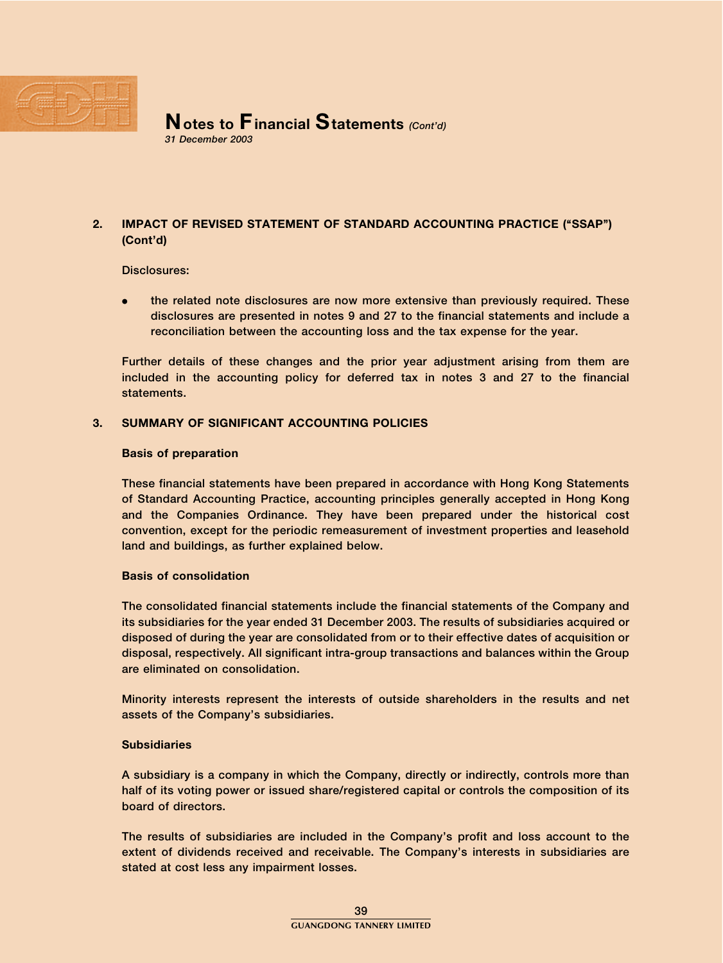

## 2. IMPACT OF REVISED STATEMENT OF STANDARD ACCOUNTING PRACTICE ("SSAP") (Cont'd)

## Disclosures:

the related note disclosures are now more extensive than previously required. These disclosures are presented in notes 9 and 27 to the financial statements and include a reconciliation between the accounting loss and the tax expense for the year.

Further details of these changes and the prior year adjustment arising from them are included in the accounting policy for deferred tax in notes 3 and 27 to the financial statements.

## 3. SUMMARY OF SIGNIFICANT ACCOUNTING POLICIES

## Basis of preparation

These financial statements have been prepared in accordance with Hong Kong Statements of Standard Accounting Practice, accounting principles generally accepted in Hong Kong and the Companies Ordinance. They have been prepared under the historical cost convention, except for the periodic remeasurement of investment properties and leasehold land and buildings, as further explained below.

## Basis of consolidation

The consolidated financial statements include the financial statements of the Company and its subsidiaries for the year ended 31 December 2003. The results of subsidiaries acquired or disposed of during the year are consolidated from or to their effective dates of acquisition or disposal, respectively. All significant intra-group transactions and balances within the Group are eliminated on consolidation.

Minority interests represent the interests of outside shareholders in the results and net assets of the Company's subsidiaries.

## **Subsidiaries**

A subsidiary is a company in which the Company, directly or indirectly, controls more than half of its voting power or issued share/registered capital or controls the composition of its board of directors.

The results of subsidiaries are included in the Company's profit and loss account to the extent of dividends received and receivable. The Company's interests in subsidiaries are stated at cost less any impairment losses.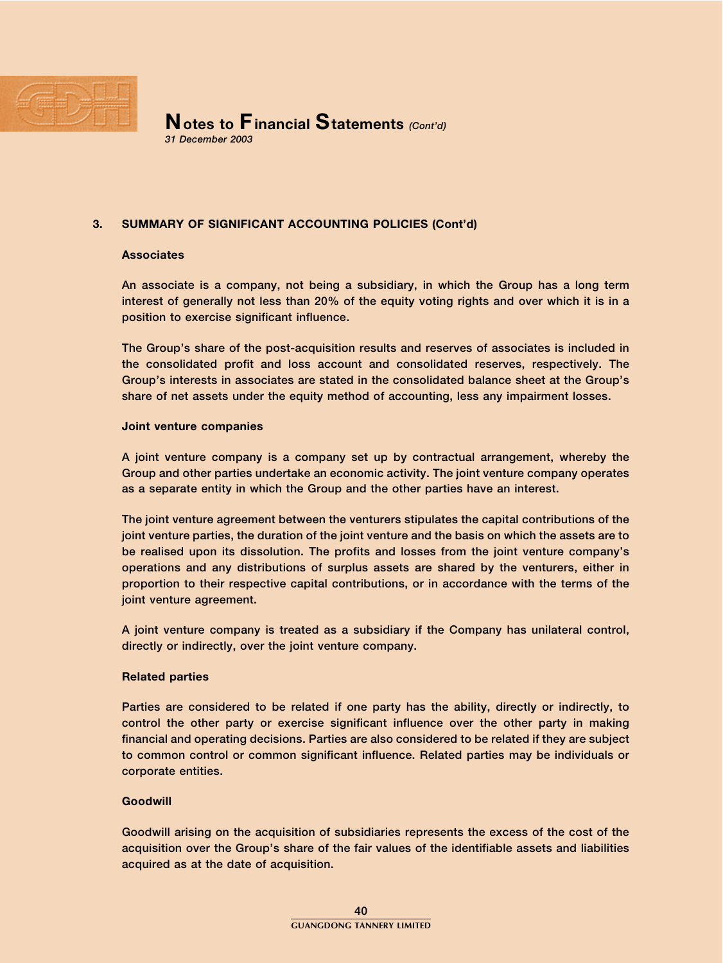

## 3. SUMMARY OF SIGNIFICANT ACCOUNTING POLICIES (Cont'd)

#### **Associates**

An associate is a company, not being a subsidiary, in which the Group has a long term interest of generally not less than 20% of the equity voting rights and over which it is in a position to exercise significant influence.

The Group's share of the post-acquisition results and reserves of associates is included in the consolidated profit and loss account and consolidated reserves, respectively. The Group's interests in associates are stated in the consolidated balance sheet at the Group's share of net assets under the equity method of accounting, less any impairment losses.

#### Joint venture companies

A joint venture company is a company set up by contractual arrangement, whereby the Group and other parties undertake an economic activity. The joint venture company operates as a separate entity in which the Group and the other parties have an interest.

The joint venture agreement between the venturers stipulates the capital contributions of the joint venture parties, the duration of the joint venture and the basis on which the assets are to be realised upon its dissolution. The profits and losses from the joint venture company's operations and any distributions of surplus assets are shared by the venturers, either in proportion to their respective capital contributions, or in accordance with the terms of the joint venture agreement.

A joint venture company is treated as a subsidiary if the Company has unilateral control, directly or indirectly, over the joint venture company.

#### Related parties

Parties are considered to be related if one party has the ability, directly or indirectly, to control the other party or exercise significant influence over the other party in making financial and operating decisions. Parties are also considered to be related if they are subject to common control or common significant influence. Related parties may be individuals or corporate entities.

#### Goodwill

Goodwill arising on the acquisition of subsidiaries represents the excess of the cost of the acquisition over the Group's share of the fair values of the identifiable assets and liabilities acquired as at the date of acquisition.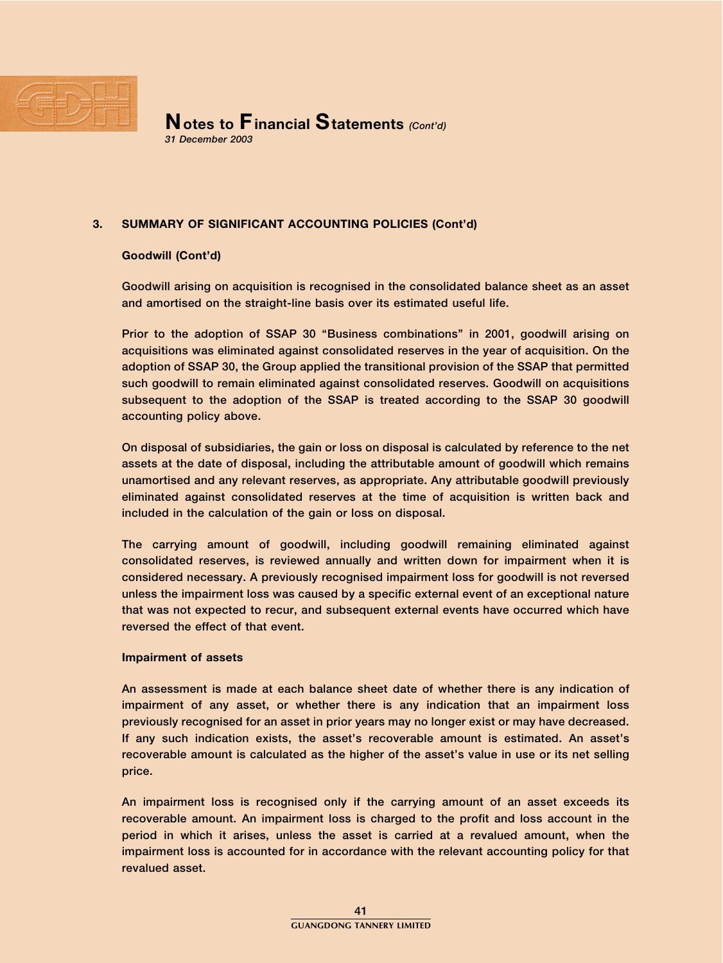

## 3. SUMMARY OF SIGNIFICANT ACCOUNTING POLICIES (Cont'd)

## Goodwill (Cont'd)

Goodwill arising on acquisition is recognised in the consolidated balance sheet as an asset and amortised on the straight-line basis over its estimated useful life.

Prior to the adoption of SSAP 30 "Business combinations" in 2001, goodwill arising on acquisitions was eliminated against consolidated reserves in the year of acquisition. On the adoption of SSAP 30, the Group applied the transitional provision of the SSAP that permitted such goodwill to remain eliminated against consolidated reserves. Goodwill on acquisitions subsequent to the adoption of the SSAP is treated according to the SSAP 30 goodwill accounting policy above.

On disposal of subsidiaries, the gain or loss on disposal is calculated by reference to the net assets at the date of disposal, including the attributable amount of goodwill which remains unamortised and any relevant reserves, as appropriate. Any attributable goodwill previously eliminated against consolidated reserves at the time of acquisition is written back and included in the calculation of the gain or loss on disposal.

The carrying amount of goodwill, including goodwill remaining eliminated against consolidated reserves, is reviewed annually and written down for impairment when it is considered necessary. A previously recognised impairment loss for goodwill is not reversed unless the impairment loss was caused by a specific external event of an exceptional nature that was not expected to recur, and subsequent external events have occurred which have reversed the effect of that event.

#### Impairment of assets

An assessment is made at each balance sheet date of whether there is any indication of impairment of any asset, or whether there is any indication that an impairment loss previously recognised for an asset in prior years may no longer exist or may have decreased. If any such indication exists, the asset's recoverable amount is estimated. An asset's recoverable amount is calculated as the higher of the asset's value in use or its net selling price.

An impairment loss is recognised only if the carrying amount of an asset exceeds its recoverable amount. An impairment loss is charged to the profit and loss account in the period in which it arises, unless the asset is carried at a revalued amount, when the impairment loss is accounted for in accordance with the relevant accounting policy for that revalued asset.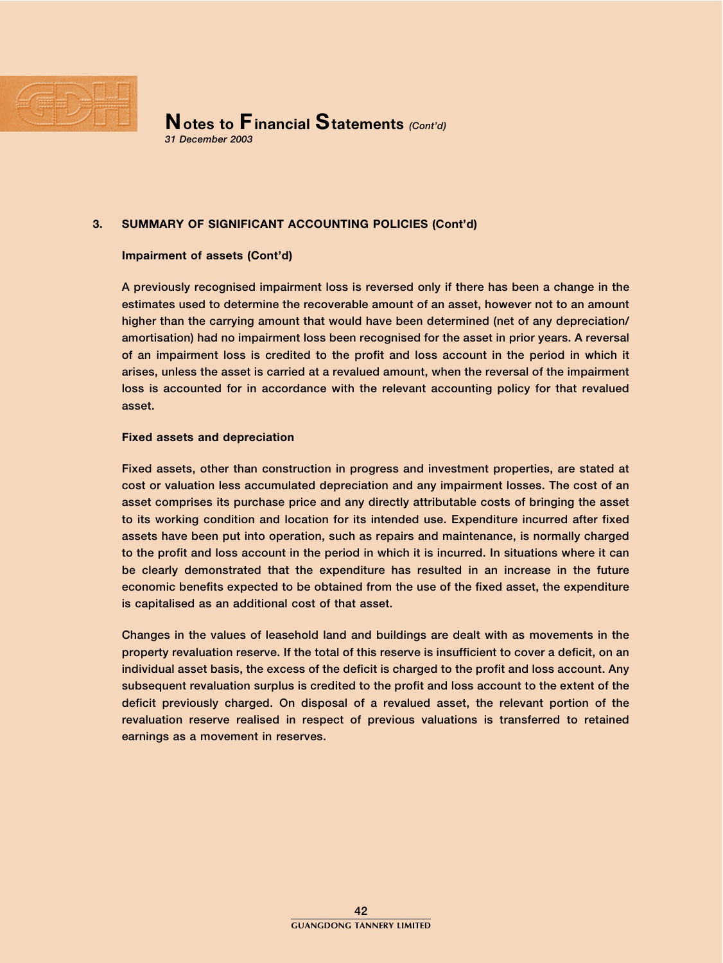

## 3. SUMMARY OF SIGNIFICANT ACCOUNTING POLICIES (Cont'd)

#### Impairment of assets (Cont'd)

A previously recognised impairment loss is reversed only if there has been a change in the estimates used to determine the recoverable amount of an asset, however not to an amount higher than the carrying amount that would have been determined (net of any depreciation/ amortisation) had no impairment loss been recognised for the asset in prior years. A reversal of an impairment loss is credited to the profit and loss account in the period in which it arises, unless the asset is carried at a revalued amount, when the reversal of the impairment loss is accounted for in accordance with the relevant accounting policy for that revalued asset.

#### Fixed assets and depreciation

Fixed assets, other than construction in progress and investment properties, are stated at cost or valuation less accumulated depreciation and any impairment losses. The cost of an asset comprises its purchase price and any directly attributable costs of bringing the asset to its working condition and location for its intended use. Expenditure incurred after fixed assets have been put into operation, such as repairs and maintenance, is normally charged to the profit and loss account in the period in which it is incurred. In situations where it can be clearly demonstrated that the expenditure has resulted in an increase in the future economic benefits expected to be obtained from the use of the fixed asset, the expenditure is capitalised as an additional cost of that asset.

Changes in the values of leasehold land and buildings are dealt with as movements in the property revaluation reserve. If the total of this reserve is insufficient to cover a deficit, on an individual asset basis, the excess of the deficit is charged to the profit and loss account. Any subsequent revaluation surplus is credited to the profit and loss account to the extent of the deficit previously charged. On disposal of a revalued asset, the relevant portion of the revaluation reserve realised in respect of previous valuations is transferred to retained earnings as a movement in reserves.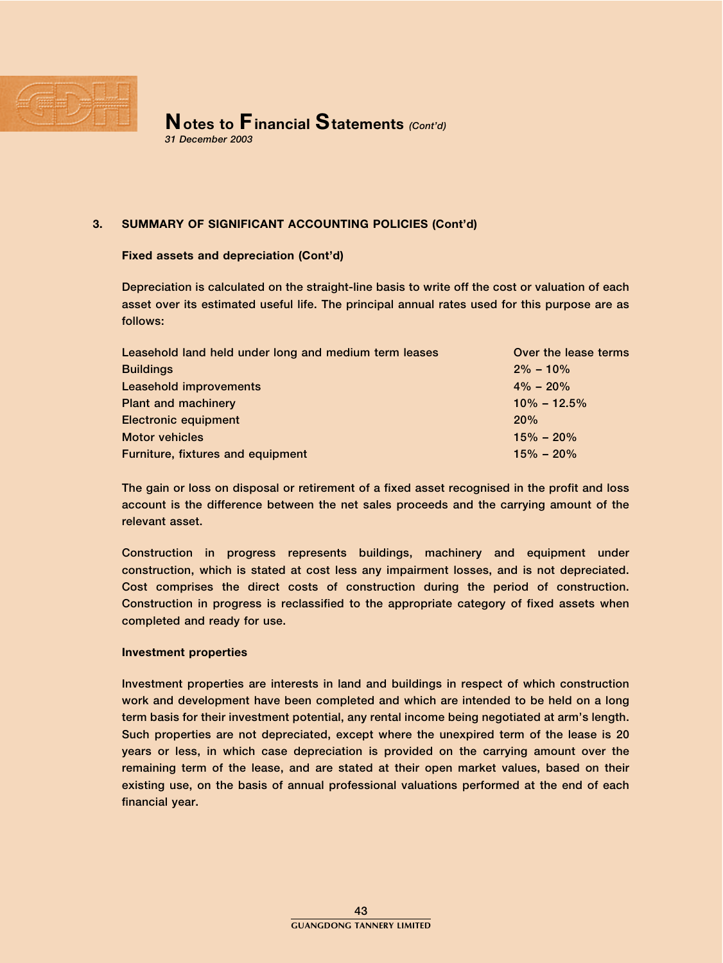

## 3. SUMMARY OF SIGNIFICANT ACCOUNTING POLICIES (Cont'd)

## Fixed assets and depreciation (Cont'd)

Depreciation is calculated on the straight-line basis to write off the cost or valuation of each asset over its estimated useful life. The principal annual rates used for this purpose are as follows:

| Leasehold land held under long and medium term leases | Over the lease terms |
|-------------------------------------------------------|----------------------|
| <b>Buildings</b>                                      | $2\% - 10\%$         |
| Leasehold improvements                                | $4\% - 20\%$         |
| <b>Plant and machinery</b>                            | $10\% - 12.5\%$      |
| <b>Electronic equipment</b>                           | 20%                  |
| <b>Motor vehicles</b>                                 | $15\% - 20\%$        |
| <b>Furniture, fixtures and equipment</b>              | $15\% - 20\%$        |

The gain or loss on disposal or retirement of a fixed asset recognised in the profit and loss account is the difference between the net sales proceeds and the carrying amount of the relevant asset.

Construction in progress represents buildings, machinery and equipment under construction, which is stated at cost less any impairment losses, and is not depreciated. Cost comprises the direct costs of construction during the period of construction. Construction in progress is reclassified to the appropriate category of fixed assets when completed and ready for use.

#### Investment properties

Investment properties are interests in land and buildings in respect of which construction work and development have been completed and which are intended to be held on a long term basis for their investment potential, any rental income being negotiated at arm's length. Such properties are not depreciated, except where the unexpired term of the lease is 20 years or less, in which case depreciation is provided on the carrying amount over the remaining term of the lease, and are stated at their open market values, based on their existing use, on the basis of annual professional valuations performed at the end of each financial year.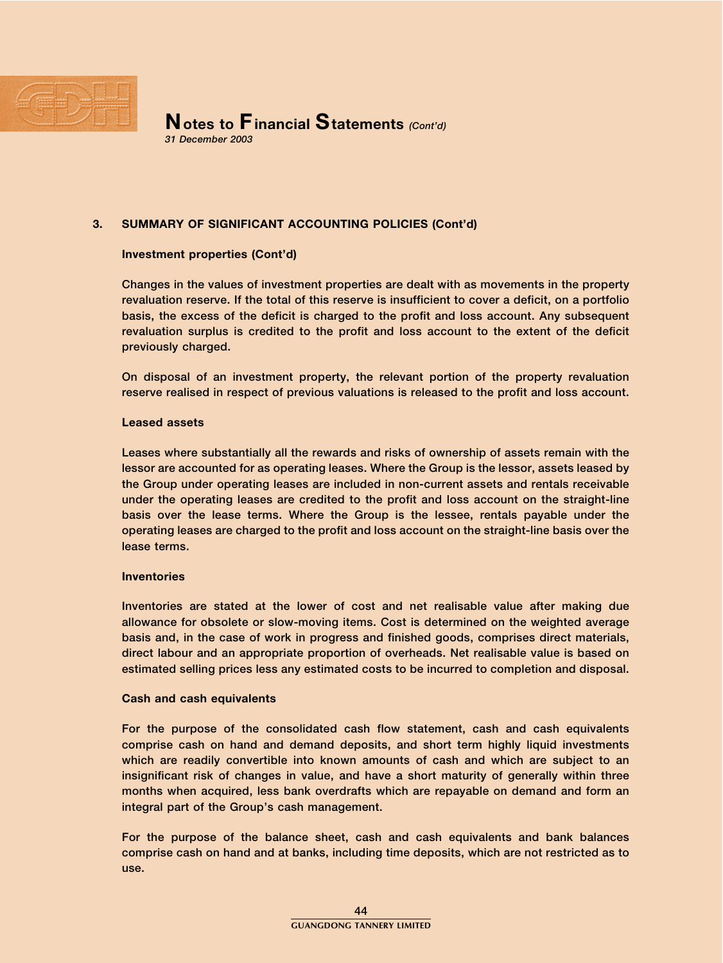

## 3. SUMMARY OF SIGNIFICANT ACCOUNTING POLICIES (Cont'd)

#### Investment properties (Cont'd)

Changes in the values of investment properties are dealt with as movements in the property revaluation reserve. If the total of this reserve is insufficient to cover a deficit, on a portfolio basis, the excess of the deficit is charged to the profit and loss account. Any subsequent revaluation surplus is credited to the profit and loss account to the extent of the deficit previously charged.

On disposal of an investment property, the relevant portion of the property revaluation reserve realised in respect of previous valuations is released to the profit and loss account.

#### Leased assets

Leases where substantially all the rewards and risks of ownership of assets remain with the lessor are accounted for as operating leases. Where the Group is the lessor, assets leased by the Group under operating leases are included in non-current assets and rentals receivable under the operating leases are credited to the profit and loss account on the straight-line basis over the lease terms. Where the Group is the lessee, rentals payable under the operating leases are charged to the profit and loss account on the straight-line basis over the lease terms.

#### **Inventories**

Inventories are stated at the lower of cost and net realisable value after making due allowance for obsolete or slow-moving items. Cost is determined on the weighted average basis and, in the case of work in progress and finished goods, comprises direct materials, direct labour and an appropriate proportion of overheads. Net realisable value is based on estimated selling prices less any estimated costs to be incurred to completion and disposal.

#### Cash and cash equivalents

For the purpose of the consolidated cash flow statement, cash and cash equivalents comprise cash on hand and demand deposits, and short term highly liquid investments which are readily convertible into known amounts of cash and which are subject to an insignificant risk of changes in value, and have a short maturity of generally within three months when acquired, less bank overdrafts which are repayable on demand and form an integral part of the Group's cash management.

For the purpose of the balance sheet, cash and cash equivalents and bank balances comprise cash on hand and at banks, including time deposits, which are not restricted as to use.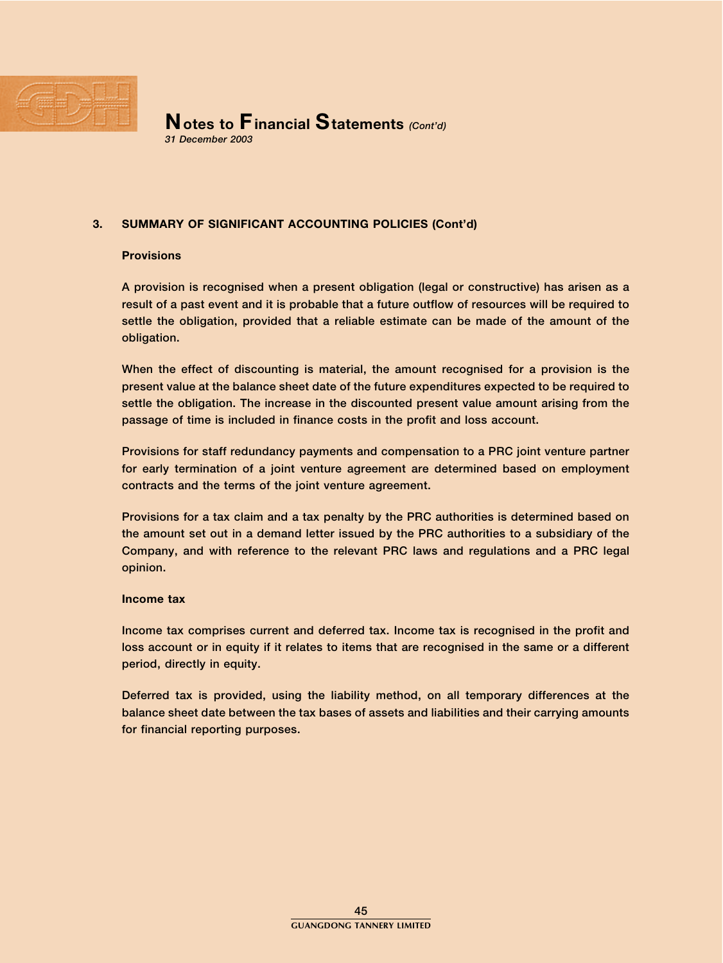

## 3. SUMMARY OF SIGNIFICANT ACCOUNTING POLICIES (Cont'd)

#### **Provisions**

A provision is recognised when a present obligation (legal or constructive) has arisen as a result of a past event and it is probable that a future outflow of resources will be required to settle the obligation, provided that a reliable estimate can be made of the amount of the obligation.

When the effect of discounting is material, the amount recognised for a provision is the present value at the balance sheet date of the future expenditures expected to be required to settle the obligation. The increase in the discounted present value amount arising from the passage of time is included in finance costs in the profit and loss account.

Provisions for staff redundancy payments and compensation to a PRC joint venture partner for early termination of a joint venture agreement are determined based on employment contracts and the terms of the joint venture agreement.

Provisions for a tax claim and a tax penalty by the PRC authorities is determined based on the amount set out in a demand letter issued by the PRC authorities to a subsidiary of the Company, and with reference to the relevant PRC laws and regulations and a PRC legal opinion.

#### Income tax

Income tax comprises current and deferred tax. Income tax is recognised in the profit and loss account or in equity if it relates to items that are recognised in the same or a different period, directly in equity.

Deferred tax is provided, using the liability method, on all temporary differences at the balance sheet date between the tax bases of assets and liabilities and their carrying amounts for financial reporting purposes.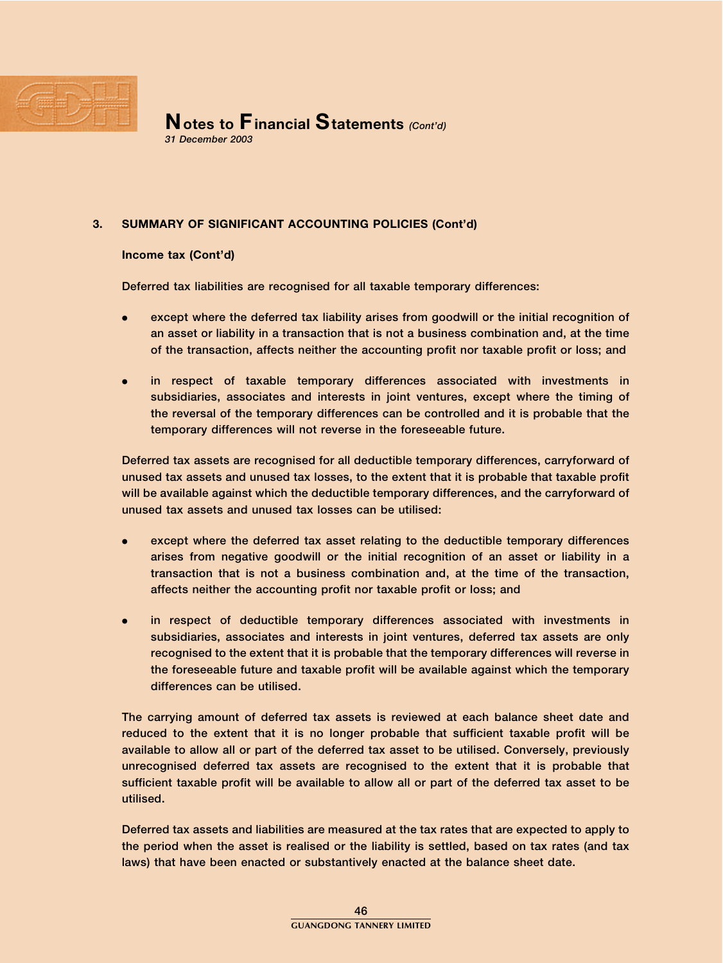

## 3. SUMMARY OF SIGNIFICANT ACCOUNTING POLICIES (Cont'd)

## Income tax (Cont'd)

Deferred tax liabilities are recognised for all taxable temporary differences:

- . except where the deferred tax liability arises from goodwill or the initial recognition of an asset or liability in a transaction that is not a business combination and, at the time of the transaction, affects neither the accounting profit nor taxable profit or loss; and
- . in respect of taxable temporary differences associated with investments in subsidiaries, associates and interests in joint ventures, except where the timing of the reversal of the temporary differences can be controlled and it is probable that the temporary differences will not reverse in the foreseeable future.

Deferred tax assets are recognised for all deductible temporary differences, carryforward of unused tax assets and unused tax losses, to the extent that it is probable that taxable profit will be available against which the deductible temporary differences, and the carryforward of unused tax assets and unused tax losses can be utilised:

- . except where the deferred tax asset relating to the deductible temporary differences arises from negative goodwill or the initial recognition of an asset or liability in a transaction that is not a business combination and, at the time of the transaction, affects neither the accounting profit nor taxable profit or loss; and
- . in respect of deductible temporary differences associated with investments in subsidiaries, associates and interests in joint ventures, deferred tax assets are only recognised to the extent that it is probable that the temporary differences will reverse in the foreseeable future and taxable profit will be available against which the temporary differences can be utilised.

The carrying amount of deferred tax assets is reviewed at each balance sheet date and reduced to the extent that it is no longer probable that sufficient taxable profit will be available to allow all or part of the deferred tax asset to be utilised. Conversely, previously unrecognised deferred tax assets are recognised to the extent that it is probable that sufficient taxable profit will be available to allow all or part of the deferred tax asset to be utilised.

Deferred tax assets and liabilities are measured at the tax rates that are expected to apply to the period when the asset is realised or the liability is settled, based on tax rates (and tax laws) that have been enacted or substantively enacted at the balance sheet date.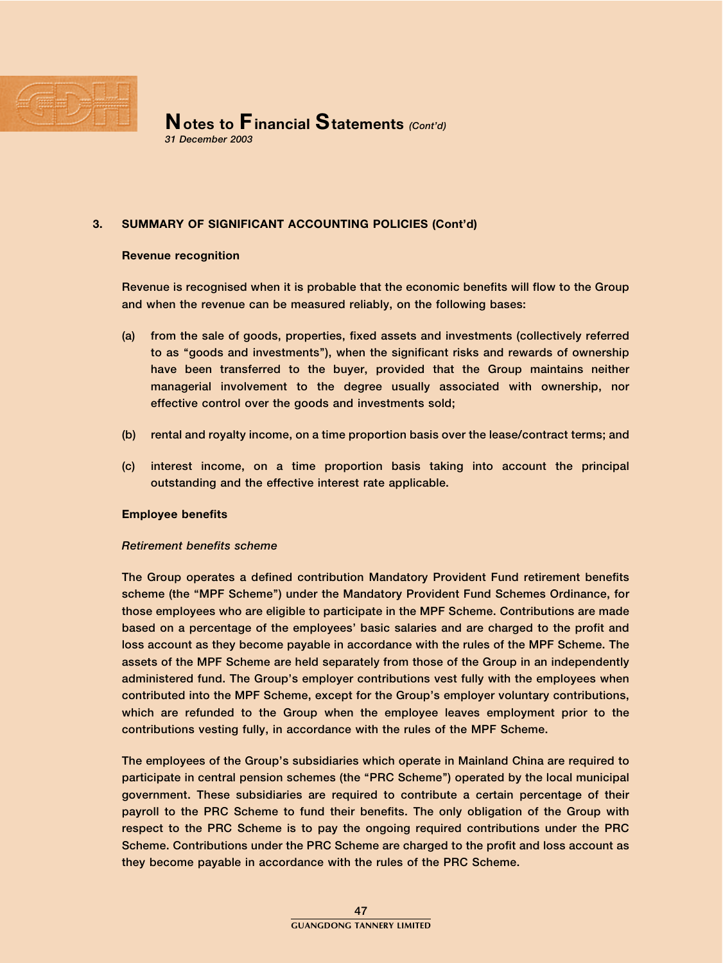

## 3. SUMMARY OF SIGNIFICANT ACCOUNTING POLICIES (Cont'd)

#### Revenue recognition

Revenue is recognised when it is probable that the economic benefits will flow to the Group and when the revenue can be measured reliably, on the following bases:

- (a) from the sale of goods, properties, fixed assets and investments (collectively referred to as ''goods and investments''), when the significant risks and rewards of ownership have been transferred to the buyer, provided that the Group maintains neither managerial involvement to the degree usually associated with ownership, nor effective control over the goods and investments sold;
- (b) rental and royalty income, on a time proportion basis over the lease/contract terms; and
- (c) interest income, on a time proportion basis taking into account the principal outstanding and the effective interest rate applicable.

#### Employee benefits

#### Retirement benefits scheme

The Group operates a defined contribution Mandatory Provident Fund retirement benefits scheme (the ''MPF Scheme'') under the Mandatory Provident Fund Schemes Ordinance, for those employees who are eligible to participate in the MPF Scheme. Contributions are made based on a percentage of the employees' basic salaries and are charged to the profit and loss account as they become payable in accordance with the rules of the MPF Scheme. The assets of the MPF Scheme are held separately from those of the Group in an independently administered fund. The Group's employer contributions vest fully with the employees when contributed into the MPF Scheme, except for the Group's employer voluntary contributions, which are refunded to the Group when the employee leaves employment prior to the contributions vesting fully, in accordance with the rules of the MPF Scheme.

The employees of the Group's subsidiaries which operate in Mainland China are required to participate in central pension schemes (the "PRC Scheme") operated by the local municipal government. These subsidiaries are required to contribute a certain percentage of their payroll to the PRC Scheme to fund their benefits. The only obligation of the Group with respect to the PRC Scheme is to pay the ongoing required contributions under the PRC Scheme. Contributions under the PRC Scheme are charged to the profit and loss account as they become payable in accordance with the rules of the PRC Scheme.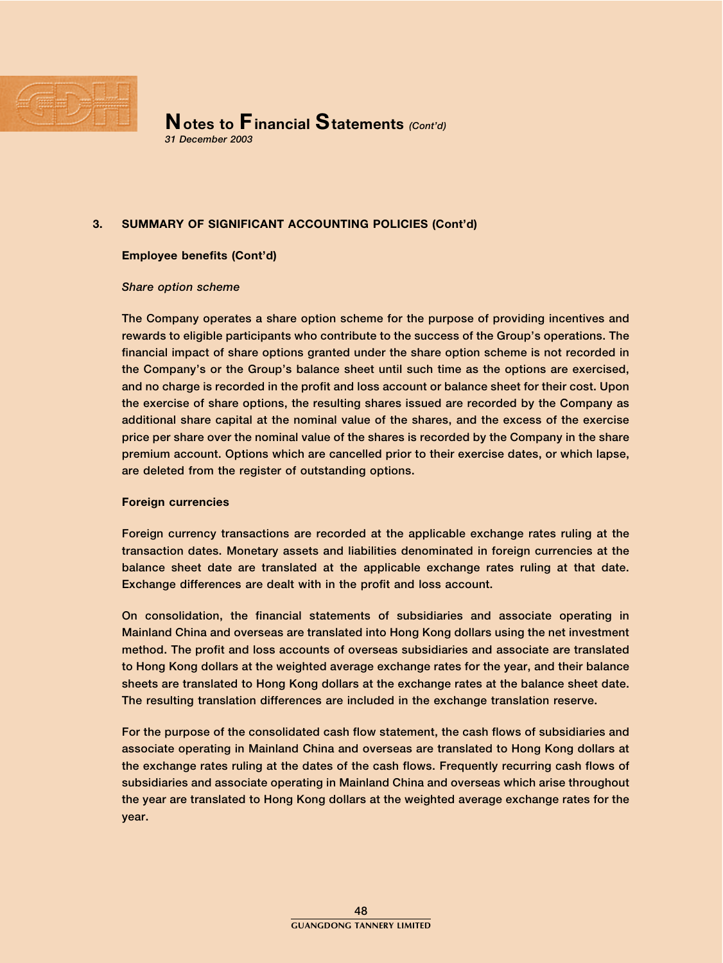

## 3. SUMMARY OF SIGNIFICANT ACCOUNTING POLICIES (Cont'd)

## Employee benefits (Cont'd)

#### Share option scheme

The Company operates a share option scheme for the purpose of providing incentives and rewards to eligible participants who contribute to the success of the Group's operations. The financial impact of share options granted under the share option scheme is not recorded in the Company's or the Group's balance sheet until such time as the options are exercised, and no charge is recorded in the profit and loss account or balance sheet for their cost. Upon the exercise of share options, the resulting shares issued are recorded by the Company as additional share capital at the nominal value of the shares, and the excess of the exercise price per share over the nominal value of the shares is recorded by the Company in the share premium account. Options which are cancelled prior to their exercise dates, or which lapse, are deleted from the register of outstanding options.

#### Foreign currencies

Foreign currency transactions are recorded at the applicable exchange rates ruling at the transaction dates. Monetary assets and liabilities denominated in foreign currencies at the balance sheet date are translated at the applicable exchange rates ruling at that date. Exchange differences are dealt with in the profit and loss account.

On consolidation, the financial statements of subsidiaries and associate operating in Mainland China and overseas are translated into Hong Kong dollars using the net investment method. The profit and loss accounts of overseas subsidiaries and associate are translated to Hong Kong dollars at the weighted average exchange rates for the year, and their balance sheets are translated to Hong Kong dollars at the exchange rates at the balance sheet date. The resulting translation differences are included in the exchange translation reserve.

For the purpose of the consolidated cash flow statement, the cash flows of subsidiaries and associate operating in Mainland China and overseas are translated to Hong Kong dollars at the exchange rates ruling at the dates of the cash flows. Frequently recurring cash flows of subsidiaries and associate operating in Mainland China and overseas which arise throughout the year are translated to Hong Kong dollars at the weighted average exchange rates for the year.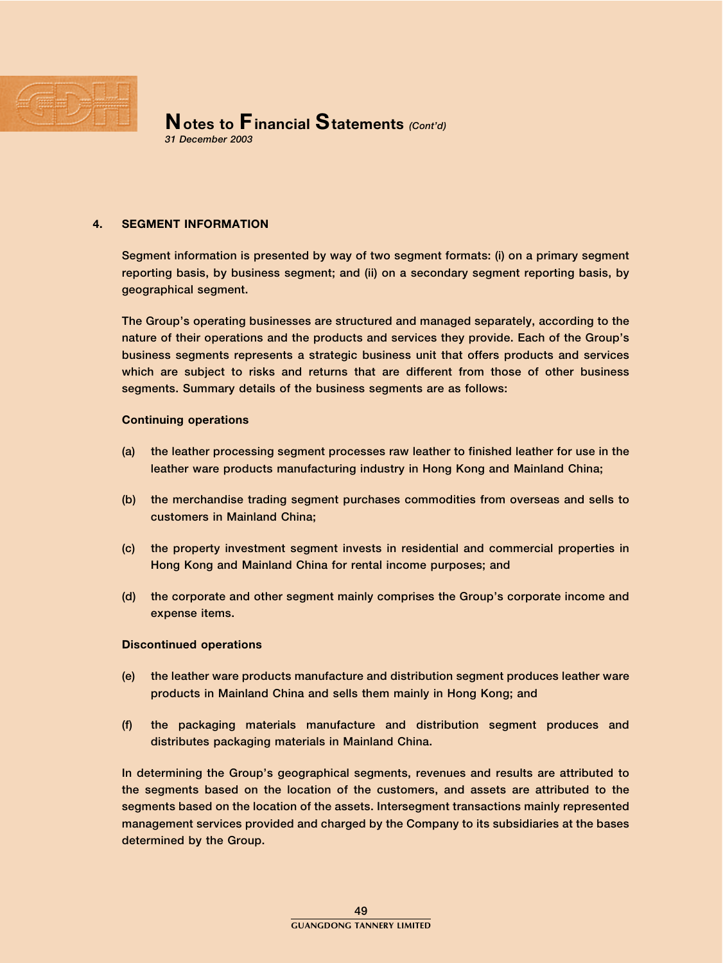

4. SEGMENT INFORMATION

Segment information is presented by way of two segment formats: (i) on a primary segment reporting basis, by business segment; and (ii) on a secondary segment reporting basis, by geographical segment.

The Group's operating businesses are structured and managed separately, according to the nature of their operations and the products and services they provide. Each of the Group's business segments represents a strategic business unit that offers products and services which are subject to risks and returns that are different from those of other business segments. Summary details of the business segments are as follows:

## Continuing operations

- (a) the leather processing segment processes raw leather to finished leather for use in the leather ware products manufacturing industry in Hong Kong and Mainland China;
- (b) the merchandise trading segment purchases commodities from overseas and sells to customers in Mainland China;
- (c) the property investment segment invests in residential and commercial properties in Hong Kong and Mainland China for rental income purposes; and
- (d) the corporate and other segment mainly comprises the Group's corporate income and expense items.

## Discontinued operations

- (e) the leather ware products manufacture and distribution segment produces leather ware products in Mainland China and sells them mainly in Hong Kong; and
- (f) the packaging materials manufacture and distribution segment produces and distributes packaging materials in Mainland China.

In determining the Group's geographical segments, revenues and results are attributed to the segments based on the location of the customers, and assets are attributed to the segments based on the location of the assets. Intersegment transactions mainly represented management services provided and charged by the Company to its subsidiaries at the bases determined by the Group.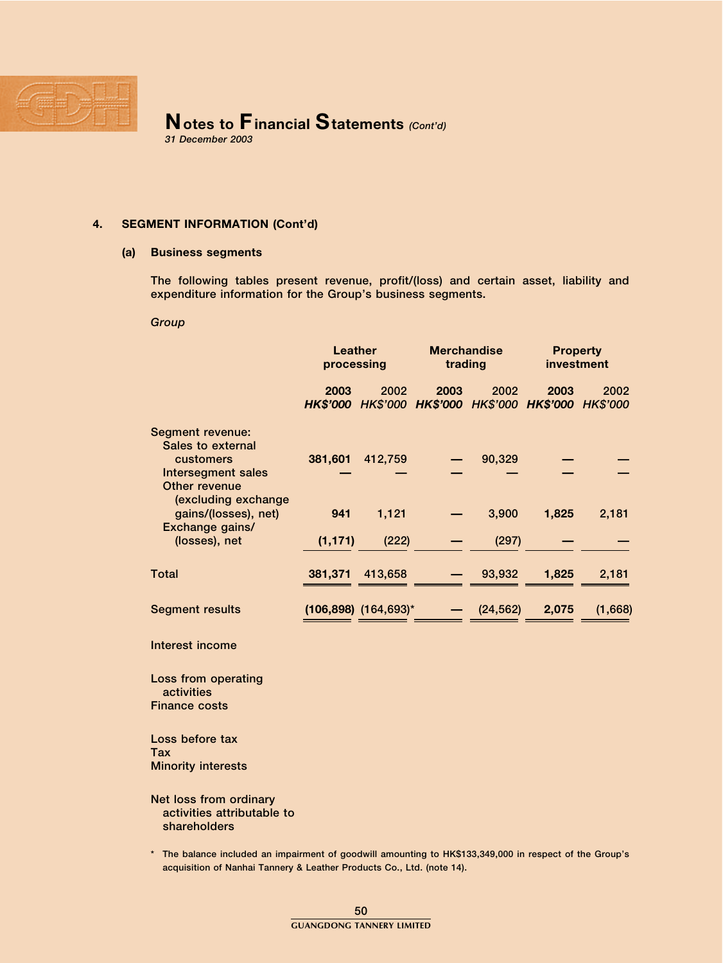

31 December 2003

## 4. SEGMENT INFORMATION (Cont'd)

## (a) Business segments

The following tables present revenue, profit/(loss) and certain asset, liability and expenditure information for the Group's business segments.

**Group** 

|                                                            | Leather<br>processing |                             | <b>Merchandise</b><br>trading                                 |           | <b>Property</b><br>investment |         |
|------------------------------------------------------------|-----------------------|-----------------------------|---------------------------------------------------------------|-----------|-------------------------------|---------|
|                                                            | 2003                  | 2002                        | 2003<br>HK\$'000 HK\$'000 HK\$'000 HK\$'000 HK\$'000 HK\$'000 | 2002      | 2003                          | 2002    |
| <b>Segment revenue:</b><br>Sales to external               |                       |                             |                                                               |           |                               |         |
| customers                                                  | 381,601               | 412,759                     |                                                               | 90,329    |                               |         |
| Intersegment sales<br>Other revenue<br>(excluding exchange |                       |                             |                                                               |           |                               |         |
| gains/(losses), net)<br>Exchange gains/                    | 941                   | 1,121                       |                                                               | 3,900     | 1,825                         | 2,181   |
| (losses), net                                              | (1, 171)              | (222)                       |                                                               | (297)     |                               |         |
| Total                                                      | 381.371               | 413,658                     |                                                               | 93.932    | 1,825                         | 2,181   |
| <b>Segment results</b>                                     |                       | $(106, 898)$ $(164, 693)^*$ |                                                               | (24, 562) | 2,075                         | (1,668) |

Interest income

Loss from operating activities Finance costs

Loss before tax Tax Minority interests

Net loss from ordinary activities attributable to shareholders

\* The balance included an impairment of goodwill amounting to HK\$133,349,000 in respect of the Group's acquisition of Nanhai Tannery & Leather Products Co., Ltd. (note 14).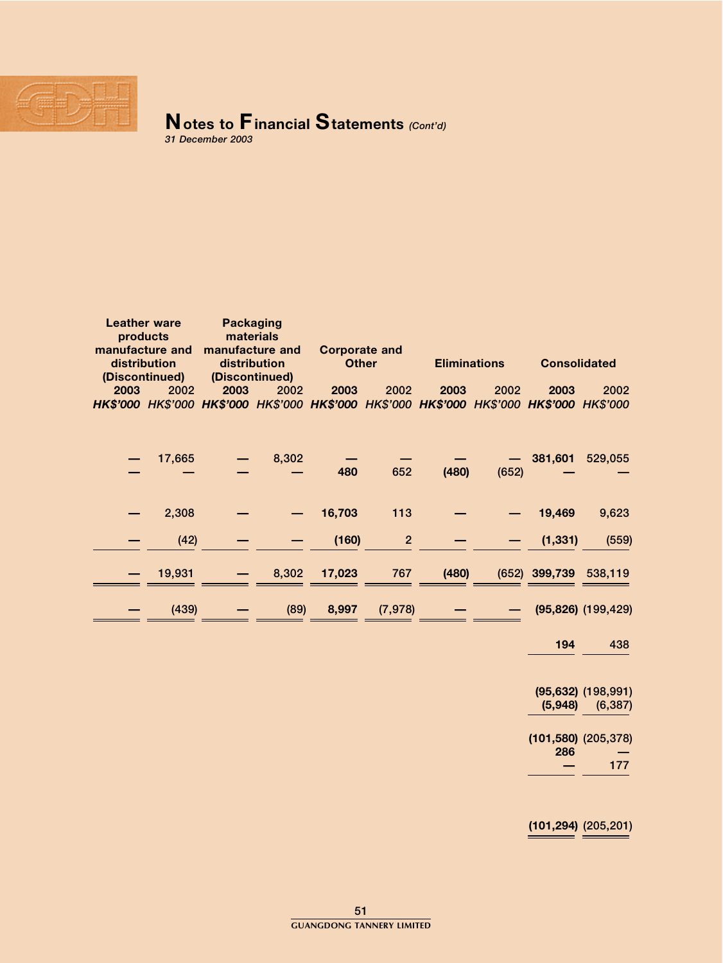

Leather ware

## Notes to Financial Statements (Cont'd) 31 December 2003

Packaging

|                                                   | Leather ware<br>products |        |      | Packaging<br>materials                            |                                                                                                   |                |                     |       |                     |                        |
|---------------------------------------------------|--------------------------|--------|------|---------------------------------------------------|---------------------------------------------------------------------------------------------------|----------------|---------------------|-------|---------------------|------------------------|
| manufacture and<br>distribution<br>(Discontinued) |                          |        |      | manufacture and<br>distribution<br>(Discontinued) | <b>Corporate and</b><br><b>Other</b>                                                              |                | <b>Eliminations</b> |       | <b>Consolidated</b> |                        |
|                                                   | 2003                     | 2002   | 2003 | 2002                                              | 2003<br>HK\$'000 HK\$'000 HK\$'000 HK\$'000 HK\$'000 HK\$'000 HK\$'000 HK\$'000 HK\$'000 HK\$'000 | 2002           | 2003                | 2002  | 2003                | 2002                   |
|                                                   |                          |        |      |                                                   |                                                                                                   |                |                     |       |                     |                        |
|                                                   |                          | 17,665 |      | 8,302                                             |                                                                                                   |                |                     |       | 381,601             | 529,055                |
|                                                   |                          |        |      |                                                   | 480                                                                                               | 652            | (480)               | (652) |                     |                        |
|                                                   |                          | 2,308  |      |                                                   | 16,703                                                                                            | 113            |                     |       | 19,469              | 9,623                  |
|                                                   |                          | (42)   |      |                                                   | (160)                                                                                             | $\overline{2}$ |                     |       | (1, 331)            | (559)                  |
|                                                   |                          | 19,931 |      | 8,302                                             | 17,023                                                                                            | 767            | (480)               |       | $(652)$ 399,739     | 538,119                |
|                                                   |                          | (439)  |      | (89)                                              | 8,997                                                                                             | (7,978)        |                     |       |                     | $(95,826)$ $(199,429)$ |
|                                                   |                          |        |      |                                                   |                                                                                                   |                |                     |       |                     |                        |

194 438

(95,632) (198,991) (5,948) (6,387)

(101,580) (205,378) 286 —  $-$  177

 $\underbrace{(101,294)} \underline{(205,201)}$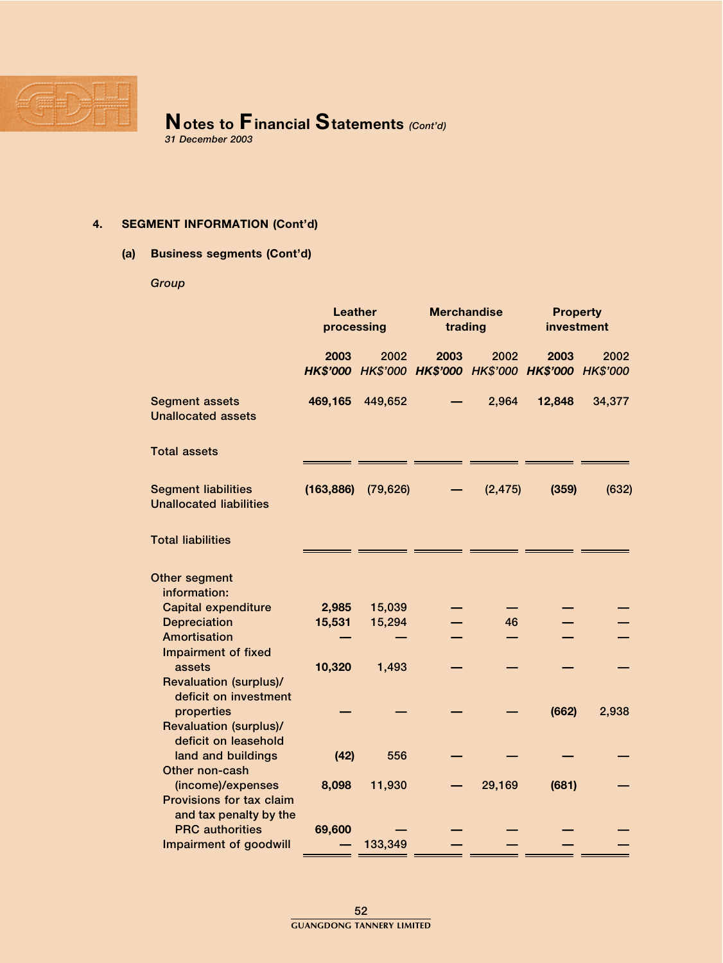

## 4. SEGMENT INFORMATION (Cont'd)

## (a) Business segments (Cont'd)

## **Group**

|                                                              | <b>Leather</b><br>processing |           | <b>Merchandise</b><br>trading |          | <b>Property</b><br>investment                                 |        |
|--------------------------------------------------------------|------------------------------|-----------|-------------------------------|----------|---------------------------------------------------------------|--------|
|                                                              | 2003                         | 2002      | 2003                          | 2002     | 2003<br>HK\$'000 HK\$'000 HK\$'000 HK\$'000 HK\$'000 HK\$'000 | 2002   |
| <b>Segment assets</b><br><b>Unallocated assets</b>           | 469,165                      | 449,652   |                               | 2,964    | 12,848                                                        | 34,377 |
| <b>Total assets</b>                                          |                              |           |                               |          |                                                               |        |
| <b>Segment liabilities</b><br><b>Unallocated liabilities</b> | (163, 886)                   | (79, 626) |                               | (2, 475) | (359)                                                         | (632)  |
| <b>Total liabilities</b>                                     |                              |           |                               |          |                                                               |        |
| Other segment                                                |                              |           |                               |          |                                                               |        |
| information:                                                 |                              |           |                               |          |                                                               |        |
| <b>Capital expenditure</b>                                   | 2,985                        | 15,039    |                               |          |                                                               |        |
| <b>Depreciation</b>                                          | 15,531                       | 15,294    |                               | 46       |                                                               |        |
| Amortisation                                                 |                              |           |                               |          |                                                               |        |
| <b>Impairment of fixed</b>                                   |                              |           |                               |          |                                                               |        |
| assets                                                       | 10,320                       | 1,493     |                               |          |                                                               |        |
| <b>Revaluation (surplus)/</b>                                |                              |           |                               |          |                                                               |        |
| deficit on investment<br>properties                          |                              |           |                               |          | (662)                                                         | 2,938  |
| <b>Revaluation (surplus)/</b>                                |                              |           |                               |          |                                                               |        |
| deficit on leasehold                                         |                              |           |                               |          |                                                               |        |
| land and buildings                                           | (42)                         | 556       |                               |          |                                                               |        |
| Other non-cash                                               |                              |           |                               |          |                                                               |        |
| (income)/expenses                                            | 8,098                        | 11,930    |                               | 29,169   | (681)                                                         |        |
| Provisions for tax claim                                     |                              |           |                               |          |                                                               |        |
| and tax penalty by the                                       |                              |           |                               |          |                                                               |        |
| <b>PRC</b> authorities                                       | 69,600                       |           |                               |          |                                                               |        |
| <b>Impairment of goodwill</b>                                |                              | 133,349   |                               |          |                                                               |        |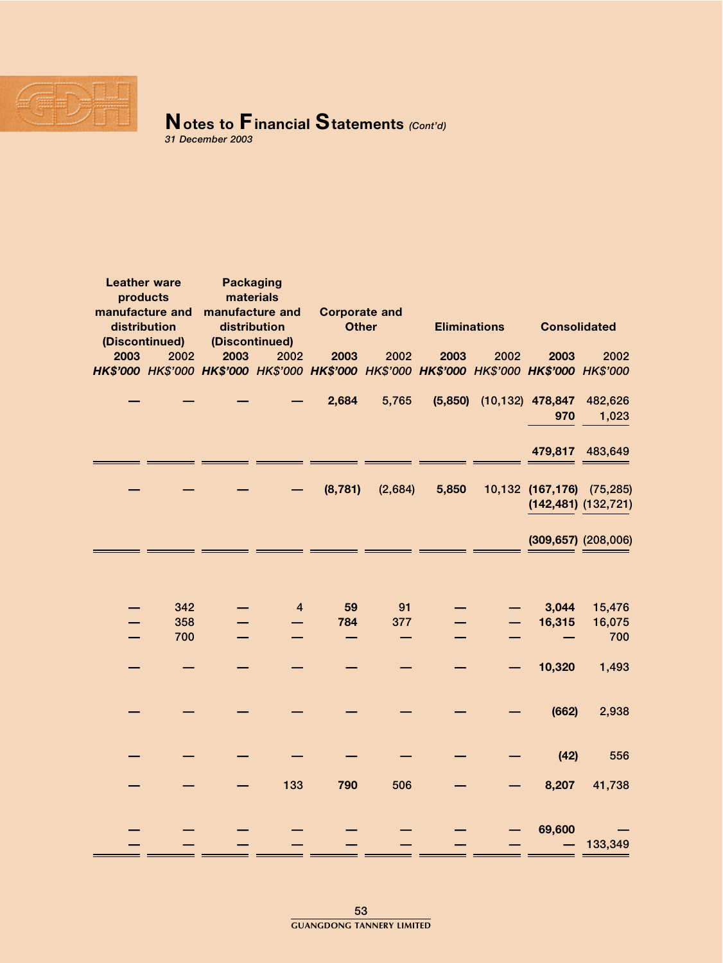

| <b>Leather ware</b><br><b>Packaging</b><br>products<br>materials |      |                        |                 |                      |         |                                                                                                   |                              |                           |                           |
|------------------------------------------------------------------|------|------------------------|-----------------|----------------------|---------|---------------------------------------------------------------------------------------------------|------------------------------|---------------------------|---------------------------|
| manufacture and                                                  |      |                        | manufacture and | <b>Corporate and</b> |         |                                                                                                   |                              |                           |                           |
| distribution                                                     |      | distribution           |                 | <b>Other</b>         |         | <b>Eliminations</b>                                                                               |                              | <b>Consolidated</b>       |                           |
| (Discontinued)<br>2003                                           | 2002 | (Discontinued)<br>2003 | 2002            | 2003                 | 2002    |                                                                                                   | 2002                         |                           | 2002                      |
|                                                                  |      |                        |                 |                      |         | 2003<br>HK\$'000 HK\$'000 HK\$'000 HK\$'000 HK\$'000 HK\$'000 HK\$'000 HK\$'000 HK\$'000 HK\$'000 |                              | 2003                      |                           |
|                                                                  |      |                        |                 |                      |         |                                                                                                   |                              |                           |                           |
|                                                                  |      |                        |                 | 2,684                | 5,765   |                                                                                                   | $(5,850)$ $(10,132)$ 478,847 |                           | 482,626                   |
|                                                                  |      |                        |                 |                      |         |                                                                                                   |                              | 970                       | 1,023                     |
|                                                                  |      |                        |                 |                      |         |                                                                                                   |                              |                           |                           |
|                                                                  |      |                        |                 |                      |         |                                                                                                   |                              | 479,817                   | 483,649                   |
|                                                                  |      |                        |                 |                      |         |                                                                                                   |                              |                           |                           |
|                                                                  |      |                        |                 | (8, 781)             | (2,684) | 5,850                                                                                             |                              | 10,132 (167,176) (75,285) |                           |
|                                                                  |      |                        |                 |                      |         |                                                                                                   |                              |                           | $(142, 481)$ $(132, 721)$ |
|                                                                  |      |                        |                 |                      |         |                                                                                                   |                              |                           |                           |
|                                                                  |      |                        |                 |                      |         |                                                                                                   |                              |                           | $(309, 657)$ $(208, 006)$ |
|                                                                  |      |                        |                 |                      |         |                                                                                                   |                              |                           |                           |
|                                                                  |      |                        |                 |                      |         |                                                                                                   |                              |                           |                           |
|                                                                  |      |                        |                 |                      |         |                                                                                                   |                              |                           |                           |
|                                                                  | 342  |                        | $\overline{4}$  | 59                   | 91      |                                                                                                   |                              | 3,044                     | 15,476                    |
|                                                                  | 358  |                        |                 | 784                  | 377     |                                                                                                   |                              | 16,315                    | 16,075                    |
|                                                                  | 700  |                        |                 |                      |         |                                                                                                   |                              |                           | 700                       |
|                                                                  |      |                        |                 |                      |         |                                                                                                   |                              |                           |                           |
|                                                                  |      |                        |                 |                      |         |                                                                                                   |                              | 10,320                    | 1,493                     |
|                                                                  |      |                        |                 |                      |         |                                                                                                   |                              |                           |                           |
|                                                                  |      |                        |                 |                      |         |                                                                                                   |                              | (662)                     | 2,938                     |
|                                                                  |      |                        |                 |                      |         |                                                                                                   |                              |                           |                           |
|                                                                  |      |                        |                 |                      |         |                                                                                                   |                              |                           |                           |
|                                                                  |      |                        |                 |                      |         |                                                                                                   |                              | (42)                      | 556                       |
|                                                                  |      |                        |                 |                      |         |                                                                                                   |                              |                           |                           |
|                                                                  |      |                        | 133             | 790                  | 506     |                                                                                                   |                              | 8,207                     | 41,738                    |
|                                                                  |      |                        |                 |                      |         |                                                                                                   |                              |                           |                           |
|                                                                  |      |                        |                 |                      |         |                                                                                                   |                              | 69,600                    |                           |
|                                                                  |      |                        |                 |                      |         |                                                                                                   |                              |                           | 133,349                   |
|                                                                  |      |                        |                 |                      |         |                                                                                                   |                              |                           |                           |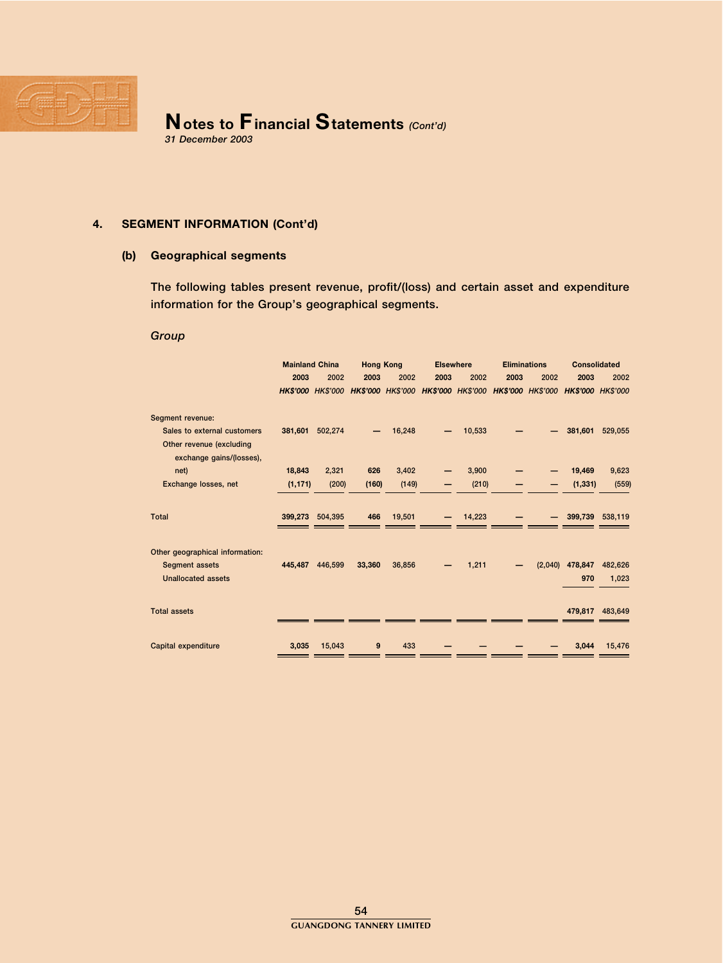

## 4. SEGMENT INFORMATION (Cont'd)

## (b) Geographical segments

The following tables present revenue, profit/(loss) and certain asset and expenditure information for the Group's geographical segments.

## Group

|                                                      |          | <b>Mainland China</b><br><b>Hong Kong</b> |        | <b>Elsewhere</b> |      | <b>Eliminations</b>                                                                       |      | <b>Consolidated</b> |          |         |
|------------------------------------------------------|----------|-------------------------------------------|--------|------------------|------|-------------------------------------------------------------------------------------------|------|---------------------|----------|---------|
|                                                      | 2003     | 2002                                      | 2003   | 2002             | 2003 | 2002                                                                                      | 2003 | 2002                | 2003     | 2002    |
|                                                      |          |                                           |        |                  |      | HK\$'000 HK\$'000 HK\$'000 HK\$'000 HK\$'000 HK\$'000 HK\$'000 HK\$'000 HK\$'000 HK\$'000 |      |                     |          |         |
| Segment revenue:                                     |          |                                           |        |                  |      |                                                                                           |      |                     |          |         |
| Sales to external customers                          | 381,601  | 502,274                                   |        | 16,248           |      | 10,533                                                                                    |      |                     | 381,601  | 529,055 |
| Other revenue (excluding<br>exchange gains/(losses), |          |                                           |        |                  |      |                                                                                           |      |                     |          |         |
| net)                                                 | 18,843   | 2,321                                     | 626    | 3,402            |      | 3,900                                                                                     |      |                     | 19,469   | 9,623   |
| Exchange losses, net                                 | (1, 171) | (200)                                     | (160)  | (149)            |      | (210)                                                                                     |      |                     | (1, 331) | (559)   |
| <b>Total</b>                                         |          | 399.273 504.395                           | 466    | 19,501           |      | 14,223                                                                                    |      |                     | 399,739  | 538.119 |
| Other geographical information:                      |          |                                           |        |                  |      |                                                                                           |      |                     |          |         |
| <b>Segment assets</b>                                | 445,487  | 446,599                                   | 33,360 | 36,856           |      | 1,211                                                                                     |      | (2,040)             | 478,847  | 482,626 |
| <b>Unallocated assets</b>                            |          |                                           |        |                  |      |                                                                                           |      |                     | 970      | 1,023   |
| <b>Total assets</b>                                  |          |                                           |        |                  |      |                                                                                           |      |                     | 479.817  | 483.649 |
| <b>Capital expenditure</b>                           | 3.035    | 15,043                                    | 9      | 433              |      |                                                                                           |      |                     | 3,044    | 15,476  |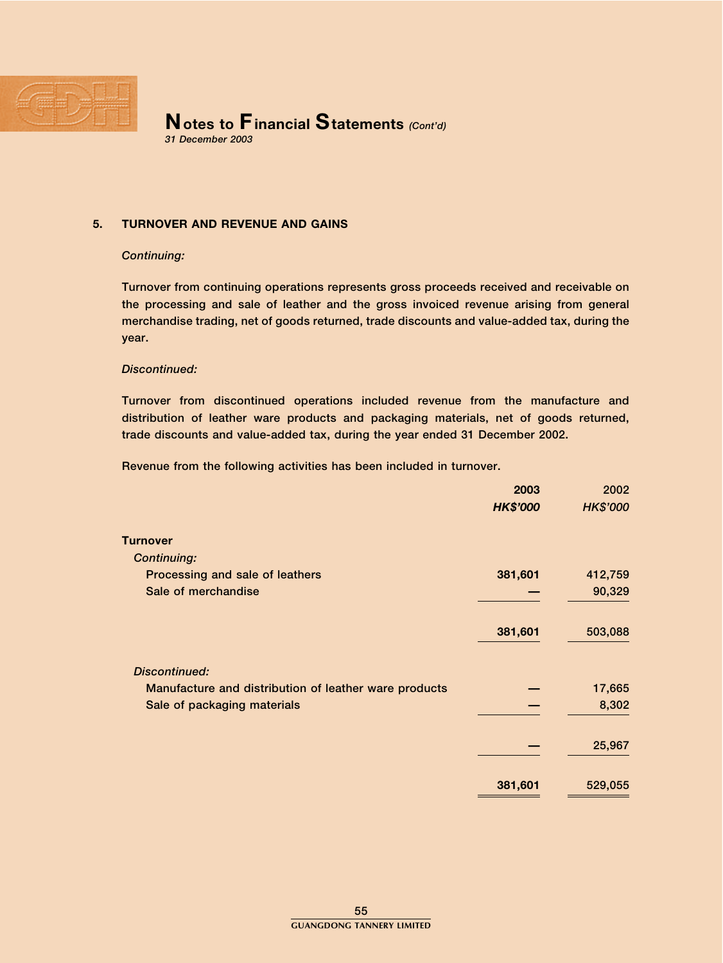

#### 5. TURNOVER AND REVENUE AND GAINS

#### Continuing:

Turnover from continuing operations represents gross proceeds received and receivable on the processing and sale of leather and the gross invoiced revenue arising from general merchandise trading, net of goods returned, trade discounts and value-added tax, during the year.

#### Discontinued:

Turnover from discontinued operations included revenue from the manufacture and distribution of leather ware products and packaging materials, net of goods returned, trade discounts and value-added tax, during the year ended 31 December 2002.

Revenue from the following activities has been included in turnover.

|                                                       | 2003            | 2002     |
|-------------------------------------------------------|-----------------|----------|
|                                                       | <b>HK\$'000</b> | HK\$'000 |
| Turnover                                              |                 |          |
| <b>Continuing:</b>                                    |                 |          |
| Processing and sale of leathers                       | 381,601         | 412,759  |
| Sale of merchandise                                   |                 | 90,329   |
|                                                       | 381,601         | 503,088  |
| <b>Discontinued:</b>                                  |                 |          |
| Manufacture and distribution of leather ware products |                 | 17,665   |
| Sale of packaging materials                           |                 | 8,302    |
|                                                       |                 | 25,967   |
|                                                       |                 |          |
|                                                       | 381,601         | 529,055  |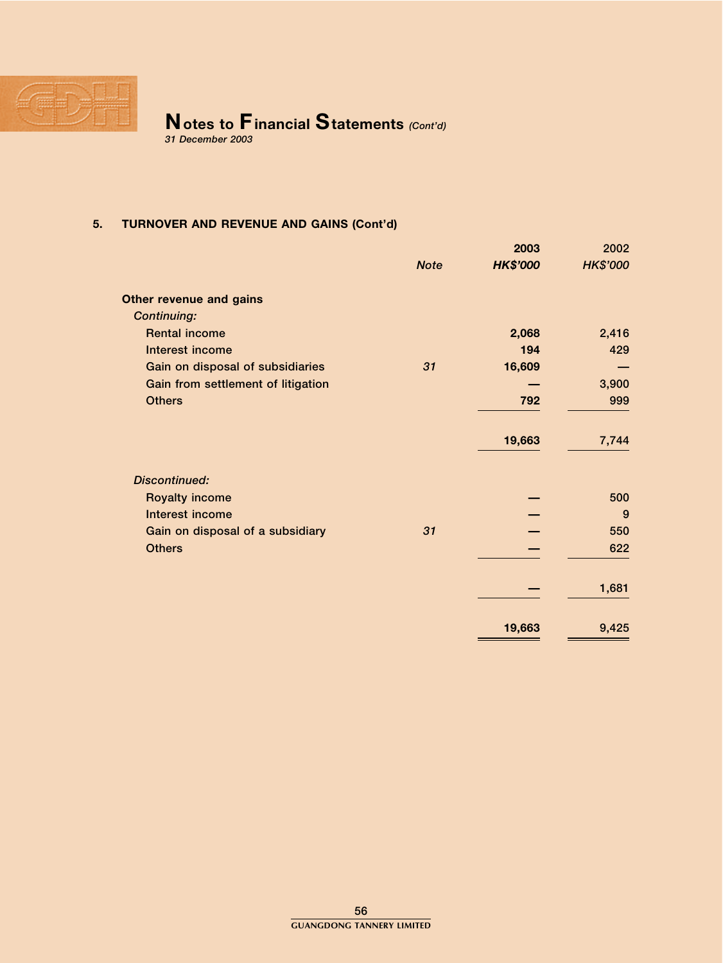

31 December 2003

## 5. TURNOVER AND REVENUE AND GAINS (Cont'd)

|                                    |             | 2003            | 2002            |
|------------------------------------|-------------|-----------------|-----------------|
|                                    | <b>Note</b> | <b>HK\$'000</b> | <b>HK\$'000</b> |
| Other revenue and gains            |             |                 |                 |
| <b>Continuing:</b>                 |             |                 |                 |
| <b>Rental income</b>               |             | 2,068           | 2,416           |
| Interest income                    |             | 194             | 429             |
| Gain on disposal of subsidiaries   | 31          | 16,609          |                 |
| Gain from settlement of litigation |             |                 | 3,900           |
| <b>Others</b>                      |             | 792             | 999             |
|                                    |             | 19,663          | 7,744           |
|                                    |             |                 |                 |
| <b>Discontinued:</b>               |             |                 |                 |
| <b>Royalty income</b>              |             |                 | 500             |
| Interest income                    |             |                 | 9               |
| Gain on disposal of a subsidiary   | 31          |                 | 550             |
| <b>Others</b>                      |             |                 | 622             |
|                                    |             |                 | 1,681           |
|                                    |             |                 |                 |
|                                    |             | 19,663          | 9,425           |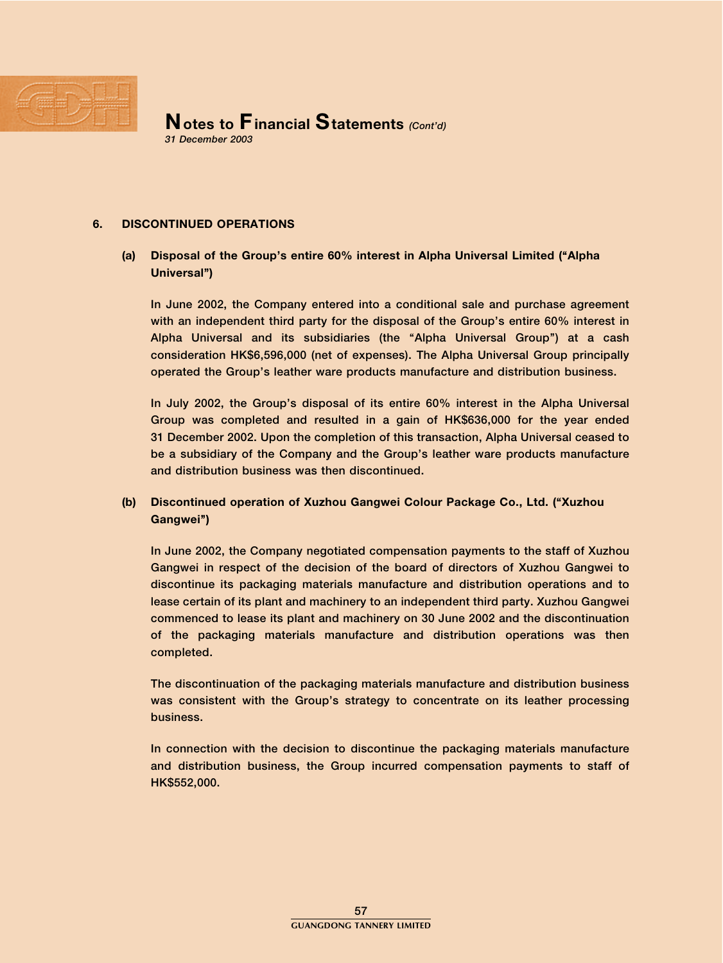

#### 6. DISCONTINUED OPERATIONS

## (a) Disposal of the Group's entire 60% interest in Alpha Universal Limited (''Alpha Universal'')

In June 2002, the Company entered into a conditional sale and purchase agreement with an independent third party for the disposal of the Group's entire 60% interest in Alpha Universal and its subsidiaries (the ''Alpha Universal Group'') at a cash consideration HK\$6,596,000 (net of expenses). The Alpha Universal Group principally operated the Group's leather ware products manufacture and distribution business.

In July 2002, the Group's disposal of its entire 60% interest in the Alpha Universal Group was completed and resulted in a gain of HK\$636,000 for the year ended 31 December 2002. Upon the completion of this transaction, Alpha Universal ceased to be a subsidiary of the Company and the Group's leather ware products manufacture and distribution business was then discontinued.

## (b) Discontinued operation of Xuzhou Gangwei Colour Package Co., Ltd. (''Xuzhou Gangwei'')

In June 2002, the Company negotiated compensation payments to the staff of Xuzhou Gangwei in respect of the decision of the board of directors of Xuzhou Gangwei to discontinue its packaging materials manufacture and distribution operations and to lease certain of its plant and machinery to an independent third party. Xuzhou Gangwei commenced to lease its plant and machinery on 30 June 2002 and the discontinuation of the packaging materials manufacture and distribution operations was then completed.

The discontinuation of the packaging materials manufacture and distribution business was consistent with the Group's strategy to concentrate on its leather processing business.

In connection with the decision to discontinue the packaging materials manufacture and distribution business, the Group incurred compensation payments to staff of HK\$552,000.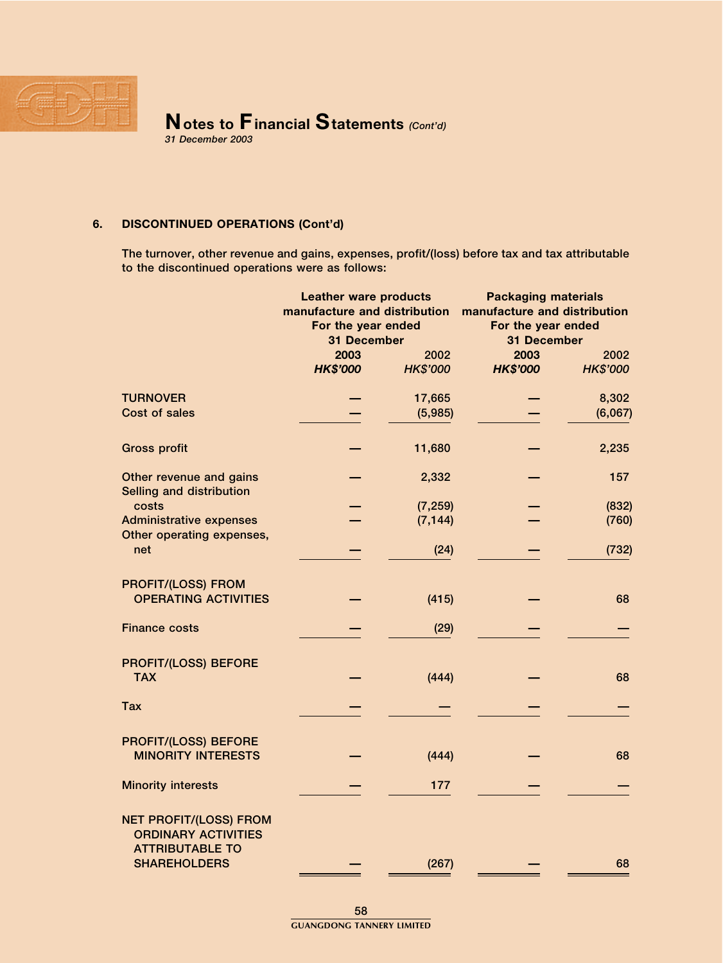

## 6. DISCONTINUED OPERATIONS (Cont'd)

The turnover, other revenue and gains, expenses, profit/(loss) before tax and tax attributable to the discontinued operations were as follows:

|                                                                                       | <b>Leather ware products</b><br>manufacture and distribution<br>For the year ended<br>31 December |                         | <b>Packaging materials</b><br>manufacture and distribution<br>For the year ended<br>31 December |                         |  |
|---------------------------------------------------------------------------------------|---------------------------------------------------------------------------------------------------|-------------------------|-------------------------------------------------------------------------------------------------|-------------------------|--|
|                                                                                       | 2003<br><b>HK\$'000</b>                                                                           | 2002<br><b>HK\$'000</b> | 2003<br><b>HK\$'000</b>                                                                         | 2002<br><b>HK\$'000</b> |  |
|                                                                                       |                                                                                                   |                         |                                                                                                 |                         |  |
| <b>TURNOVER</b>                                                                       |                                                                                                   | 17,665                  |                                                                                                 | 8,302                   |  |
| Cost of sales                                                                         |                                                                                                   | (5,985)                 |                                                                                                 | (6,067)                 |  |
| <b>Gross profit</b>                                                                   |                                                                                                   | 11,680                  |                                                                                                 | 2,235                   |  |
| Other revenue and gains<br>Selling and distribution                                   |                                                                                                   | 2,332                   |                                                                                                 | 157                     |  |
| costs                                                                                 |                                                                                                   | (7, 259)                |                                                                                                 | (832)                   |  |
| <b>Administrative expenses</b>                                                        |                                                                                                   | (7, 144)                |                                                                                                 | (760)                   |  |
| Other operating expenses,<br>net                                                      |                                                                                                   | (24)                    |                                                                                                 | (732)                   |  |
| <b>PROFIT/(LOSS) FROM</b><br><b>OPERATING ACTIVITIES</b>                              |                                                                                                   | (415)                   |                                                                                                 | 68                      |  |
| <b>Finance costs</b>                                                                  |                                                                                                   | (29)                    |                                                                                                 |                         |  |
| <b>PROFIT/(LOSS) BEFORE</b><br><b>TAX</b>                                             |                                                                                                   | (444)                   |                                                                                                 | 68                      |  |
| <b>Tax</b>                                                                            |                                                                                                   |                         |                                                                                                 |                         |  |
| <b>PROFIT/(LOSS) BEFORE</b><br><b>MINORITY INTERESTS</b>                              |                                                                                                   | (444)                   |                                                                                                 | 68                      |  |
| <b>Minority interests</b>                                                             |                                                                                                   | 177                     |                                                                                                 |                         |  |
| <b>NET PROFIT/(LOSS) FROM</b><br><b>ORDINARY ACTIVITIES</b><br><b>ATTRIBUTABLE TO</b> |                                                                                                   |                         |                                                                                                 |                         |  |
| <b>SHAREHOLDERS</b>                                                                   |                                                                                                   | (267)                   |                                                                                                 | 68                      |  |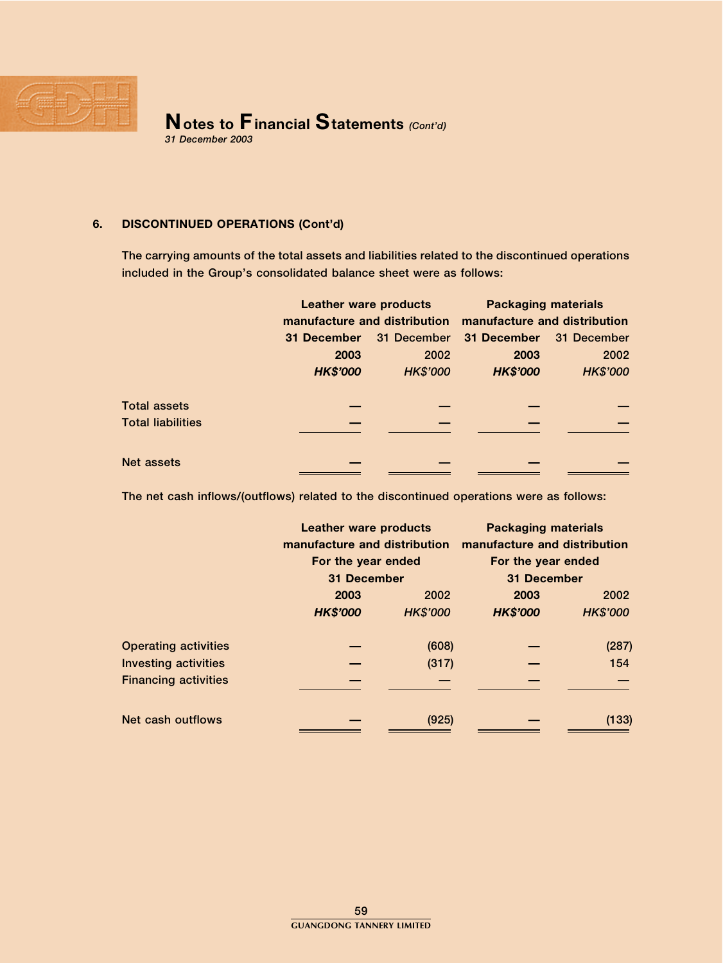

## 6. DISCONTINUED OPERATIONS (Cont'd)

The carrying amounts of the total assets and liabilities related to the discontinued operations included in the Group's consolidated balance sheet were as follows:

|                          |                 | <b>Leather ware products</b> | <b>Packaging materials</b><br>manufacture and distribution manufacture and distribution |                 |  |
|--------------------------|-----------------|------------------------------|-----------------------------------------------------------------------------------------|-----------------|--|
|                          |                 |                              |                                                                                         |                 |  |
|                          | 31 December     | 31 December                  | 31 December                                                                             | 31 December     |  |
|                          | 2003            | 2002                         | 2003                                                                                    | 2002            |  |
|                          | <b>HK\$'000</b> | <b>HK\$'000</b>              | <b>HK\$'000</b>                                                                         | <b>HK\$'000</b> |  |
| <b>Total assets</b>      |                 |                              |                                                                                         |                 |  |
| <b>Total liabilities</b> |                 |                              |                                                                                         |                 |  |
| Net assets               |                 |                              |                                                                                         |                 |  |

The net cash inflows/(outflows) related to the discontinued operations were as follows:

|                             | <b>Leather ware products</b> |                 | <b>Packaging materials</b> |                              |  |  |
|-----------------------------|------------------------------|-----------------|----------------------------|------------------------------|--|--|
|                             | manufacture and distribution |                 |                            | manufacture and distribution |  |  |
|                             | For the year ended           |                 |                            | For the year ended           |  |  |
|                             | 31 December                  |                 | 31 December                |                              |  |  |
|                             | 2003                         | 2002            | 2003                       | 2002                         |  |  |
|                             | <b>HK\$'000</b>              | <b>HK\$'000</b> | <b>HK\$'000</b>            | <b>HK\$'000</b>              |  |  |
| <b>Operating activities</b> |                              | (608)           |                            | (287)                        |  |  |
| <b>Investing activities</b> |                              | (317)           |                            | 154                          |  |  |
| <b>Financing activities</b> |                              |                 |                            |                              |  |  |
| Net cash outflows           |                              | (925)           |                            | (133)                        |  |  |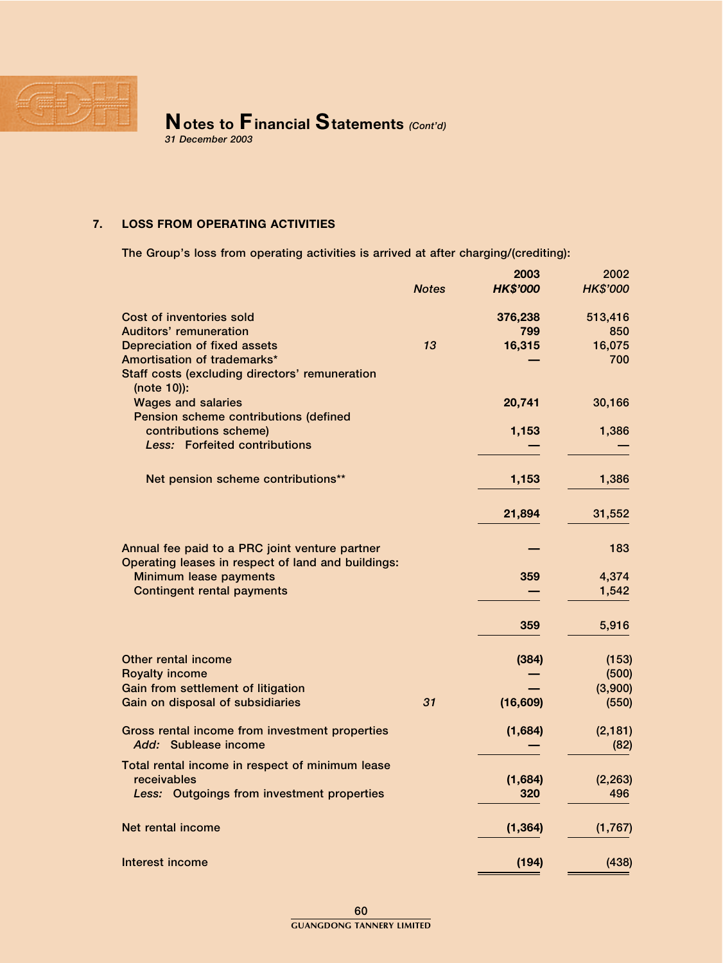

## 7. LOSS FROM OPERATING ACTIVITIES

The Group's loss from operating activities is arrived at after charging/(crediting):

|                                                                                                      | <b>Notes</b> | 2003<br><b>HK\$'000</b> | 2002<br><b>HK\$'000</b> |
|------------------------------------------------------------------------------------------------------|--------------|-------------------------|-------------------------|
|                                                                                                      |              |                         |                         |
| Cost of inventories sold                                                                             |              | 376,238                 | 513,416                 |
| <b>Auditors' remuneration</b>                                                                        |              | 799                     | 850                     |
| <b>Depreciation of fixed assets</b>                                                                  | 13           | 16,315                  | 16,075                  |
| Amortisation of trademarks*                                                                          |              |                         | 700                     |
| Staff costs (excluding directors' remuneration<br>(note 10)):                                        |              |                         |                         |
| <b>Wages and salaries</b>                                                                            |              | 20,741                  | 30,166                  |
| Pension scheme contributions (defined                                                                |              |                         |                         |
| contributions scheme)                                                                                |              | 1,153                   | 1,386                   |
| Less: Forfeited contributions                                                                        |              |                         |                         |
| Net pension scheme contributions**                                                                   |              | 1,153                   | 1,386                   |
|                                                                                                      |              | 21,894                  | 31,552                  |
|                                                                                                      |              |                         |                         |
| Annual fee paid to a PRC joint venture partner<br>Operating leases in respect of land and buildings: |              |                         | 183                     |
| Minimum lease payments                                                                               |              | 359                     | 4,374                   |
| <b>Contingent rental payments</b>                                                                    |              |                         | 1,542                   |
|                                                                                                      |              | 359                     | 5,916                   |
| Other rental income                                                                                  |              | (384)                   | (153)                   |
| <b>Royalty income</b>                                                                                |              |                         | (500)                   |
| Gain from settlement of litigation                                                                   |              |                         | (3,900)                 |
| Gain on disposal of subsidiaries                                                                     | 31           | (16, 609)               | (550)                   |
| Gross rental income from investment properties                                                       |              | (1,684)                 | (2, 181)                |
| Add: Sublease income                                                                                 |              |                         | (82)                    |
| Total rental income in respect of minimum lease                                                      |              |                         |                         |
| receivables                                                                                          |              | (1,684)                 | (2, 263)                |
| Less: Outgoings from investment properties                                                           |              | 320                     | 496                     |
| Net rental income                                                                                    |              | (1, 364)                | (1,767)                 |
| Interest income                                                                                      |              | (194)                   | (438)                   |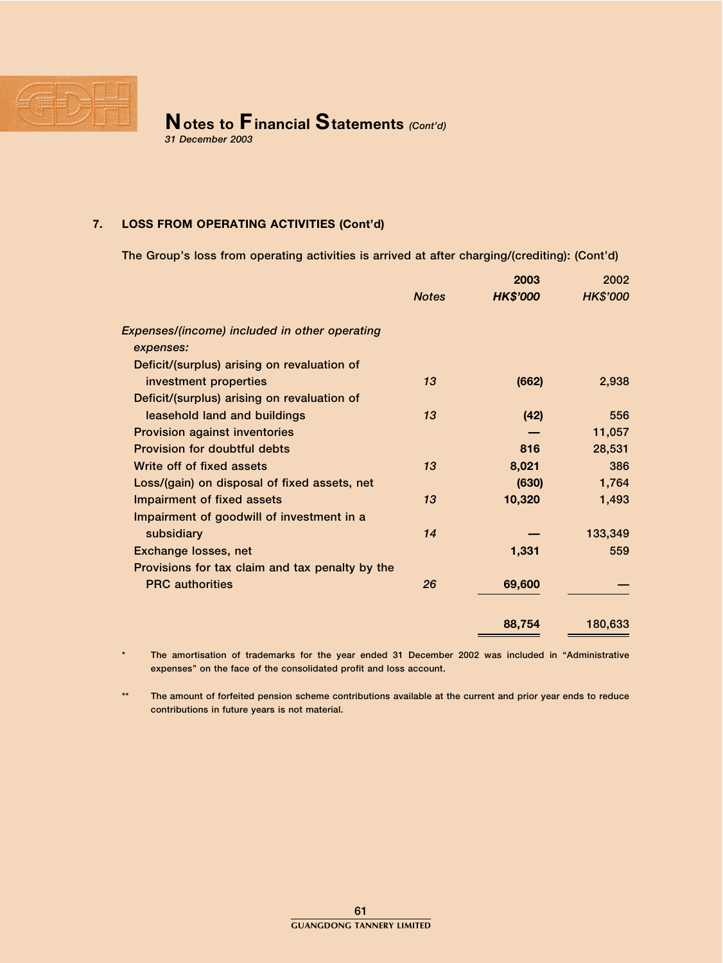

## 7. LOSS FROM OPERATING ACTIVITIES (Cont'd)

The Group's loss from operating activities is arrived at after charging/(crediting): (Cont'd)

|                                                 |              | 2003            | 2002            |
|-------------------------------------------------|--------------|-----------------|-----------------|
|                                                 | <b>Notes</b> | <b>HK\$'000</b> | <b>HK\$'000</b> |
| Expenses/(income) included in other operating   |              |                 |                 |
| expenses:                                       |              |                 |                 |
| Deficit/(surplus) arising on revaluation of     |              |                 |                 |
| investment properties                           | 13           | (662)           | 2,938           |
| Deficit/(surplus) arising on revaluation of     |              |                 |                 |
| leasehold land and buildings                    | 13           | (42)            | 556             |
| <b>Provision against inventories</b>            |              |                 | 11,057          |
| <b>Provision for doubtful debts</b>             |              | 816             | 28,531          |
| Write off of fixed assets                       | 13           | 8,021           | 386             |
| Loss/(gain) on disposal of fixed assets, net    |              | (630)           | 1,764           |
| Impairment of fixed assets                      | 13           | 10,320          | 1,493           |
| Impairment of goodwill of investment in a       |              |                 |                 |
| subsidiary                                      | 14           |                 | 133,349         |
| Exchange losses, net                            |              | 1,331           | 559             |
| Provisions for tax claim and tax penalty by the |              |                 |                 |
| <b>PRC</b> authorities                          | 26           | 69,600          |                 |
|                                                 |              |                 |                 |
|                                                 |              | 88,754          | 180,633         |

The amortisation of trademarks for the year ended 31 December 2002 was included in "Administrative expenses'' on the face of the consolidated profit and loss account.

\*\* The amount of forfeited pension scheme contributions available at the current and prior year ends to reduce contributions in future years is not material.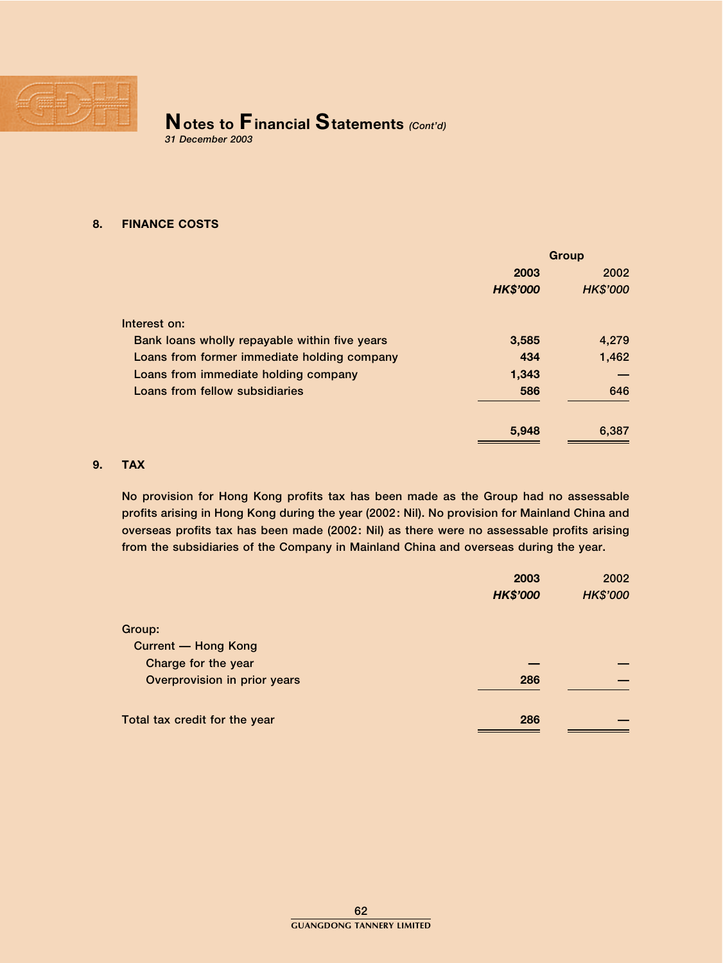

## 8. FINANCE COSTS

|                                               | Group           |                 |  |
|-----------------------------------------------|-----------------|-----------------|--|
|                                               | 2003            | 2002            |  |
|                                               | <b>HK\$'000</b> | <b>HK\$'000</b> |  |
| Interest on:                                  |                 |                 |  |
| Bank loans wholly repayable within five years | 3,585           | 4,279           |  |
| Loans from former immediate holding company   | 434             | 1,462           |  |
| Loans from immediate holding company          | 1,343           |                 |  |
| Loans from fellow subsidiaries                | 586             | 646             |  |
|                                               | 5,948           | 6,387           |  |

#### 9. TAX

No provision for Hong Kong profits tax has been made as the Group had no assessable profits arising in Hong Kong during the year (2002: Nil). No provision for Mainland China and overseas profits tax has been made (2002: Nil) as there were no assessable profits arising from the subsidiaries of the Company in Mainland China and overseas during the year.

|                               | 2003            | 2002            |
|-------------------------------|-----------------|-----------------|
|                               | <b>HK\$'000</b> | <b>HK\$'000</b> |
| Group:                        |                 |                 |
| <b>Current - Hong Kong</b>    |                 |                 |
| Charge for the year           |                 |                 |
| Overprovision in prior years  | 286             |                 |
| Total tax credit for the year | 286             |                 |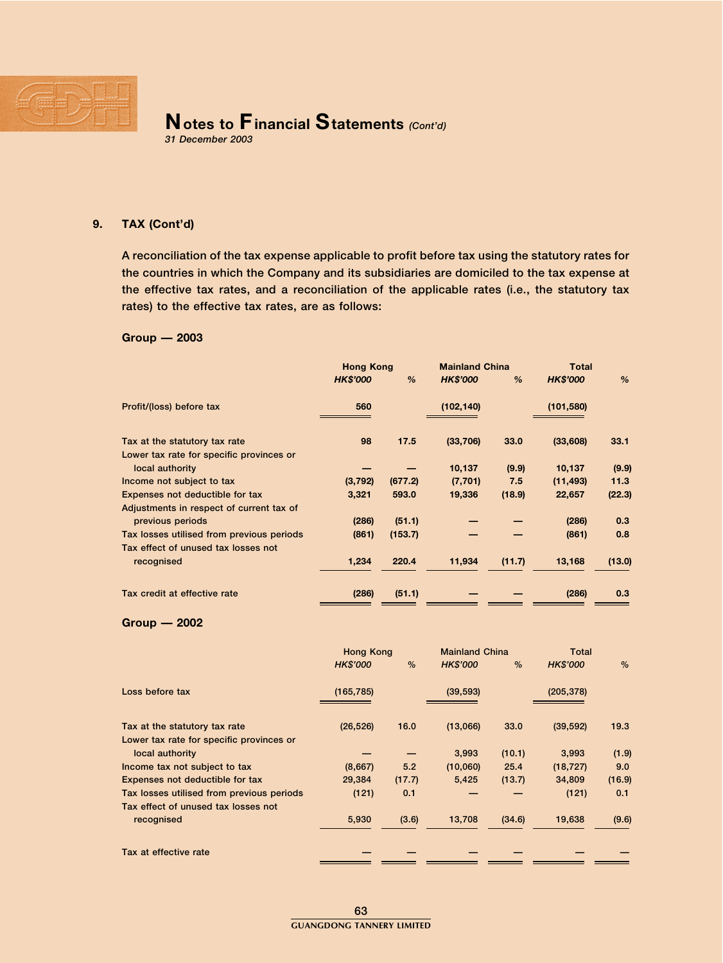

31 December 2003

## 9. TAX (Cont'd)

A reconciliation of the tax expense applicable to profit before tax using the statutory rates for the countries in which the Company and its subsidiaries are domiciled to the tax expense at the effective tax rates, and a reconciliation of the applicable rates (i.e., the statutory tax rates) to the effective tax rates, are as follows:

#### Group — 2003

|                 | <b>Hong Kong</b> | <b>Mainland China</b> |        | <b>Total</b>    |        |
|-----------------|------------------|-----------------------|--------|-----------------|--------|
| <b>HK\$'000</b> | %                | <b>HK\$'000</b>       | %      | <b>HK\$'000</b> | %      |
| 560             |                  | (102, 140)            |        | (101, 580)      |        |
| 98              | 17.5             | (33,706)              | 33.0   | (33,608)        | 33.1   |
|                 |                  |                       |        |                 |        |
|                 |                  | 10,137                | (9.9)  | 10,137          | (9.9)  |
| (3,792)         | (677.2)          | (7, 701)              | 7.5    | (11, 493)       | 11.3   |
| 3,321           | 593.0            | 19,336                | (18.9) | 22,657          | (22.3) |
|                 |                  |                       |        |                 |        |
| (286)           | (51.1)           |                       |        | (286)           | 0.3    |
| (861)           | (153.7)          |                       |        | (861)           | 0.8    |
|                 |                  |                       |        |                 |        |
| 1,234           | 220.4            | 11,934                | (11.7) | 13,168          | (13.0) |
| (286)           | (51.1)           |                       |        | (286)           | 0.3    |
|                 |                  |                       |        |                 |        |

#### Group — 2002

|                                                             | <b>Mainland China</b><br>Hong Kong |               | <b>Total</b>    |        |                 |        |
|-------------------------------------------------------------|------------------------------------|---------------|-----------------|--------|-----------------|--------|
|                                                             | <b>HK\$'000</b>                    | $\frac{0}{0}$ | <b>HK\$'000</b> | $\%$   | <b>HK\$'000</b> | $\%$   |
| Loss before tax                                             | (165, 785)                         |               | (39, 593)       |        | (205, 378)      |        |
| Tax at the statutory tax rate                               | (26, 526)                          | 16.0          | (13,066)        | 33.0   | (39, 592)       | 19.3   |
| Lower tax rate for specific provinces or<br>local authority |                                    |               | 3,993           | (10.1) | 3,993           | (1.9)  |
| Income tax not subject to tax                               | (8,667)                            | 5.2           | (10,060)        | 25.4   | (18, 727)       | 9.0    |
| Expenses not deductible for tax                             | 29,384                             | (17.7)        | 5,425           | (13.7) | 34,809          | (16.9) |
| Tax losses utilised from previous periods                   | (121)                              | 0.1           |                 |        | (121)           | 0.1    |
| Tax effect of unused tax losses not<br>recognised           | 5,930                              | (3.6)         | 13,708          | (34.6) | 19,638          | (9.6)  |
| Tax at effective rate                                       |                                    |               |                 |        |                 |        |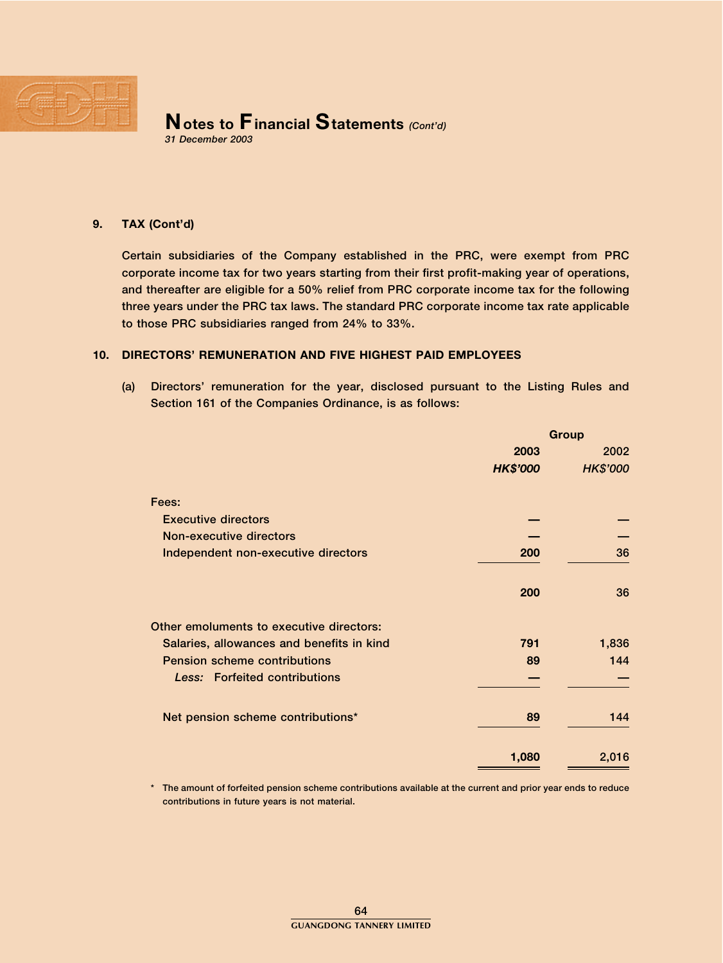

31 December 2003

## 9. TAX (Cont'd)

Certain subsidiaries of the Company established in the PRC, were exempt from PRC corporate income tax for two years starting from their first profit-making year of operations, and thereafter are eligible for a 50% relief from PRC corporate income tax for the following three years under the PRC tax laws. The standard PRC corporate income tax rate applicable to those PRC subsidiaries ranged from 24% to 33%.

## 10. DIRECTORS' REMUNERATION AND FIVE HIGHEST PAID EMPLOYEES

(a) Directors' remuneration for the year, disclosed pursuant to the Listing Rules and Section 161 of the Companies Ordinance, is as follows:

|                                           |                 | <b>Group</b>    |
|-------------------------------------------|-----------------|-----------------|
|                                           | 2003            | 2002            |
|                                           | <b>HK\$'000</b> | <b>HK\$'000</b> |
| Fees:                                     |                 |                 |
| <b>Executive directors</b>                |                 |                 |
| <b>Non-executive directors</b>            |                 |                 |
| Independent non-executive directors       | 200             | 36              |
|                                           | 200             | 36              |
| Other emoluments to executive directors:  |                 |                 |
| Salaries, allowances and benefits in kind | 791             | 1,836           |
| <b>Pension scheme contributions</b>       | 89              | 144             |
| Less: Forfeited contributions             |                 |                 |
| Net pension scheme contributions*         | 89              | 144             |
|                                           | 1,080           | 2,016           |

\* The amount of forfeited pension scheme contributions available at the current and prior year ends to reduce contributions in future years is not material.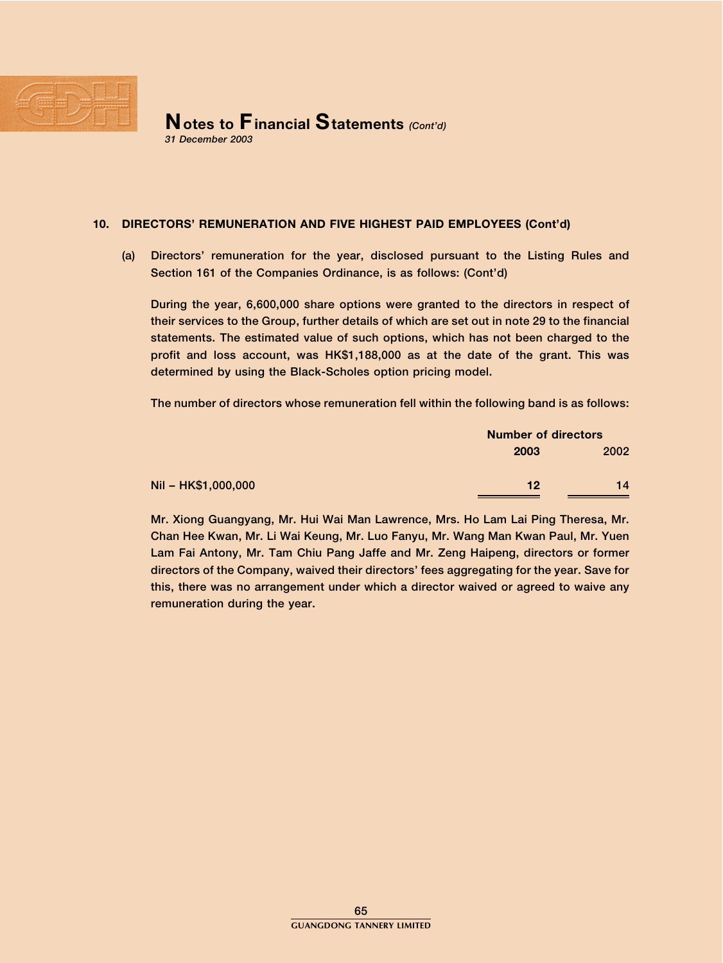

31 December 2003

#### 10. DIRECTORS' REMUNERATION AND FIVE HIGHEST PAID EMPLOYEES (Cont'd)

(a) Directors' remuneration for the year, disclosed pursuant to the Listing Rules and Section 161 of the Companies Ordinance, is as follows: (Cont'd)

During the year, 6,600,000 share options were granted to the directors in respect of their services to the Group, further details of which are set out in note 29 to the financial statements. The estimated value of such options, which has not been charged to the profit and loss account, was HK\$1,188,000 as at the date of the grant. This was determined by using the Black-Scholes option pricing model.

The number of directors whose remuneration fell within the following band is as follows:

|                     | <b>Number of directors</b> |      |  |
|---------------------|----------------------------|------|--|
|                     | 2003                       | 2002 |  |
| Nil - HK\$1,000,000 | 12                         | 14   |  |
|                     |                            |      |  |

Mr. Xiong Guangyang, Mr. Hui Wai Man Lawrence, Mrs. Ho Lam Lai Ping Theresa, Mr. Chan Hee Kwan, Mr. Li Wai Keung, Mr. Luo Fanyu, Mr. Wang Man Kwan Paul, Mr. Yuen Lam Fai Antony, Mr. Tam Chiu Pang Jaffe and Mr. Zeng Haipeng, directors or former directors of the Company, waived their directors' fees aggregating for the year. Save for this, there was no arrangement under which a director waived or agreed to waive any remuneration during the year.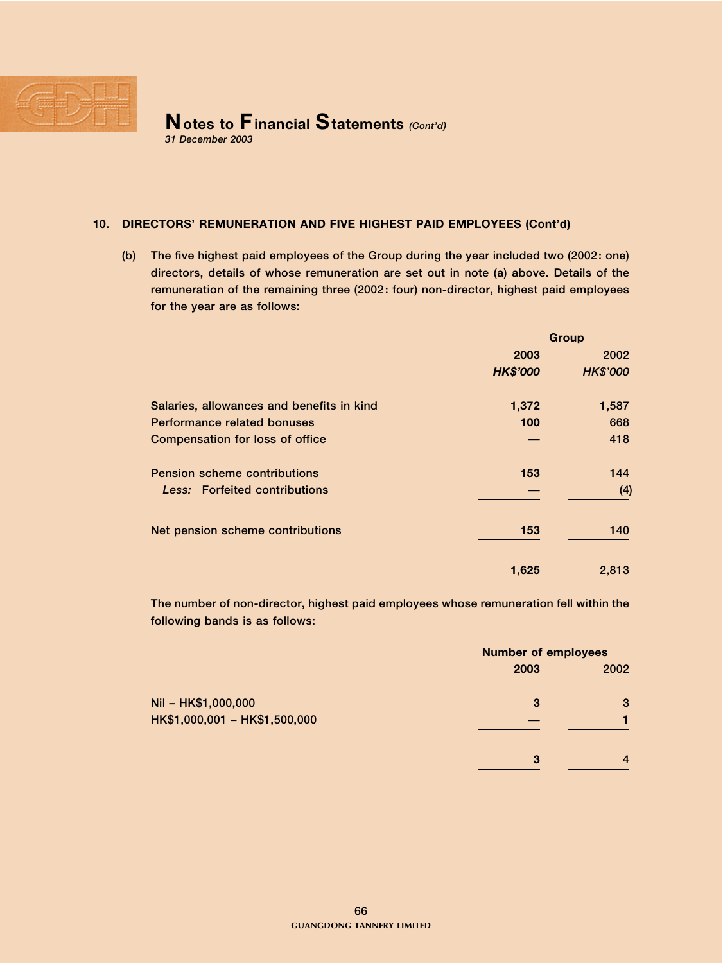

31 December 2003

## 10. DIRECTORS' REMUNERATION AND FIVE HIGHEST PAID EMPLOYEES (Cont'd)

(b) The five highest paid employees of the Group during the year included two (2002: one) directors, details of whose remuneration are set out in note (a) above. Details of the remuneration of the remaining three (2002: four) non-director, highest paid employees for the year are as follows:

|                                           |                 | Group           |
|-------------------------------------------|-----------------|-----------------|
|                                           | 2003            | 2002            |
|                                           | <b>HK\$'000</b> | <b>HK\$'000</b> |
| Salaries, allowances and benefits in kind | 1,372           | 1,587           |
| Performance related bonuses               | 100             | 668             |
| Compensation for loss of office           |                 | 418             |
| <b>Pension scheme contributions</b>       | 153             | 144             |
| Less: Forfeited contributions             |                 | (4)             |
| Net pension scheme contributions          | 153             | 140             |
|                                           | 1,625           | 2,813           |

The number of non-director, highest paid employees whose remuneration fell within the following bands is as follows:

|                                                      | <b>Number of employees</b> |                |  |  |
|------------------------------------------------------|----------------------------|----------------|--|--|
|                                                      | 2003                       | 2002           |  |  |
| Nil - HK\$1,000,000<br>HK\$1,000,001 - HK\$1,500,000 | 3                          | 3              |  |  |
|                                                      |                            |                |  |  |
|                                                      | 3                          | $\overline{4}$ |  |  |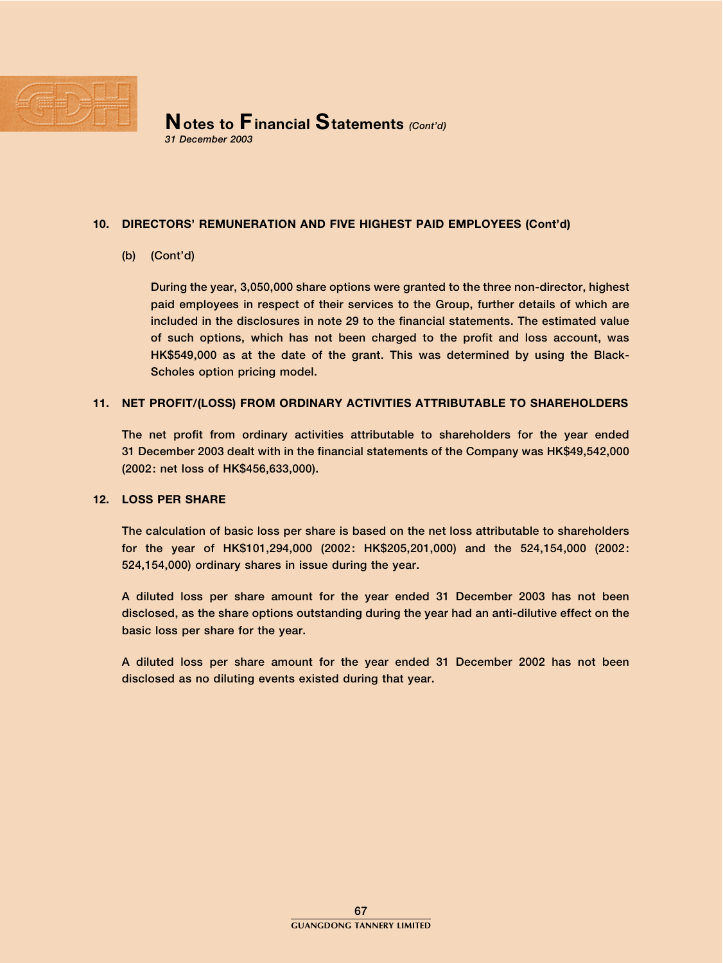

## 10. DIRECTORS' REMUNERATION AND FIVE HIGHEST PAID EMPLOYEES (Cont'd)

## (b) (Cont'd)

During the year, 3,050,000 share options were granted to the three non-director, highest paid employees in respect of their services to the Group, further details of which are included in the disclosures in note 29 to the financial statements. The estimated value of such options, which has not been charged to the profit and loss account, was HK\$549,000 as at the date of the grant. This was determined by using the Black-Scholes option pricing model.

## 11. NET PROFIT/(LOSS) FROM ORDINARY ACTIVITIES ATTRIBUTABLE TO SHAREHOLDERS

The net profit from ordinary activities attributable to shareholders for the year ended 31 December 2003 dealt with in the financial statements of the Company was HK\$49,542,000 (2002: net loss of HK\$456,633,000).

## 12. LOSS PER SHARE

The calculation of basic loss per share is based on the net loss attributable to shareholders for the year of HK\$101,294,000 (2002: HK\$205,201,000) and the 524,154,000 (2002: 524,154,000) ordinary shares in issue during the year.

A diluted loss per share amount for the year ended 31 December 2003 has not been disclosed, as the share options outstanding during the year had an anti-dilutive effect on the basic loss per share for the year.

A diluted loss per share amount for the year ended 31 December 2002 has not been disclosed as no diluting events existed during that year.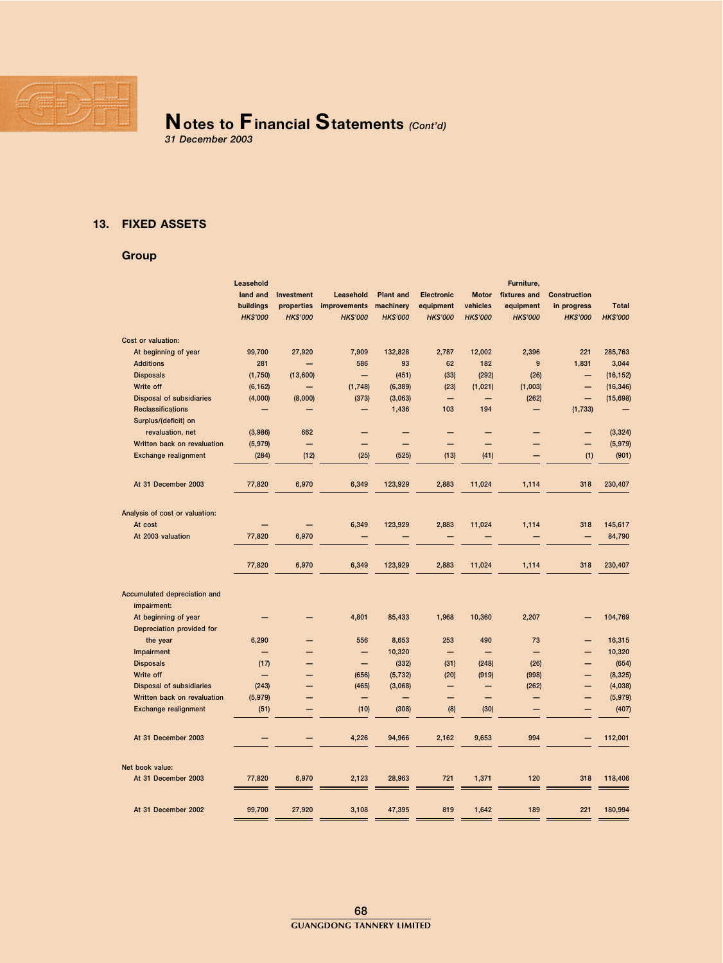

31 December 2003

## 13. FIXED ASSETS

## Group

|                                        | Leasehold       |                   |                 |                  |                          |                          | Furniture,               |                          |                 |
|----------------------------------------|-----------------|-------------------|-----------------|------------------|--------------------------|--------------------------|--------------------------|--------------------------|-----------------|
|                                        | land and        | <b>Investment</b> | Leasehold       | <b>Plant and</b> | <b>Electronic</b>        | <b>Motor</b>             | fixtures and             | <b>Construction</b>      |                 |
|                                        | buildings       | properties        | improvements    | machinery        | equipment                | vehicles                 | equipment                | in progress              | <b>Total</b>    |
|                                        | <b>HK\$'000</b> | <b>HK\$'000</b>   | <b>HK\$'000</b> | <b>HK\$'000</b>  | <b>HK\$'000</b>          | <b>HK\$'000</b>          | <b>HK\$'000</b>          | <b>HK\$'000</b>          | <b>HK\$'000</b> |
| Cost or valuation:                     |                 |                   |                 |                  |                          |                          |                          |                          |                 |
| At beginning of year                   | 99,700          | 27,920            | 7,909           | 132,828          | 2,787                    | 12,002                   | 2,396                    | 221                      | 285,763         |
| <b>Additions</b>                       | 281             |                   | 586             | 93               | 62                       | 182                      | 9                        | 1,831                    | 3,044           |
| <b>Disposals</b>                       | (1,750)         | (13,600)          |                 | (451)            | (33)                     | (292)                    | (26)                     | -                        | (16, 152)       |
| Write off                              | (6, 162)        |                   | (1,748)         | (6, 389)         | (23)                     | (1,021)                  | (1,003)                  | —                        | (16, 346)       |
| <b>Disposal of subsidiaries</b>        | (4,000)         | (8,000)           | (373)           | (3,063)          | $\overline{\phantom{0}}$ | $\overline{\phantom{0}}$ | (262)                    | $\overline{\phantom{0}}$ | (15, 698)       |
| <b>Reclassifications</b>               |                 |                   | -               | 1,436            | 103                      | 194                      |                          | (1, 733)                 |                 |
| Surplus/(deficit) on                   |                 |                   |                 |                  |                          |                          |                          |                          |                 |
| revaluation, net                       | (3,986)         | 662               |                 |                  |                          |                          |                          | —                        | (3, 324)        |
| Written back on revaluation            | (5, 979)        |                   |                 |                  |                          |                          |                          | -                        | (5,979)         |
| <b>Exchange realignment</b>            | (284)           | (12)              | (25)            | (525)            | (13)                     | (41)                     |                          | (1)                      | (901)           |
| At 31 December 2003                    | 77,820          | 6,970             | 6,349           | 123,929          | 2,883                    | 11,024                   | 1,114                    | 318                      | 230,407         |
|                                        |                 |                   |                 |                  |                          |                          |                          |                          |                 |
| Analysis of cost or valuation:         |                 |                   |                 |                  |                          |                          |                          |                          |                 |
| At cost                                |                 |                   | 6,349           | 123,929          | 2,883                    | 11,024                   | 1,114                    | 318                      | 145,617         |
| At 2003 valuation                      | 77,820          | 6,970             |                 |                  |                          |                          |                          |                          | 84,790          |
|                                        |                 |                   |                 |                  |                          |                          |                          |                          |                 |
|                                        | 77,820          | 6,970             | 6,349           | 123,929          | 2,883                    | 11,024                   | 1,114                    | 318                      | 230,407         |
|                                        |                 |                   |                 |                  |                          |                          |                          |                          |                 |
| Accumulated depreciation and           |                 |                   |                 |                  |                          |                          |                          |                          |                 |
| impairment:                            |                 |                   |                 |                  |                          |                          |                          |                          |                 |
| At beginning of year                   |                 |                   | 4,801           | 85,433           | 1,968                    | 10,360                   | 2,207                    |                          | 104,769         |
| Depreciation provided for              |                 |                   |                 |                  |                          |                          |                          |                          |                 |
| the year                               | 6,290           | -                 | 556             | 8,653            | 253                      | 490                      | 73                       | —                        | 16,315          |
| Impairment                             | -               |                   |                 | 10,320           | —                        | -                        | $\overline{\phantom{0}}$ | ۰                        | 10,320          |
| <b>Disposals</b>                       | (17)            | —                 |                 | (332)            | (31)                     | (248)                    | (26)                     | —                        | (654)           |
| Write off                              |                 | ▃                 | (656)           | (5, 732)         | (20)                     | (919)                    | (998)                    | —                        | (8, 325)        |
| <b>Disposal of subsidiaries</b>        | (243)           |                   | (465)           | (3,068)          | -                        | -                        | (262)                    | -                        | (4,038)         |
| Written back on revaluation            | (5, 979)        | -                 | -               |                  | -                        | -                        | -                        | -                        | (5,979)         |
| <b>Exchange realignment</b>            | (51)            |                   | (10)            | (308)            | (8)                      | (30)                     |                          |                          | (407)           |
| At 31 December 2003                    |                 |                   | 4,226           | 94,966           | 2,162                    | 9,653                    | 994                      |                          | 112,001         |
|                                        |                 |                   |                 |                  |                          |                          |                          |                          |                 |
| Net book value:<br>At 31 December 2003 | 77,820          | 6,970             | 2,123           | 28,963           | 721                      | 1,371                    | 120                      | 318                      | 118,406         |
|                                        |                 |                   |                 |                  |                          |                          |                          |                          |                 |
| At 31 December 2002                    | 99,700          | 27,920            | 3,108           | 47,395           | 819                      | 1,642                    | 189                      | 221                      | 180,994         |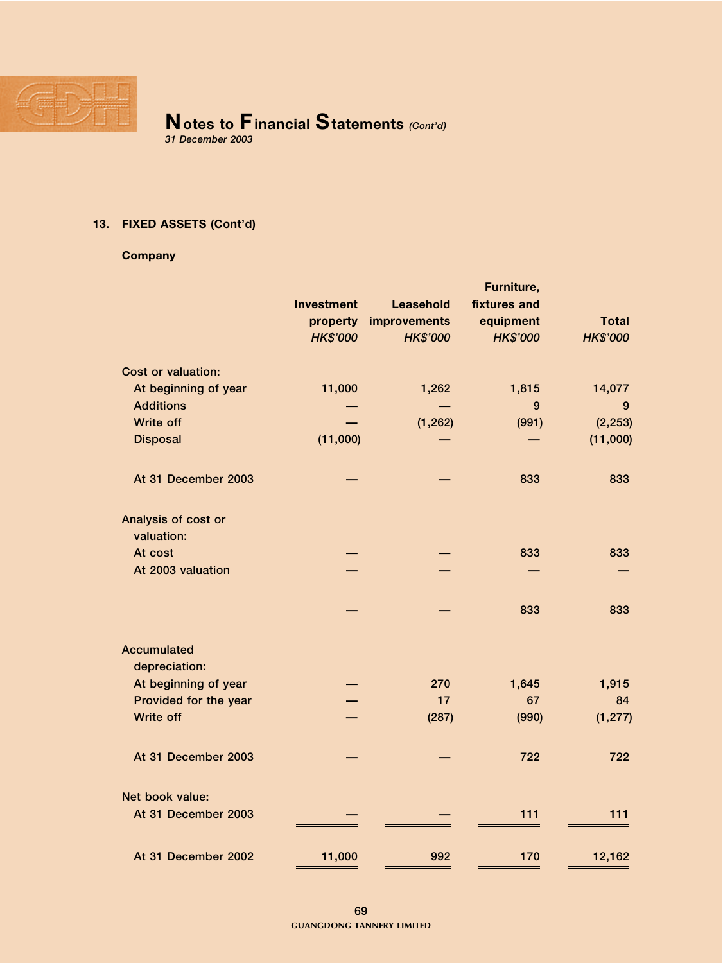

## 13. FIXED ASSETS (Cont'd)

## **Company**

|                                   | <b>Investment</b>           | <b>Leasehold</b>                       | Furniture,<br>fixtures and   |                                 |
|-----------------------------------|-----------------------------|----------------------------------------|------------------------------|---------------------------------|
|                                   |                             |                                        |                              |                                 |
|                                   | property<br><b>HK\$'000</b> | <b>improvements</b><br><b>HK\$'000</b> | equipment<br><b>HK\$'000</b> | <b>Total</b><br><b>HK\$'000</b> |
|                                   |                             |                                        |                              |                                 |
| Cost or valuation:                |                             |                                        |                              |                                 |
| At beginning of year              | 11,000                      | 1,262                                  | 1,815                        | 14,077                          |
| <b>Additions</b>                  |                             |                                        | 9                            | 9                               |
| <b>Write off</b>                  |                             | (1, 262)                               | (991)                        | (2, 253)                        |
| <b>Disposal</b>                   | (11,000)                    |                                        |                              | (11,000)                        |
| At 31 December 2003               |                             |                                        | 833                          | 833                             |
| Analysis of cost or<br>valuation: |                             |                                        |                              |                                 |
| At cost                           |                             |                                        | 833                          | 833                             |
| At 2003 valuation                 |                             |                                        |                              |                                 |
|                                   |                             |                                        | 833                          | 833                             |
| <b>Accumulated</b>                |                             |                                        |                              |                                 |
| depreciation:                     |                             |                                        |                              |                                 |
| At beginning of year              |                             | 270                                    | 1,645                        | 1,915                           |
| Provided for the year             |                             | 17                                     | 67                           | 84                              |
| <b>Write off</b>                  |                             | (287)                                  | (990)                        | (1, 277)                        |
| At 31 December 2003               |                             |                                        | 722                          | 722                             |
| Net book value:                   |                             |                                        |                              |                                 |
| At 31 December 2003               |                             |                                        | 111                          | 111                             |
| At 31 December 2002               | 11,000                      | 992                                    | 170                          | 12,162                          |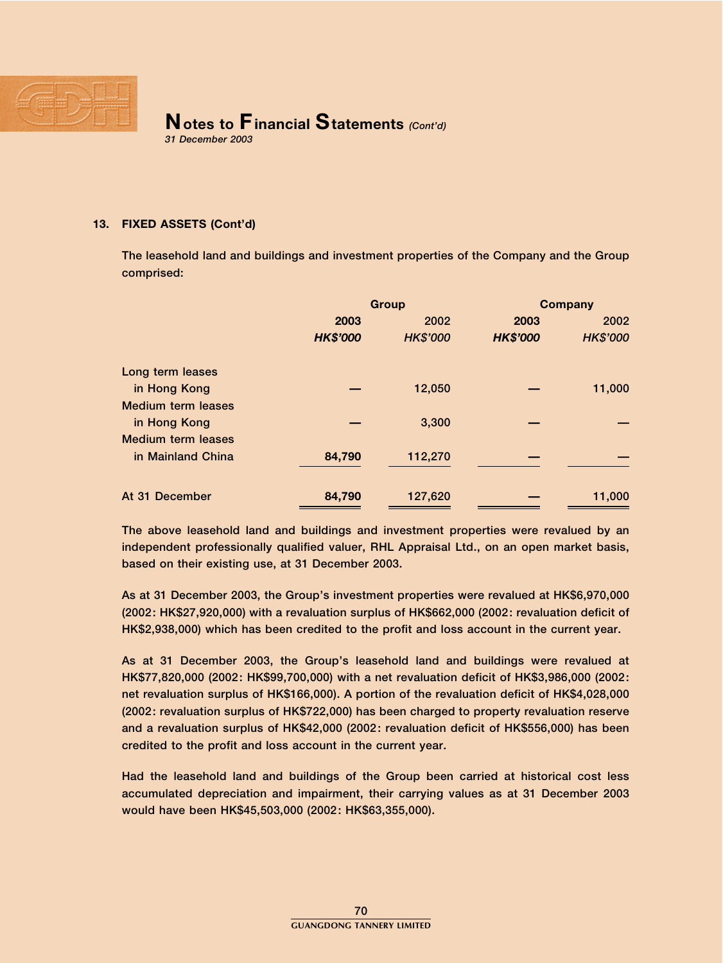

31 December 2003

## 13. FIXED ASSETS (Cont'd)

The leasehold land and buildings and investment properties of the Company and the Group comprised:

|                    | Group           |                 | <b>Company</b>  |                 |
|--------------------|-----------------|-----------------|-----------------|-----------------|
|                    | 2003            | 2002            | 2003            | 2002            |
|                    | <b>HK\$'000</b> | <b>HK\$'000</b> | <b>HK\$'000</b> | <b>HK\$'000</b> |
| Long term leases   |                 |                 |                 |                 |
| in Hong Kong       |                 | 12,050          |                 | 11,000          |
| Medium term leases |                 |                 |                 |                 |
| in Hong Kong       |                 | 3,300           |                 |                 |
| Medium term leases |                 |                 |                 |                 |
| in Mainland China  | 84,790          | 112,270         |                 |                 |
| At 31 December     | 84,790          | 127,620         |                 | 11,000          |

The above leasehold land and buildings and investment properties were revalued by an independent professionally qualified valuer, RHL Appraisal Ltd., on an open market basis, based on their existing use, at 31 December 2003.

As at 31 December 2003, the Group's investment properties were revalued at HK\$6,970,000 (2002: HK\$27,920,000) with a revaluation surplus of HK\$662,000 (2002: revaluation deficit of HK\$2,938,000) which has been credited to the profit and loss account in the current year.

As at 31 December 2003, the Group's leasehold land and buildings were revalued at HK\$77,820,000 (2002: HK\$99,700,000) with a net revaluation deficit of HK\$3,986,000 (2002: net revaluation surplus of HK\$166,000). A portion of the revaluation deficit of HK\$4,028,000 (2002: revaluation surplus of HK\$722,000) has been charged to property revaluation reserve and a revaluation surplus of HK\$42,000 (2002: revaluation deficit of HK\$556,000) has been credited to the profit and loss account in the current year.

Had the leasehold land and buildings of the Group been carried at historical cost less accumulated depreciation and impairment, their carrying values as at 31 December 2003 would have been HK\$45,503,000 (2002: HK\$63,355,000).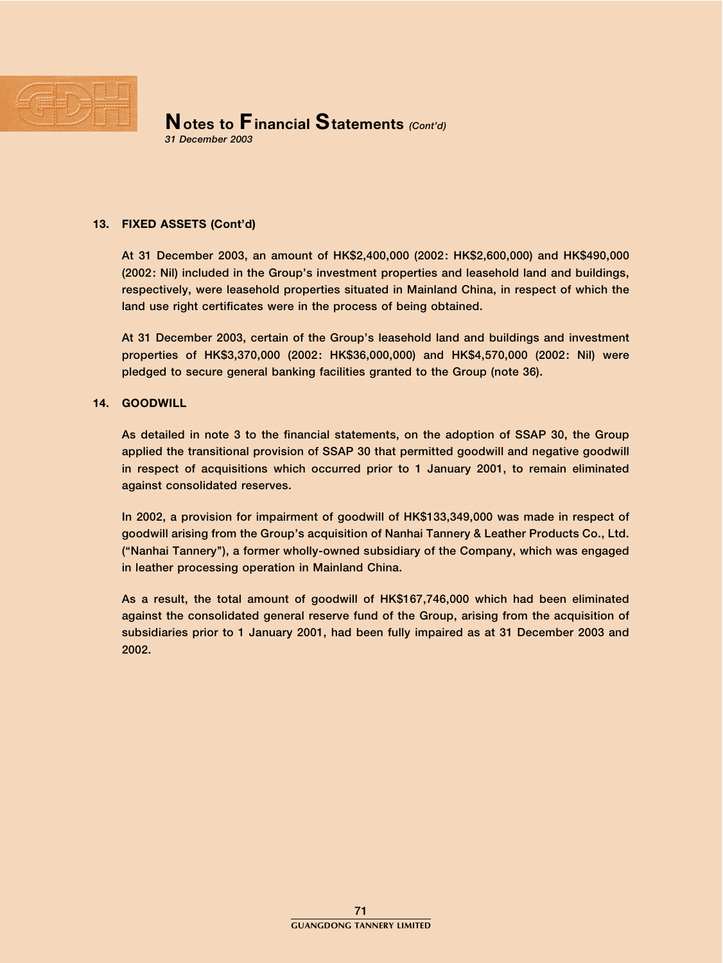

## 13. FIXED ASSETS (Cont'd)

At 31 December 2003, an amount of HK\$2,400,000 (2002: HK\$2,600,000) and HK\$490,000 (2002: Nil) included in the Group's investment properties and leasehold land and buildings, respectively, were leasehold properties situated in Mainland China, in respect of which the land use right certificates were in the process of being obtained.

At 31 December 2003, certain of the Group's leasehold land and buildings and investment properties of HK\$3,370,000 (2002: HK\$36,000,000) and HK\$4,570,000 (2002: Nil) were pledged to secure general banking facilities granted to the Group (note 36).

## 14. GOODWILL

As detailed in note 3 to the financial statements, on the adoption of SSAP 30, the Group applied the transitional provision of SSAP 30 that permitted goodwill and negative goodwill in respect of acquisitions which occurred prior to 1 January 2001, to remain eliminated against consolidated reserves.

In 2002, a provision for impairment of goodwill of HK\$133,349,000 was made in respect of goodwill arising from the Group's acquisition of Nanhai Tannery & Leather Products Co., Ltd. (''Nanhai Tannery''), a former wholly-owned subsidiary of the Company, which was engaged in leather processing operation in Mainland China.

As a result, the total amount of goodwill of HK\$167,746,000 which had been eliminated against the consolidated general reserve fund of the Group, arising from the acquisition of subsidiaries prior to 1 January 2001, had been fully impaired as at 31 December 2003 and 2002.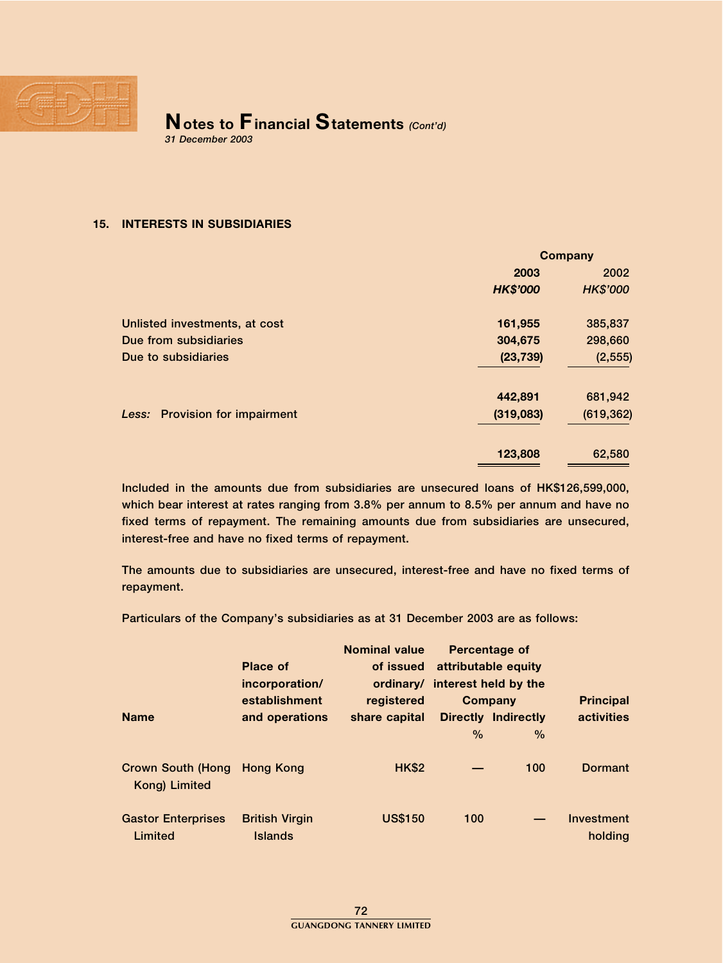

#### 15. INTERESTS IN SUBSIDIARIES

| <b>Company</b>  |                 |  |
|-----------------|-----------------|--|
| 2003            | 2002            |  |
| <b>HK\$'000</b> | <b>HK\$'000</b> |  |
| 161,955         | 385,837         |  |
| 304,675         | 298,660         |  |
| (23, 739)       | (2, 555)        |  |
| 442,891         | 681,942         |  |
| (319,083)       | (619, 362)      |  |
| 123,808         | 62,580          |  |
|                 |                 |  |

Included in the amounts due from subsidiaries are unsecured loans of HK\$126,599,000, which bear interest at rates ranging from 3.8% per annum to 8.5% per annum and have no fixed terms of repayment. The remaining amounts due from subsidiaries are unsecured, interest-free and have no fixed terms of repayment.

The amounts due to subsidiaries are unsecured, interest-free and have no fixed terms of repayment.

Particulars of the Company's subsidiaries as at 31 December 2003 are as follows:

|                                              | <b>Place of</b><br>incorporation/       | <b>Nominal value</b><br>of issued |      | <b>Percentage of</b><br>attributable equity<br>ordinary/ interest held by the |                       |
|----------------------------------------------|-----------------------------------------|-----------------------------------|------|-------------------------------------------------------------------------------|-----------------------|
|                                              | establishment                           | registered                        |      | Company                                                                       | <b>Principal</b>      |
| <b>Name</b>                                  | and operations                          | share capital                     |      | <b>Directly Indirectly</b>                                                    | <b>activities</b>     |
|                                              |                                         |                                   | $\%$ | $\%$                                                                          |                       |
| Crown South (Hong Hong Kong<br>Kong) Limited |                                         | <b>HK\$2</b>                      |      | 100                                                                           | Dormant               |
| <b>Gastor Enterprises</b><br>Limited         | <b>British Virgin</b><br><b>Islands</b> | <b>US\$150</b>                    | 100  |                                                                               | Investment<br>holding |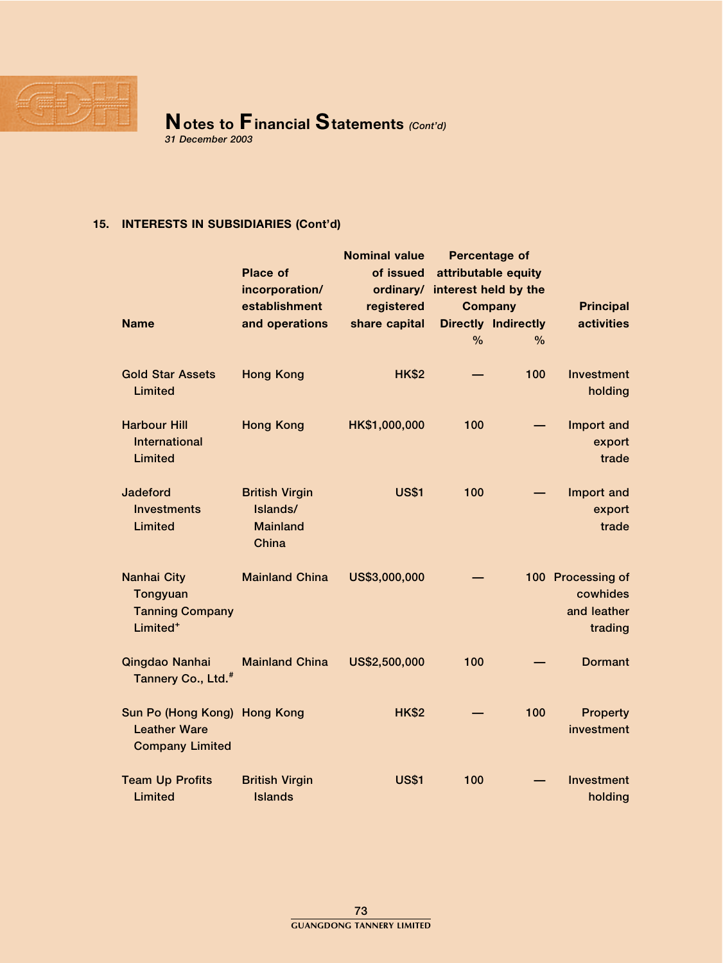

31 December 2003

# 15. INTERESTS IN SUBSIDIARIES (Cont'd)

|                                                                               |                                                               | <b>Nominal value</b> |               | Percentage of              |                                                         |
|-------------------------------------------------------------------------------|---------------------------------------------------------------|----------------------|---------------|----------------------------|---------------------------------------------------------|
|                                                                               | <b>Place of</b>                                               | of issued            |               | attributable equity        |                                                         |
|                                                                               | incorporation/                                                | ordinary/            |               | interest held by the       |                                                         |
|                                                                               | establishment                                                 | registered           |               | <b>Company</b>             | <b>Principal</b>                                        |
| <b>Name</b>                                                                   | and operations                                                | share capital        |               | <b>Directly Indirectly</b> | <b>activities</b>                                       |
|                                                                               |                                                               |                      | $\frac{0}{0}$ | $\%$                       |                                                         |
| <b>Gold Star Assets</b><br><b>Limited</b>                                     | <b>Hong Kong</b>                                              | <b>HK\$2</b>         |               | 100                        | Investment<br>holding                                   |
| <b>Harbour Hill</b><br>International<br>Limited                               | <b>Hong Kong</b>                                              | HK\$1,000,000        | 100           |                            | Import and<br>export<br>trade                           |
| <b>Jadeford</b><br><b>Investments</b><br><b>Limited</b>                       | <b>British Virgin</b><br>Islands/<br><b>Mainland</b><br>China | <b>US\$1</b>         | 100           |                            | Import and<br>export<br>trade                           |
| Nanhai City<br>Tongyuan<br><b>Tanning Company</b><br>Limited <sup>+</sup>     | <b>Mainland China</b>                                         | US\$3,000,000        |               |                            | 100 Processing of<br>cowhides<br>and leather<br>trading |
| Qingdao Nanhai<br>Tannery Co., Ltd. <sup>#</sup>                              | <b>Mainland China</b>                                         | US\$2,500,000        | 100           |                            | <b>Dormant</b>                                          |
| Sun Po (Hong Kong) Hong Kong<br><b>Leather Ware</b><br><b>Company Limited</b> |                                                               | <b>HK\$2</b>         |               | 100                        | Property<br>investment                                  |
| <b>Team Up Profits</b><br>Limited                                             | <b>British Virgin</b><br><b>Islands</b>                       | <b>US\$1</b>         | 100           |                            | Investment<br>holding                                   |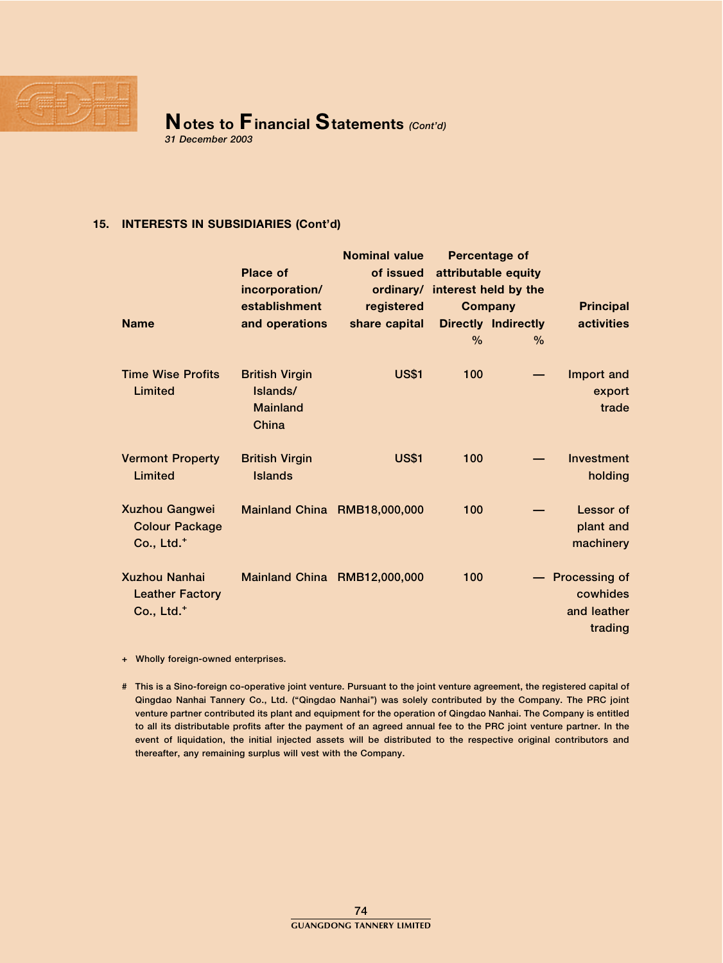

## 15. INTERESTS IN SUBSIDIARIES (Cont'd)

|                                                                          | <b>Place of</b><br>incorporation/<br>establishment            | <b>Nominal value</b><br>of issued<br>registered | ordinary/ interest held by the | <b>Percentage of</b><br>attributable equity<br>Company | <b>Principal</b>                                           |
|--------------------------------------------------------------------------|---------------------------------------------------------------|-------------------------------------------------|--------------------------------|--------------------------------------------------------|------------------------------------------------------------|
| <b>Name</b>                                                              | and operations                                                | share capital                                   | $\%$                           | <b>Directly Indirectly</b><br>$\%$                     | <b>activities</b>                                          |
| <b>Time Wise Profits</b><br>Limited                                      | <b>British Virgin</b><br>Islands/<br><b>Mainland</b><br>China | <b>US\$1</b>                                    | 100                            |                                                        | Import and<br>export<br>trade                              |
| <b>Vermont Property</b><br>Limited                                       | <b>British Virgin</b><br><b>Islands</b>                       | <b>US\$1</b>                                    | 100                            |                                                        | Investment<br>holding                                      |
| <b>Xuzhou Gangwei</b><br><b>Colour Package</b><br>Co., Ltd. <sup>+</sup> |                                                               | Mainland China RMB18,000,000                    | 100                            |                                                        | Lessor of<br>plant and<br>machinery                        |
| <b>Xuzhou Nanhai</b><br><b>Leather Factory</b><br>Co., Ltd. <sup>+</sup> |                                                               | Mainland China RMB12,000,000                    | 100                            |                                                        | <b>Processing of</b><br>cowhides<br>and leather<br>trading |

+ Wholly foreign-owned enterprises.

# This is a Sino-foreign co-operative joint venture. Pursuant to the joint venture agreement, the registered capital of Qingdao Nanhai Tannery Co., Ltd. (''Qingdao Nanhai'') was solely contributed by the Company. The PRC joint venture partner contributed its plant and equipment for the operation of Qingdao Nanhai. The Company is entitled to all its distributable profits after the payment of an agreed annual fee to the PRC joint venture partner. In the event of liquidation, the initial injected assets will be distributed to the respective original contributors and thereafter, any remaining surplus will vest with the Company.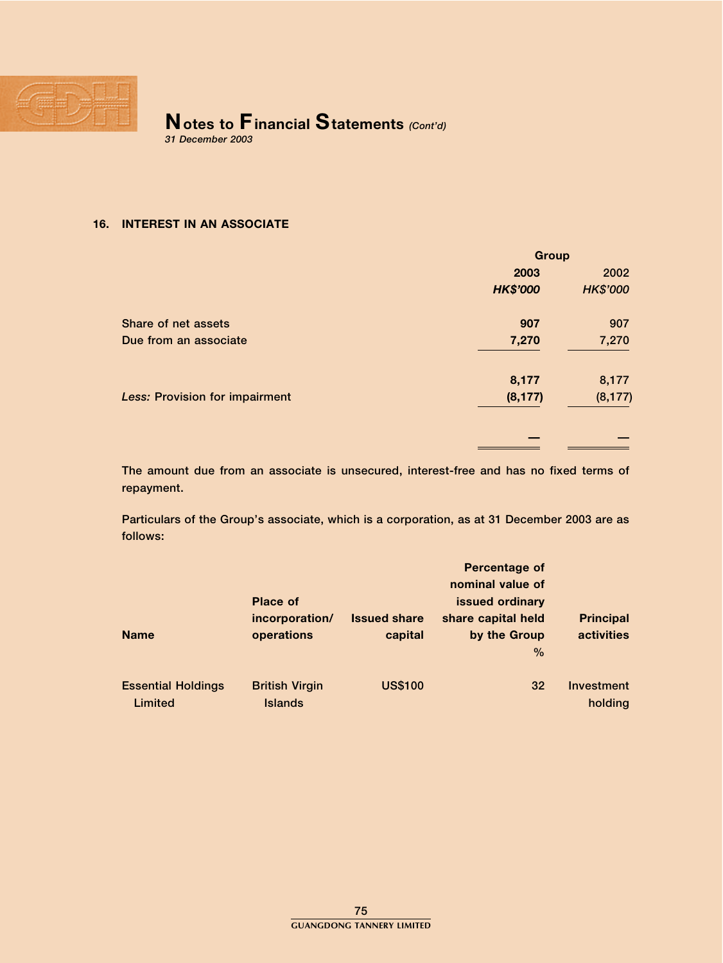

## 16. INTEREST IN AN ASSOCIATE

|                                       | <b>Group</b>    |                 |  |
|---------------------------------------|-----------------|-----------------|--|
|                                       | 2003            | 2002            |  |
|                                       | <b>HK\$'000</b> | <b>HK\$'000</b> |  |
| Share of net assets                   | 907             | 907             |  |
| Due from an associate                 | 7,270           | 7,270           |  |
|                                       | 8,177           | 8,177           |  |
| <b>Less: Provision for impairment</b> | (8, 177)        | (8, 177)        |  |
|                                       |                 |                 |  |
|                                       |                 |                 |  |

The amount due from an associate is unsecured, interest-free and has no fixed terms of repayment.

Particulars of the Group's associate, which is a corporation, as at 31 December 2003 are as follows:

|                                      | <b>Place of</b>                         |                                | <b>Percentage of</b><br>nominal value of<br>issued ordinary |                                |
|--------------------------------------|-----------------------------------------|--------------------------------|-------------------------------------------------------------|--------------------------------|
| <b>Name</b>                          | incorporation/<br>operations            | <b>Issued share</b><br>capital | share capital held<br>by the Group<br>$\%$                  | <b>Principal</b><br>activities |
| <b>Essential Holdings</b><br>Limited | <b>British Virgin</b><br><b>Islands</b> | <b>US\$100</b>                 | 32                                                          | Investment<br>holding          |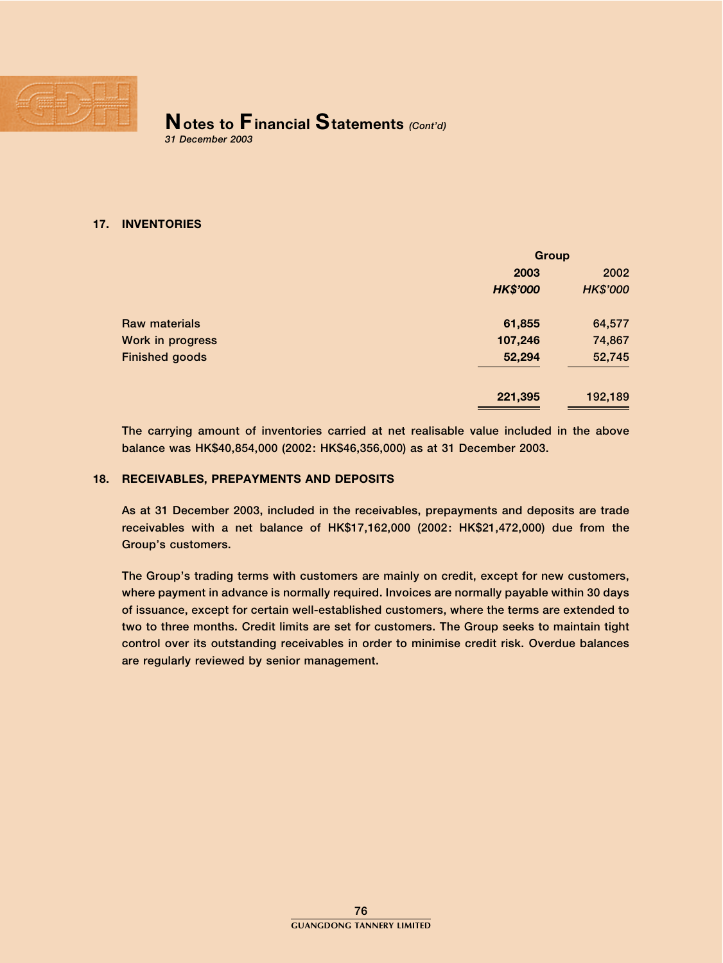

17. INVENTORIES

|                         | Group           |                 |  |
|-------------------------|-----------------|-----------------|--|
|                         | 2003            | 2002            |  |
|                         | <b>HK\$'000</b> | <b>HK\$'000</b> |  |
| Raw materials           | 61,855          | 64,577          |  |
| <b>Work in progress</b> | 107,246         | 74,867          |  |
| <b>Finished goods</b>   | 52,294          | 52,745          |  |
|                         | 221,395         | 192,189         |  |

The carrying amount of inventories carried at net realisable value included in the above balance was HK\$40,854,000 (2002: HK\$46,356,000) as at 31 December 2003.

## 18. RECEIVABLES, PREPAYMENTS AND DEPOSITS

As at 31 December 2003, included in the receivables, prepayments and deposits are trade receivables with a net balance of HK\$17,162,000 (2002: HK\$21,472,000) due from the Group's customers.

The Group's trading terms with customers are mainly on credit, except for new customers, where payment in advance is normally required. Invoices are normally payable within 30 days of issuance, except for certain well-established customers, where the terms are extended to two to three months. Credit limits are set for customers. The Group seeks to maintain tight control over its outstanding receivables in order to minimise credit risk. Overdue balances are regularly reviewed by senior management.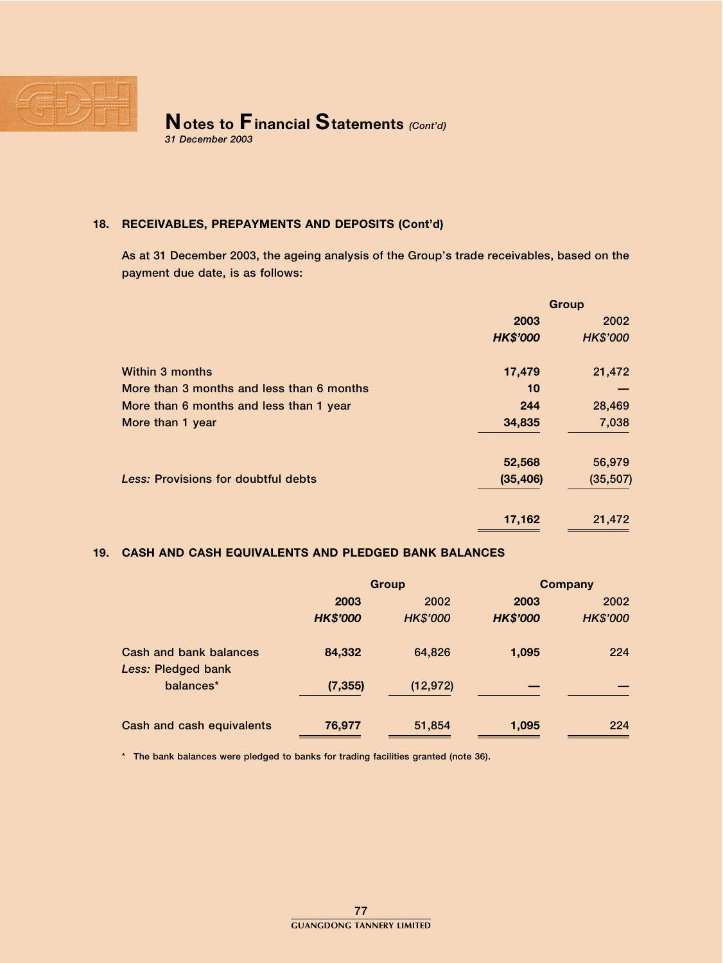

## 18. RECEIVABLES, PREPAYMENTS AND DEPOSITS (Cont'd)

As at 31 December 2003, the ageing analysis of the Group's trade receivables, based on the payment due date, is as follows:

|                                           | Group           |                 |  |
|-------------------------------------------|-----------------|-----------------|--|
|                                           | 2003            | 2002            |  |
|                                           | <b>HK\$'000</b> | <b>HK\$'000</b> |  |
| <b>Within 3 months</b>                    | 17,479          | 21,472          |  |
| More than 3 months and less than 6 months | 10              |                 |  |
| More than 6 months and less than 1 year   | 244             | 28,469          |  |
| More than 1 year                          | 34,835          | 7,038           |  |
|                                           | 52,568          | 56,979          |  |
| Less: Provisions for doubtful debts       | (35, 406)       | (35, 507)       |  |
|                                           | 17,162          | 21,472          |  |
|                                           |                 |                 |  |

## 19. CASH AND CASH EQUIVALENTS AND PLEDGED BANK BALANCES

|                                              | Group           |                 |                 | <b>Company</b>  |
|----------------------------------------------|-----------------|-----------------|-----------------|-----------------|
|                                              | 2003            | 2002            | 2003            | 2002            |
|                                              | <b>HK\$'000</b> | <b>HK\$'000</b> | <b>HK\$'000</b> | <b>HK\$'000</b> |
| Cash and bank balances<br>Less: Pledged bank | 84,332          | 64,826          | 1,095           | 224             |
| balances*                                    | (7, 355)        | (12, 972)       |                 |                 |
| Cash and cash equivalents                    | 76,977          | 51,854          | 1,095           | 224             |

\* The bank balances were pledged to banks for trading facilities granted (note 36).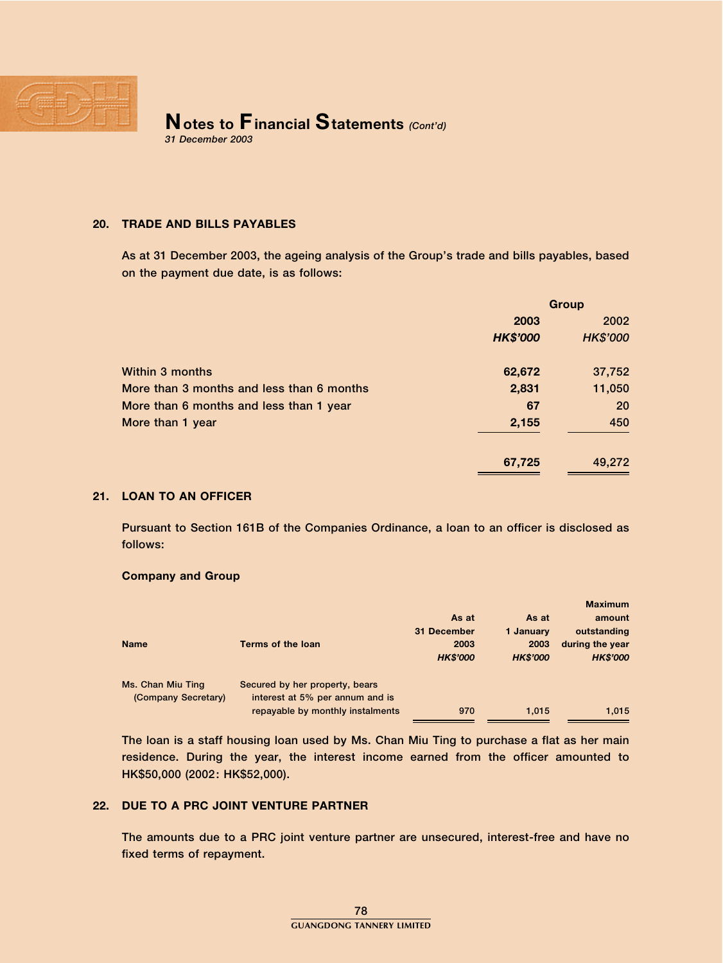

31 December 2003

### 20. TRADE AND BILLS PAYABLES

As at 31 December 2003, the ageing analysis of the Group's trade and bills payables, based on the payment due date, is as follows:

|                                           | <b>Group</b>    |                 |  |
|-------------------------------------------|-----------------|-----------------|--|
|                                           | 2003            | 2002            |  |
|                                           | <b>HK\$'000</b> | <b>HK\$'000</b> |  |
| <b>Within 3 months</b>                    | 62,672          | 37,752          |  |
| More than 3 months and less than 6 months | 2,831           | 11,050          |  |
| More than 6 months and less than 1 year   | 67              | 20              |  |
| More than 1 year                          | 2,155           | 450             |  |
|                                           | 67,725          | 49,272          |  |

## 21. LOAN TO AN OFFICER

Pursuant to Section 161B of the Companies Ordinance, a loan to an officer is disclosed as follows:

#### Company and Group

|                     |                                  |                 |                 | <b>Maximum</b>  |
|---------------------|----------------------------------|-----------------|-----------------|-----------------|
|                     |                                  | As at           | As at           | amount          |
|                     |                                  | 31 December     | 1 January       | outstanding     |
| <b>Name</b>         | Terms of the loan                | 2003            | 2003            | during the year |
|                     |                                  | <b>HK\$'000</b> | <b>HK\$'000</b> | <b>HK\$'000</b> |
| Ms. Chan Miu Ting   | Secured by her property, bears   |                 |                 |                 |
| (Company Secretary) | interest at 5% per annum and is  |                 |                 |                 |
|                     | repayable by monthly instalments | 970             | 1.015           | 1,015           |
|                     |                                  |                 |                 |                 |

The loan is a staff housing loan used by Ms. Chan Miu Ting to purchase a flat as her main residence. During the year, the interest income earned from the officer amounted to HK\$50,000 (2002: HK\$52,000).

## 22. DUE TO A PRC JOINT VENTURE PARTNER

The amounts due to a PRC joint venture partner are unsecured, interest-free and have no fixed terms of repayment.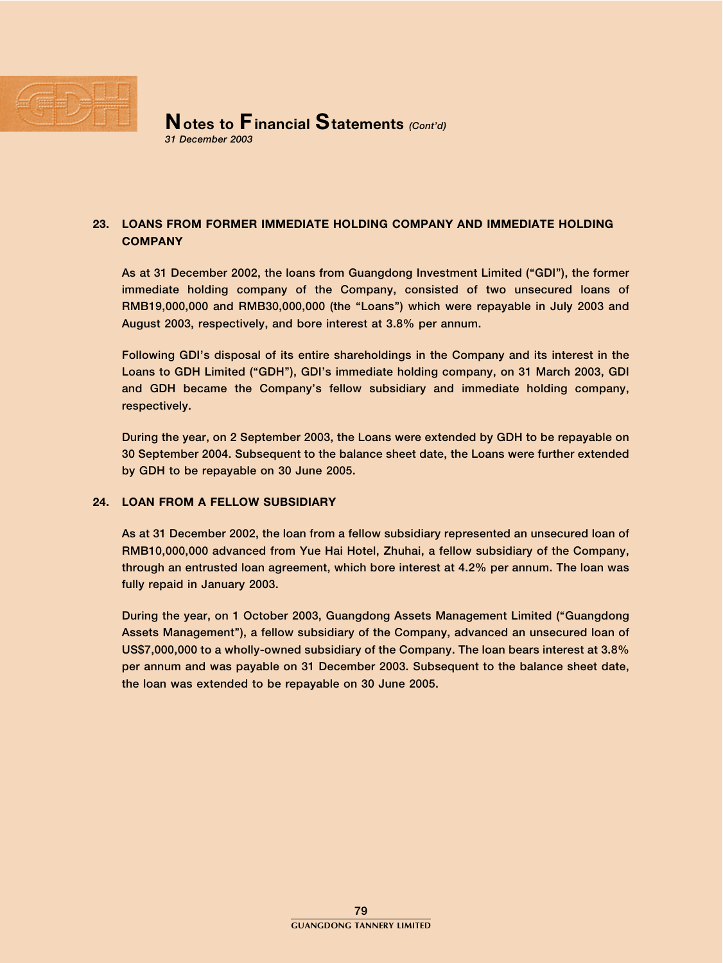

## 23. LOANS FROM FORMER IMMEDIATE HOLDING COMPANY AND IMMEDIATE HOLDING **COMPANY**

As at 31 December 2002, the loans from Guangdong Investment Limited ("GDI"), the former immediate holding company of the Company, consisted of two unsecured loans of RMB19,000,000 and RMB30,000,000 (the ''Loans'') which were repayable in July 2003 and August 2003, respectively, and bore interest at 3.8% per annum.

Following GDI's disposal of its entire shareholdings in the Company and its interest in the Loans to GDH Limited (''GDH''), GDI's immediate holding company, on 31 March 2003, GDI and GDH became the Company's fellow subsidiary and immediate holding company, respectively.

During the year, on 2 September 2003, the Loans were extended by GDH to be repayable on 30 September 2004. Subsequent to the balance sheet date, the Loans were further extended by GDH to be repayable on 30 June 2005.

### 24. LOAN FROM A FELLOW SUBSIDIARY

As at 31 December 2002, the loan from a fellow subsidiary represented an unsecured loan of RMB10,000,000 advanced from Yue Hai Hotel, Zhuhai, a fellow subsidiary of the Company, through an entrusted loan agreement, which bore interest at 4.2% per annum. The loan was fully repaid in January 2003.

During the year, on 1 October 2003, Guangdong Assets Management Limited (''Guangdong Assets Management''), a fellow subsidiary of the Company, advanced an unsecured loan of US\$7,000,000 to a wholly-owned subsidiary of the Company. The loan bears interest at 3.8% per annum and was payable on 31 December 2003. Subsequent to the balance sheet date, the loan was extended to be repayable on 30 June 2005.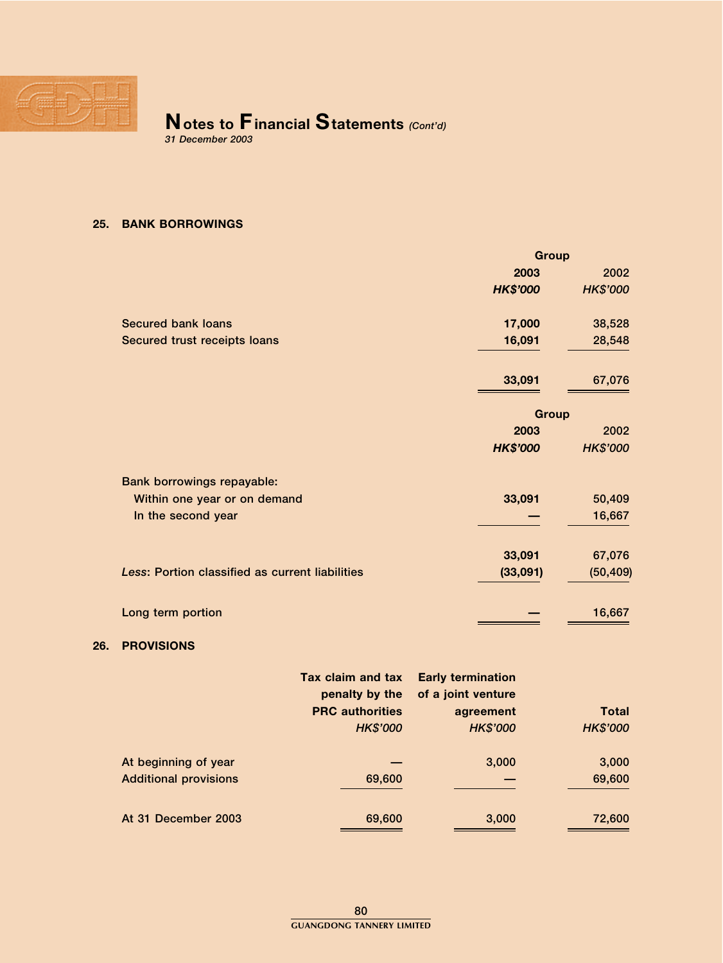

31 December 2003

## 25. BANK BORROWINGS

|                                                 | <b>Group</b>    |                 |
|-------------------------------------------------|-----------------|-----------------|
|                                                 | 2003            | 2002            |
|                                                 | <b>HK\$'000</b> | <b>HK\$'000</b> |
| <b>Secured bank loans</b>                       | 17,000          | 38,528          |
| Secured trust receipts loans                    | 16,091          | 28,548          |
|                                                 | 33,091          | 67,076          |
|                                                 | <b>Group</b>    |                 |
|                                                 | 2003            | 2002            |
|                                                 | <b>HK\$'000</b> | HK\$'000        |
| Bank borrowings repayable:                      |                 |                 |
| Within one year or on demand                    | 33,091          | 50,409          |
| In the second year                              |                 | 16,667          |
|                                                 | 33,091          | 67,076          |
| Less: Portion classified as current liabilities | (33,091)        | (50, 409)       |
| Long term portion                               |                 | 16,667          |
|                                                 |                 |                 |

## 26. PROVISIONS

|                              | Tax claim and tax<br>penalty by the | <b>Early termination</b><br>of a joint venture |                 |
|------------------------------|-------------------------------------|------------------------------------------------|-----------------|
|                              | <b>PRC authorities</b>              | agreement                                      | <b>Total</b>    |
|                              | HK\$'000                            | <b>HK\$'000</b>                                | <b>HK\$'000</b> |
| At beginning of year         |                                     | 3,000                                          | 3,000           |
| <b>Additional provisions</b> | 69,600                              |                                                | 69,600          |
| At 31 December 2003          | 69,600                              | 3,000                                          | 72,600          |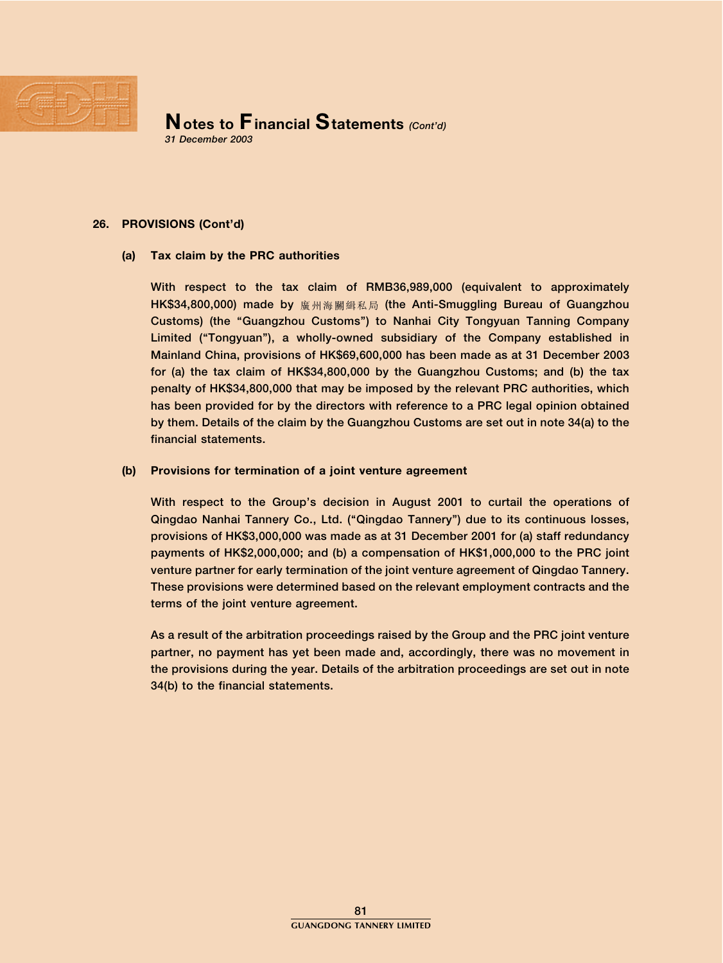

#### 26. PROVISIONS (Cont'd)

#### (a) Tax claim by the PRC authorities

With respect to the tax claim of RMB36,989,000 (equivalent to approximately HK\$34,800,000) made by 廣州海關緝私局 (the Anti-Smuggling Bureau of Guangzhou Customs) (the "Guangzhou Customs") to Nanhai City Tongyuan Tanning Company Limited (''Tongyuan''), a wholly-owned subsidiary of the Company established in Mainland China, provisions of HK\$69,600,000 has been made as at 31 December 2003 for (a) the tax claim of HK\$34,800,000 by the Guangzhou Customs; and (b) the tax penalty of HK\$34,800,000 that may be imposed by the relevant PRC authorities, which has been provided for by the directors with reference to a PRC legal opinion obtained by them. Details of the claim by the Guangzhou Customs are set out in note 34(a) to the financial statements.

#### (b) Provisions for termination of a joint venture agreement

With respect to the Group's decision in August 2001 to curtail the operations of Qingdao Nanhai Tannery Co., Ltd. (''Qingdao Tannery'') due to its continuous losses, provisions of HK\$3,000,000 was made as at 31 December 2001 for (a) staff redundancy payments of HK\$2,000,000; and (b) a compensation of HK\$1,000,000 to the PRC joint venture partner for early termination of the joint venture agreement of Qingdao Tannery. These provisions were determined based on the relevant employment contracts and the terms of the joint venture agreement.

As a result of the arbitration proceedings raised by the Group and the PRC joint venture partner, no payment has yet been made and, accordingly, there was no movement in the provisions during the year. Details of the arbitration proceedings are set out in note 34(b) to the financial statements.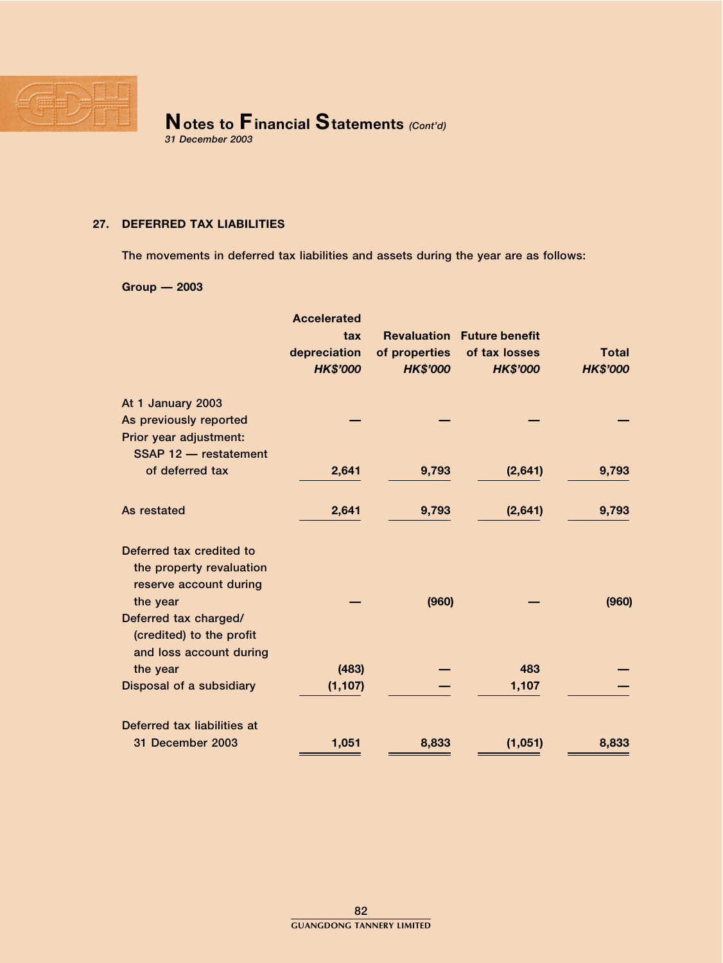

### 27. DEFERRED TAX LIABILITIES

The movements in deferred tax liabilities and assets during the year are as follows:

## Group — 2003

|                                                                                            | <b>Accelerated</b><br>tax<br>depreciation<br><b>HK\$'000</b> | of properties<br><b>HK\$'000</b> | <b>Revaluation Future benefit</b><br>of tax losses<br><b>HK\$'000</b> | <b>Total</b><br><b>HK\$'000</b> |
|--------------------------------------------------------------------------------------------|--------------------------------------------------------------|----------------------------------|-----------------------------------------------------------------------|---------------------------------|
| At 1 January 2003                                                                          |                                                              |                                  |                                                                       |                                 |
| As previously reported                                                                     |                                                              |                                  |                                                                       |                                 |
| Prior year adjustment:<br>SSAP 12 - restatement                                            |                                                              |                                  |                                                                       |                                 |
| of deferred tax                                                                            | 2,641                                                        | 9,793                            | (2,641)                                                               | 9,793                           |
| As restated                                                                                | 2,641                                                        | 9,793                            | (2,641)                                                               | 9,793                           |
| Deferred tax credited to<br>the property revaluation<br>reserve account during<br>the year |                                                              | (960)                            |                                                                       | (960)                           |
| Deferred tax charged/<br>(credited) to the profit<br>and loss account during               |                                                              |                                  |                                                                       |                                 |
| the year                                                                                   | (483)                                                        |                                  | 483                                                                   |                                 |
| Disposal of a subsidiary                                                                   | (1, 107)                                                     |                                  | 1,107                                                                 |                                 |
| Deferred tax liabilities at                                                                |                                                              |                                  |                                                                       |                                 |
| 31 December 2003                                                                           | 1,051                                                        | 8,833                            | (1,051)                                                               | 8,833                           |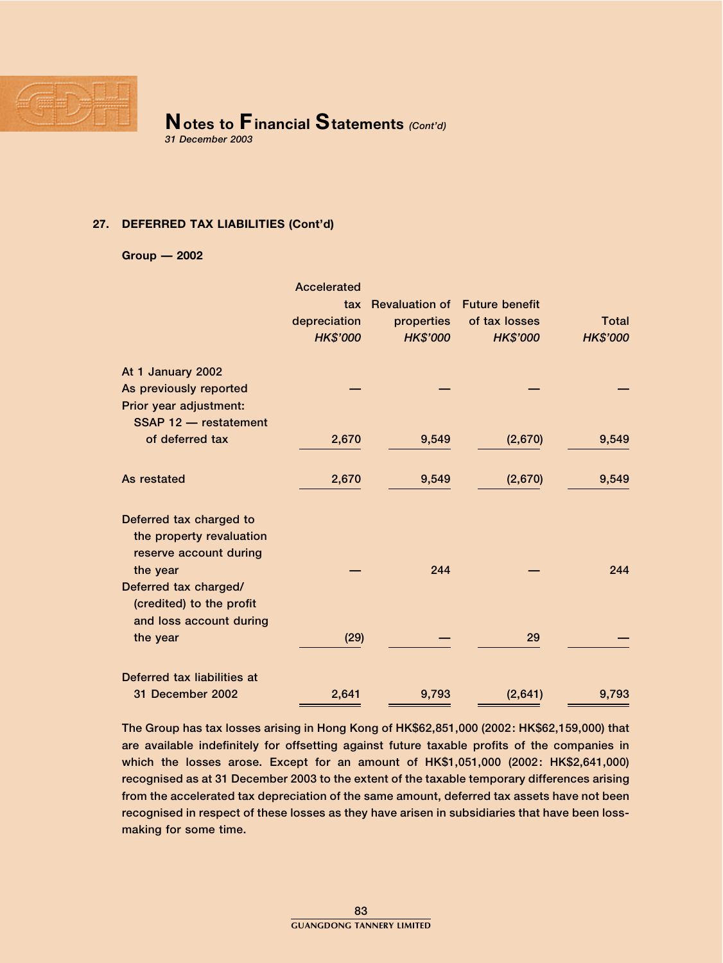

## 27. DEFERRED TAX LIABILITIES (Cont'd)

#### Group — 2002

|                             | Accelerated     |                       |                       |                 |
|-----------------------------|-----------------|-----------------------|-----------------------|-----------------|
|                             | tax             | <b>Revaluation of</b> | <b>Future benefit</b> |                 |
|                             | depreciation    | properties            | of tax losses         | <b>Total</b>    |
|                             | <b>HK\$'000</b> | <b>HK\$'000</b>       | <b>HK\$'000</b>       | <b>HK\$'000</b> |
| At 1 January 2002           |                 |                       |                       |                 |
| As previously reported      |                 |                       |                       |                 |
| Prior year adjustment:      |                 |                       |                       |                 |
| SSAP 12 - restatement       |                 |                       |                       |                 |
| of deferred tax             | 2,670           | 9,549                 | (2,670)               | 9,549           |
|                             |                 |                       |                       |                 |
| As restated                 | 2,670           | 9,549                 | (2,670)               | 9,549           |
|                             |                 |                       |                       |                 |
| Deferred tax charged to     |                 |                       |                       |                 |
| the property revaluation    |                 |                       |                       |                 |
| reserve account during      |                 |                       |                       |                 |
| the year                    |                 | 244                   |                       | 244             |
| Deferred tax charged/       |                 |                       |                       |                 |
| (credited) to the profit    |                 |                       |                       |                 |
| and loss account during     |                 |                       |                       |                 |
| the year                    | (29)            |                       | 29                    |                 |
| Deferred tax liabilities at |                 |                       |                       |                 |
| 31 December 2002            | 2,641           | 9,793                 | (2,641)               | 9,793           |
|                             |                 |                       |                       |                 |

The Group has tax losses arising in Hong Kong of HK\$62,851,000 (2002: HK\$62,159,000) that are available indefinitely for offsetting against future taxable profits of the companies in which the losses arose. Except for an amount of HK\$1,051,000 (2002: HK\$2,641,000) recognised as at 31 December 2003 to the extent of the taxable temporary differences arising from the accelerated tax depreciation of the same amount, deferred tax assets have not been recognised in respect of these losses as they have arisen in subsidiaries that have been lossmaking for some time.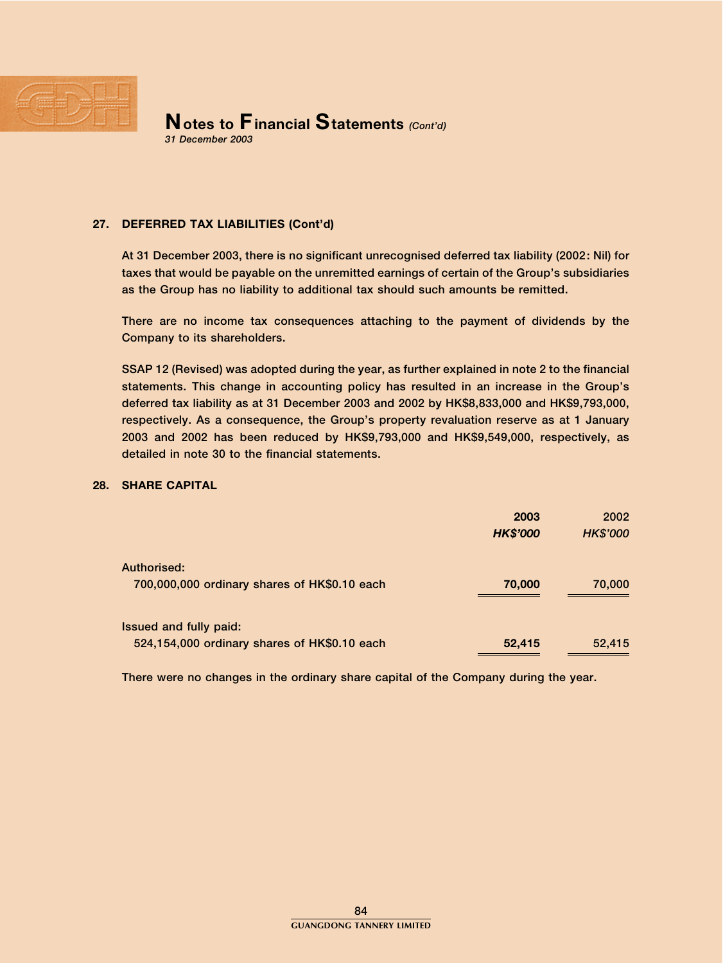

## 27. DEFERRED TAX LIABILITIES (Cont'd)

At 31 December 2003, there is no significant unrecognised deferred tax liability (2002: Nil) for taxes that would be payable on the unremitted earnings of certain of the Group's subsidiaries as the Group has no liability to additional tax should such amounts be remitted.

There are no income tax consequences attaching to the payment of dividends by the Company to its shareholders.

SSAP 12 (Revised) was adopted during the year, as further explained in note 2 to the financial statements. This change in accounting policy has resulted in an increase in the Group's deferred tax liability as at 31 December 2003 and 2002 by HK\$8,833,000 and HK\$9,793,000, respectively. As a consequence, the Group's property revaluation reserve as at 1 January 2003 and 2002 has been reduced by HK\$9,793,000 and HK\$9,549,000, respectively, as detailed in note 30 to the financial statements.

#### 28. SHARE CAPITAL

|                                              | 2003<br><b>HK\$'000</b> | 2002<br><b>HK\$'000</b> |
|----------------------------------------------|-------------------------|-------------------------|
| Authorised:                                  |                         |                         |
| 700,000,000 ordinary shares of HK\$0.10 each | 70,000                  | 70,000                  |
| <b>Issued and fully paid:</b>                |                         |                         |
| 524,154,000 ordinary shares of HK\$0.10 each | 52,415                  | 52,415                  |

There were no changes in the ordinary share capital of the Company during the year.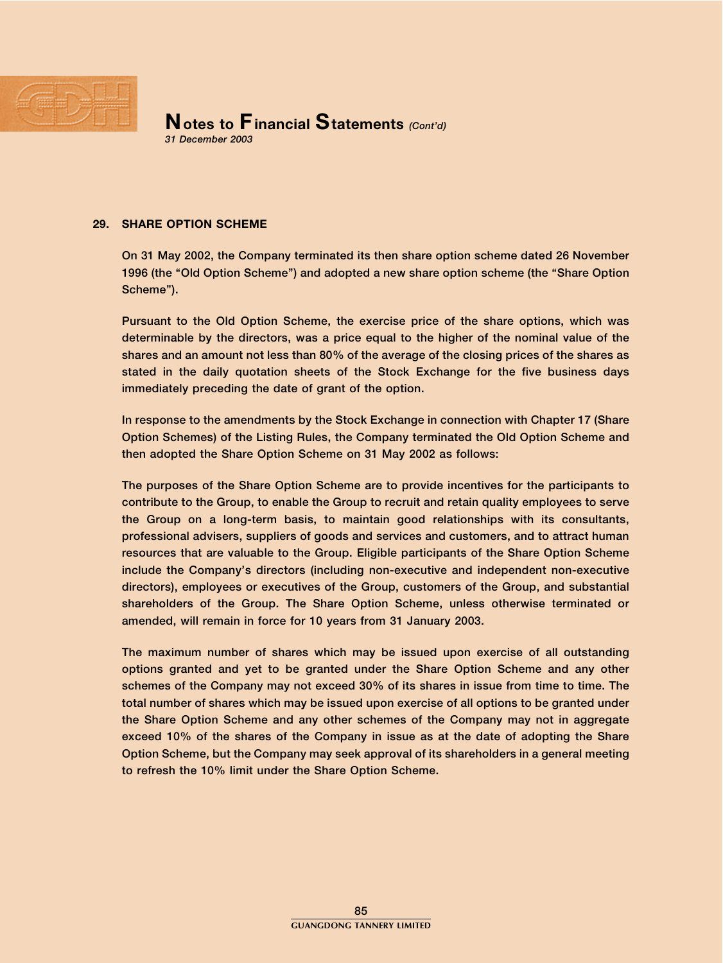

#### 29. SHARE OPTION SCHEME

On 31 May 2002, the Company terminated its then share option scheme dated 26 November 1996 (the "Old Option Scheme") and adopted a new share option scheme (the "Share Option Scheme'').

Pursuant to the Old Option Scheme, the exercise price of the share options, which was determinable by the directors, was a price equal to the higher of the nominal value of the shares and an amount not less than 80% of the average of the closing prices of the shares as stated in the daily quotation sheets of the Stock Exchange for the five business days immediately preceding the date of grant of the option.

In response to the amendments by the Stock Exchange in connection with Chapter 17 (Share Option Schemes) of the Listing Rules, the Company terminated the Old Option Scheme and then adopted the Share Option Scheme on 31 May 2002 as follows:

The purposes of the Share Option Scheme are to provide incentives for the participants to contribute to the Group, to enable the Group to recruit and retain quality employees to serve the Group on a long-term basis, to maintain good relationships with its consultants, professional advisers, suppliers of goods and services and customers, and to attract human resources that are valuable to the Group. Eligible participants of the Share Option Scheme include the Company's directors (including non-executive and independent non-executive directors), employees or executives of the Group, customers of the Group, and substantial shareholders of the Group. The Share Option Scheme, unless otherwise terminated or amended, will remain in force for 10 years from 31 January 2003.

The maximum number of shares which may be issued upon exercise of all outstanding options granted and yet to be granted under the Share Option Scheme and any other schemes of the Company may not exceed 30% of its shares in issue from time to time. The total number of shares which may be issued upon exercise of all options to be granted under the Share Option Scheme and any other schemes of the Company may not in aggregate exceed 10% of the shares of the Company in issue as at the date of adopting the Share Option Scheme, but the Company may seek approval of its shareholders in a general meeting to refresh the 10% limit under the Share Option Scheme.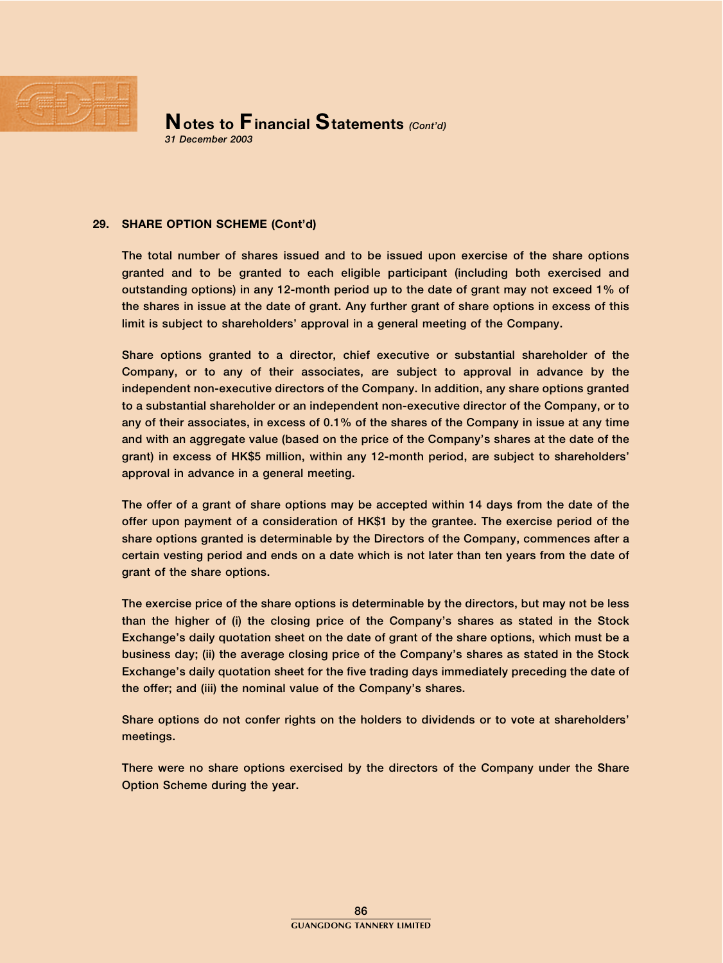

29. SHARE OPTION SCHEME (Cont'd)

The total number of shares issued and to be issued upon exercise of the share options granted and to be granted to each eligible participant (including both exercised and outstanding options) in any 12-month period up to the date of grant may not exceed 1% of the shares in issue at the date of grant. Any further grant of share options in excess of this limit is subject to shareholders' approval in a general meeting of the Company.

Share options granted to a director, chief executive or substantial shareholder of the Company, or to any of their associates, are subject to approval in advance by the independent non-executive directors of the Company. In addition, any share options granted to a substantial shareholder or an independent non-executive director of the Company, or to any of their associates, in excess of 0.1% of the shares of the Company in issue at any time and with an aggregate value (based on the price of the Company's shares at the date of the grant) in excess of HK\$5 million, within any 12-month period, are subject to shareholders' approval in advance in a general meeting.

The offer of a grant of share options may be accepted within 14 days from the date of the offer upon payment of a consideration of HK\$1 by the grantee. The exercise period of the share options granted is determinable by the Directors of the Company, commences after a certain vesting period and ends on a date which is not later than ten years from the date of grant of the share options.

The exercise price of the share options is determinable by the directors, but may not be less than the higher of (i) the closing price of the Company's shares as stated in the Stock Exchange's daily quotation sheet on the date of grant of the share options, which must be a business day; (ii) the average closing price of the Company's shares as stated in the Stock Exchange's daily quotation sheet for the five trading days immediately preceding the date of the offer; and (iii) the nominal value of the Company's shares.

Share options do not confer rights on the holders to dividends or to vote at shareholders' meetings.

There were no share options exercised by the directors of the Company under the Share Option Scheme during the year.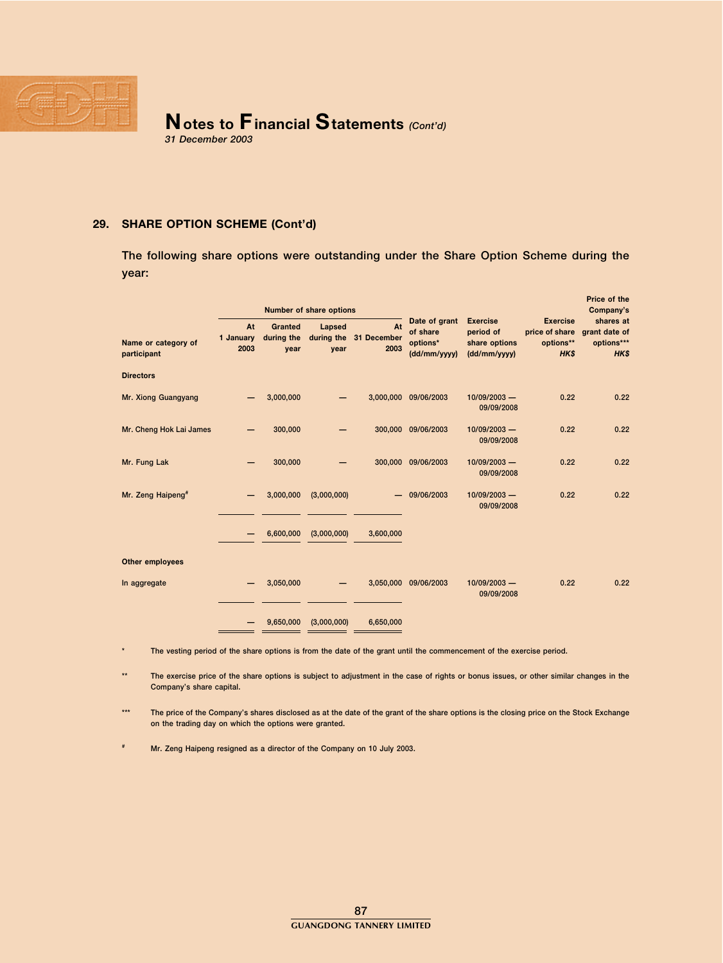

31 December 2003

#### 29. SHARE OPTION SCHEME (Cont'd)

The following share options were outstanding under the Share Option Scheme during the year:

|                                    | <b>Number of share options</b> |                               |                |                                      |                                                       |                                                               | Price of the<br>Company's                              |                                                  |  |
|------------------------------------|--------------------------------|-------------------------------|----------------|--------------------------------------|-------------------------------------------------------|---------------------------------------------------------------|--------------------------------------------------------|--------------------------------------------------|--|
| Name or category of<br>participant | At<br>1 January<br>2003        | Granted<br>during the<br>year | Lapsed<br>year | At<br>during the 31 December<br>2003 | Date of grant<br>of share<br>options*<br>(dd/mm/yyyy) | <b>Exercise</b><br>period of<br>share options<br>(dd/mm/yyyy) | <b>Exercise</b><br>price of share<br>options**<br>HK\$ | shares at<br>grant date of<br>options***<br>HK\$ |  |
| <b>Directors</b>                   |                                |                               |                |                                      |                                                       |                                                               |                                                        |                                                  |  |
| Mr. Xiong Guangyang                |                                | 3,000,000                     |                | 3,000,000                            | 09/06/2003                                            | 10/09/2003 -<br>09/09/2008                                    | 0.22                                                   | 0.22                                             |  |
| Mr. Cheng Hok Lai James            |                                | 300,000                       |                |                                      | 300,000 09/06/2003                                    | 10/09/2003 -<br>09/09/2008                                    | 0.22                                                   | 0.22                                             |  |
| Mr. Fung Lak                       |                                | 300,000                       |                |                                      | 300,000 09/06/2003                                    | $10/09/2003 -$<br>09/09/2008                                  | 0.22                                                   | 0.22                                             |  |
| Mr. Zeng Haipeng <sup>#</sup>      |                                | 3,000,000                     | (3,000,000)    |                                      | 09/06/2003                                            | $10/09/2003 -$<br>09/09/2008                                  | 0.22                                                   | 0.22                                             |  |
|                                    |                                | 6,600,000                     | (3,000,000)    | 3,600,000                            |                                                       |                                                               |                                                        |                                                  |  |
| <b>Other employees</b>             |                                |                               |                |                                      |                                                       |                                                               |                                                        |                                                  |  |
| In aggregate                       |                                | 3,050,000                     |                |                                      | 3,050,000 09/06/2003                                  | $10/09/2003 -$<br>09/09/2008                                  | 0.22                                                   | 0.22                                             |  |
|                                    |                                | 9,650,000                     | (3,000,000)    | 6,650,000                            |                                                       |                                                               |                                                        |                                                  |  |

The vesting period of the share options is from the date of the grant until the commencement of the exercise period.

\*\* The exercise price of the share options is subject to adjustment in the case of rights or bonus issues, or other similar changes in the Company's share capital.

\*\*\* The price of the Company's shares disclosed as at the date of the grant of the share options is the closing price on the Stock Exchange on the trading day on which the options were granted.

# Mr. Zeng Haipeng resigned as a director of the Company on 10 July 2003.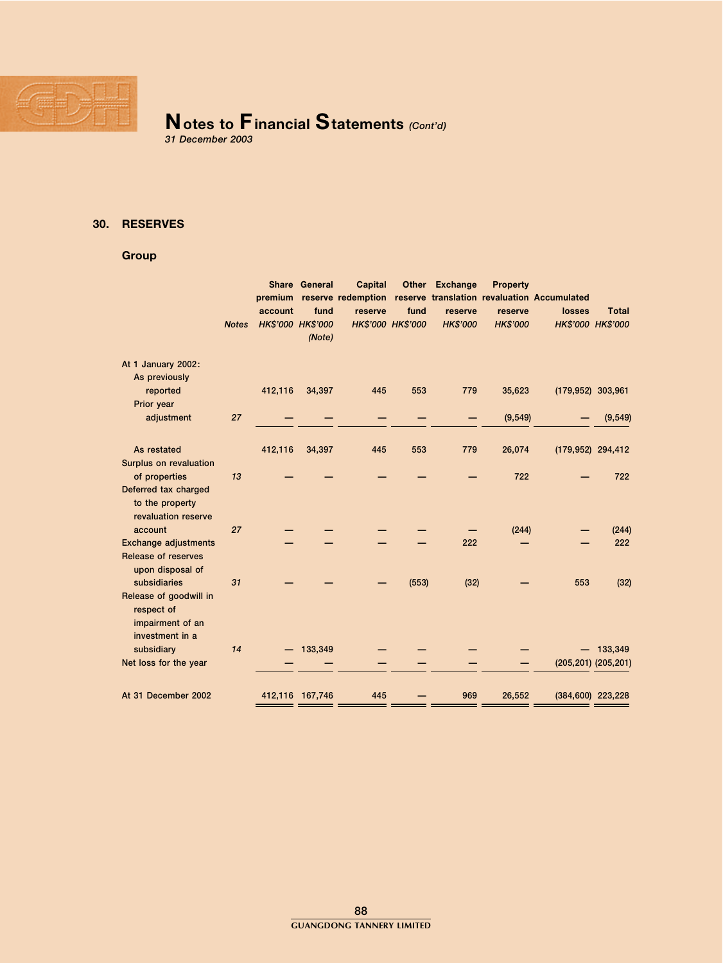

31 December 2003

## 30. RESERVES

# Group

|                                                                               |              |         | Share General               | <b>Capital</b> |                   | Other Exchange  | <b>Property</b> | premium reserve redemption reserve translation revaluation Accumulated |                           |
|-------------------------------------------------------------------------------|--------------|---------|-----------------------------|----------------|-------------------|-----------------|-----------------|------------------------------------------------------------------------|---------------------------|
|                                                                               |              | account | fund                        | reserve        | fund              | reserve         | reserve         | <b>losses</b>                                                          | <b>Total</b>              |
|                                                                               | <b>Notes</b> |         | HK\$'000 HK\$'000<br>(Note) |                | HK\$'000 HK\$'000 | <b>HK\$'000</b> | <b>HK\$'000</b> | HK\$'000 HK\$'000                                                      |                           |
| At 1 January 2002:<br>As previously                                           |              |         |                             |                |                   |                 |                 |                                                                        |                           |
| reported<br>Prior year                                                        |              | 412,116 | 34,397                      | 445            | 553               | 779             | 35,623          | (179,952) 303,961                                                      |                           |
| adjustment                                                                    | 27           |         |                             |                |                   |                 | (9,549)         |                                                                        | (9, 549)                  |
| As restated                                                                   |              | 412,116 | 34,397                      | 445            | 553               | 779             | 26,074          | (179,952) 294,412                                                      |                           |
| Surplus on revaluation<br>of properties<br>Deferred tax charged               | 13           |         |                             |                |                   |                 | 722             |                                                                        | 722                       |
| to the property<br>revaluation reserve                                        |              |         |                             |                |                   |                 |                 |                                                                        |                           |
| account                                                                       | 27           |         |                             |                |                   |                 | (244)           |                                                                        | (244)                     |
| <b>Exchange adjustments</b><br><b>Release of reserves</b><br>upon disposal of |              |         |                             |                |                   | 222             |                 |                                                                        | 222                       |
| subsidiaries<br>Release of goodwill in<br>respect of                          | 31           |         |                             |                | (553)             | (32)            |                 | 553                                                                    | (32)                      |
| impairment of an<br>investment in a                                           |              |         |                             |                |                   |                 |                 |                                                                        |                           |
| subsidiary                                                                    | 14           |         | 133,349                     |                |                   |                 |                 |                                                                        | 133,349                   |
| Net loss for the year                                                         |              |         |                             |                |                   |                 |                 |                                                                        | $(205, 201)$ $(205, 201)$ |
| At 31 December 2002                                                           |              |         | 412,116 167,746             | 445            |                   | 969             | 26,552          | (384,600) 223,228                                                      |                           |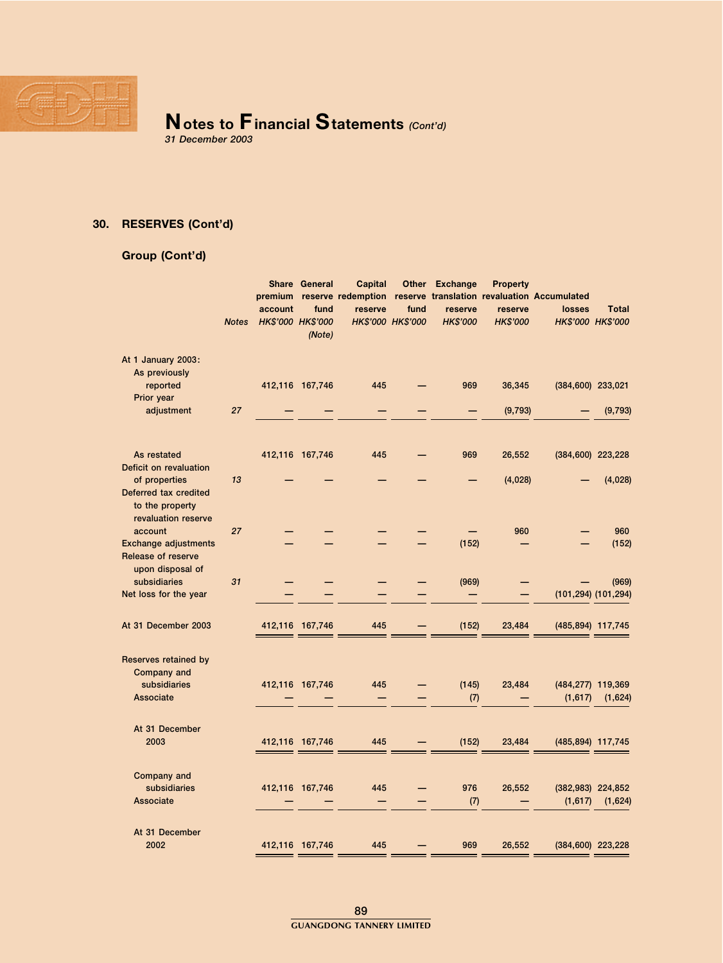

31 December 2003

# 30. RESERVES (Cont'd)

# Group (Cont'd)

|                                                                                  | <b>Notes</b> | premium<br>account<br>HK\$'000 HK\$'000 | Share General<br>fund<br>(Note) | <b>Capital</b><br>reserve redemption<br>reserve | fund<br>HK\$'000 HK\$'000 | Other Exchange<br>reserve<br><b>HK\$'000</b> | <b>Property</b><br>reserve<br><b>HK\$'000</b> | reserve translation revaluation Accumulated<br>losses | <b>Total</b><br>HK\$'000 HK\$'000 |
|----------------------------------------------------------------------------------|--------------|-----------------------------------------|---------------------------------|-------------------------------------------------|---------------------------|----------------------------------------------|-----------------------------------------------|-------------------------------------------------------|-----------------------------------|
| At 1 January 2003:<br>As previously<br>reported                                  |              |                                         | 412,116 167,746                 | 445                                             |                           | 969                                          | 36,345                                        | (384,600) 233,021                                     |                                   |
| Prior year<br>adjustment                                                         | 27           |                                         |                                 |                                                 |                           |                                              | (9,793)                                       |                                                       | (9,793)                           |
| As restated<br>Deficit on revaluation                                            |              |                                         | 412,116 167,746                 | 445                                             |                           | 969                                          | 26,552                                        |                                                       | (384,600) 223,228                 |
| of properties<br>Deferred tax credited<br>to the property<br>revaluation reserve | 13           |                                         |                                 |                                                 |                           |                                              | (4,028)                                       |                                                       | (4,028)                           |
| account<br><b>Exchange adjustments</b><br><b>Release of reserve</b>              | 27           |                                         |                                 |                                                 |                           | (152)                                        | 960                                           |                                                       | 960<br>(152)                      |
| upon disposal of<br>subsidiaries<br>Net loss for the year                        | 31           |                                         |                                 |                                                 |                           | (969)                                        |                                               |                                                       | (969)<br>(101,294) (101,294)      |
| At 31 December 2003                                                              |              |                                         | 412,116 167,746                 | 445                                             |                           | (152)                                        | 23,484                                        |                                                       | (485,894) 117,745                 |
| Reserves retained by<br>Company and                                              |              |                                         |                                 |                                                 |                           |                                              |                                               |                                                       |                                   |
| subsidiaries<br>Associate                                                        |              |                                         | 412,116 167,746                 | 445                                             |                           | (145)<br>(7)                                 | 23,484                                        | (1,617)                                               | (484,277) 119,369<br>(1,624)      |
| At 31 December<br>2003                                                           |              |                                         | 412,116 167,746                 | 445                                             |                           | (152)                                        | 23,484                                        |                                                       | (485,894) 117,745                 |
| Company and<br>subsidiaries<br><b>Associate</b>                                  |              |                                         | 412,116 167,746                 | 445                                             |                           | 976<br>(7)                                   | 26,552                                        | (1,617)                                               | (382,983) 224,852<br>(1,624)      |
| At 31 December<br>2002                                                           |              |                                         | 412,116 167,746                 | 445                                             |                           | 969                                          | 26,552                                        |                                                       | (384,600) 223,228                 |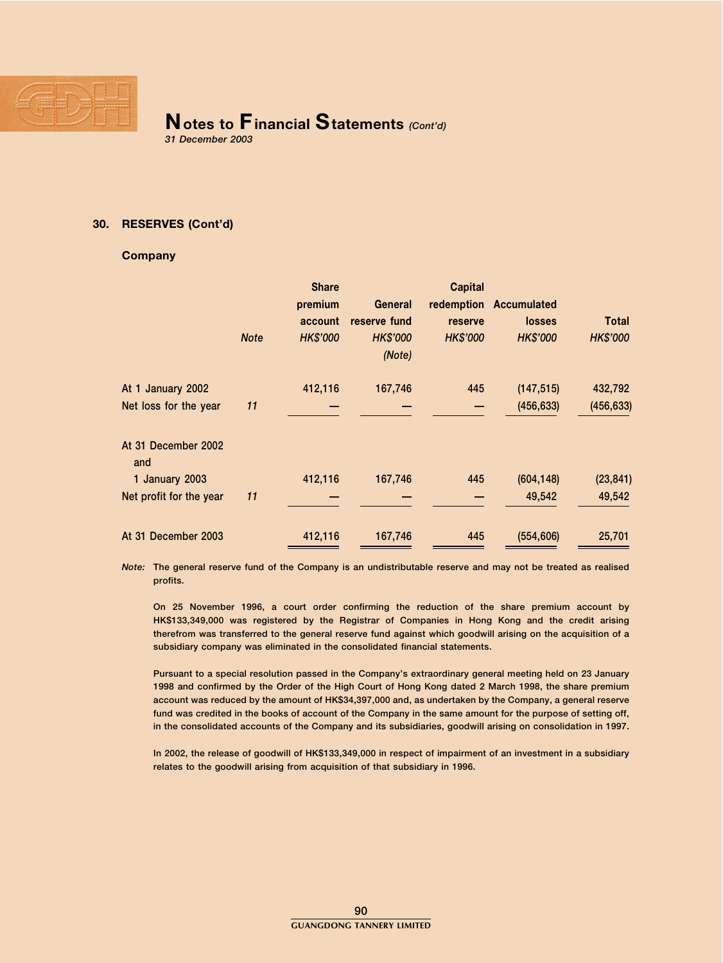

### 30. RESERVES (Cont'd)

#### Company

|                                              | <b>Note</b> | <b>Share</b><br>premium<br>account<br>HK\$'000 | General<br>reserve fund<br>HK\$'000<br>(Note) | <b>Capital</b><br>reserve<br><b>HK\$'000</b> | redemption Accumulated<br><b>losses</b><br>HK\$'000 | <b>Total</b><br><b>HK\$'000</b> |
|----------------------------------------------|-------------|------------------------------------------------|-----------------------------------------------|----------------------------------------------|-----------------------------------------------------|---------------------------------|
| At 1 January 2002<br>Net loss for the year   | 11          | 412,116                                        | 167,746                                       | 445                                          | (147, 515)<br>(456, 633)                            | 432,792<br>(456, 633)           |
| At 31 December 2002<br>and<br>1 January 2003 |             | 412,116                                        | 167,746                                       | 445                                          | (604, 148)                                          | (23, 841)                       |
| Net profit for the year                      | 11          |                                                |                                               |                                              | 49,542                                              | 49,542                          |
| At 31 December 2003                          |             | 412,116                                        | 167,746                                       | 445                                          | (554, 606)                                          | 25,701                          |

Note: The general reserve fund of the Company is an undistributable reserve and may not be treated as realised profits.

On 25 November 1996, a court order confirming the reduction of the share premium account by HK\$133,349,000 was registered by the Registrar of Companies in Hong Kong and the credit arising therefrom was transferred to the general reserve fund against which goodwill arising on the acquisition of a subsidiary company was eliminated in the consolidated financial statements.

Pursuant to a special resolution passed in the Company's extraordinary general meeting held on 23 January 1998 and confirmed by the Order of the High Court of Hong Kong dated 2 March 1998, the share premium account was reduced by the amount of HK\$34,397,000 and, as undertaken by the Company, a general reserve fund was credited in the books of account of the Company in the same amount for the purpose of setting off, in the consolidated accounts of the Company and its subsidiaries, goodwill arising on consolidation in 1997.

In 2002, the release of goodwill of HK\$133,349,000 in respect of impairment of an investment in a subsidiary relates to the goodwill arising from acquisition of that subsidiary in 1996.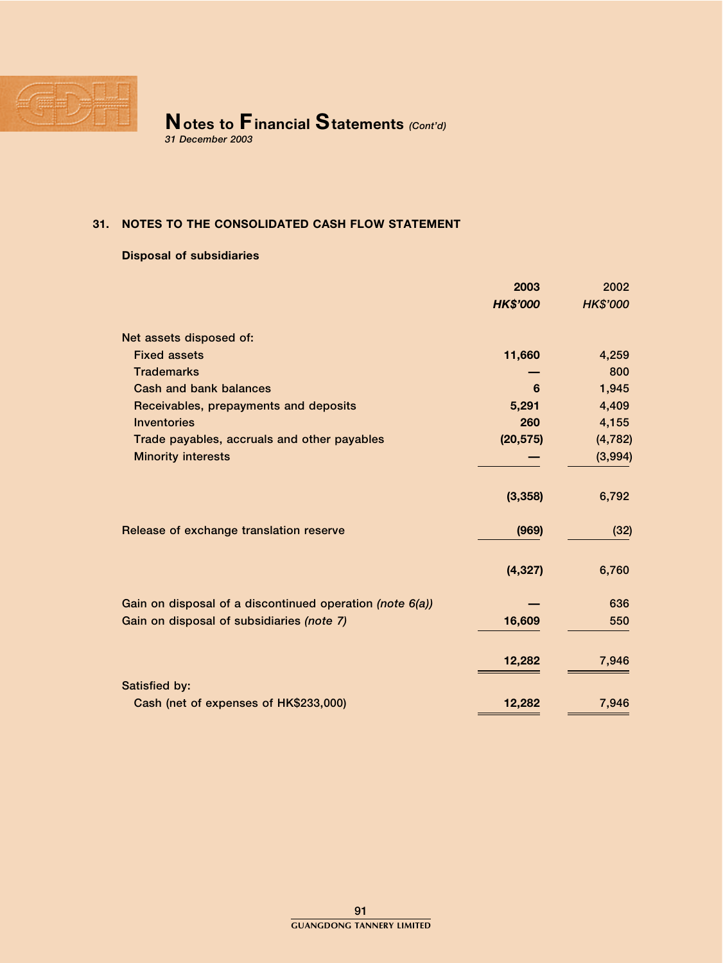

## 31. NOTES TO THE CONSOLIDATED CASH FLOW STATEMENT

## Disposal of subsidiaries

|                                                          | 2003            | 2002            |
|----------------------------------------------------------|-----------------|-----------------|
|                                                          | <b>HK\$'000</b> | <b>HK\$'000</b> |
| Net assets disposed of:                                  |                 |                 |
| <b>Fixed assets</b>                                      | 11,660          | 4,259           |
| <b>Trademarks</b>                                        |                 | 800             |
| <b>Cash and bank balances</b>                            | 6               | 1,945           |
| Receivables, prepayments and deposits                    | 5,291           | 4,409           |
| <b>Inventories</b>                                       | 260             | 4,155           |
| Trade payables, accruals and other payables              | (20, 575)       | (4, 782)        |
| <b>Minority interests</b>                                |                 | (3,994)         |
|                                                          | (3, 358)        | 6,792           |
| Release of exchange translation reserve                  | (969)           | (32)            |
|                                                          | (4, 327)        | 6,760           |
| Gain on disposal of a discontinued operation (note 6(a)) |                 | 636             |
| Gain on disposal of subsidiaries (note 7)                | 16,609          | 550             |
|                                                          | 12,282          | 7,946           |
| <b>Satisfied by:</b>                                     |                 |                 |
| Cash (net of expenses of HK\$233,000)                    | 12,282          | 7,946           |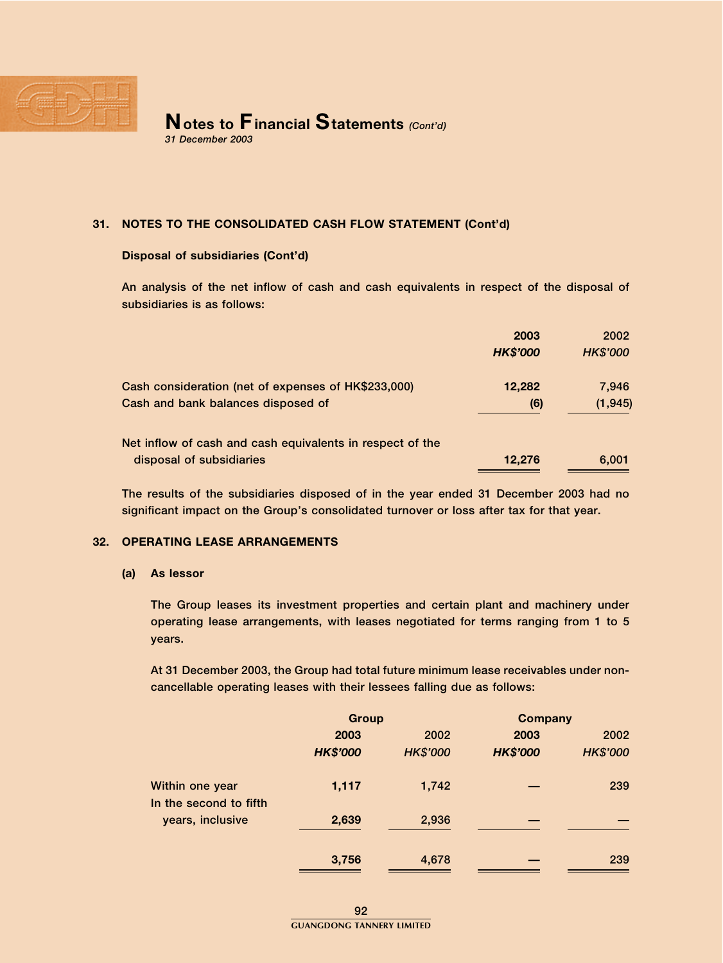

## 31. NOTES TO THE CONSOLIDATED CASH FLOW STATEMENT (Cont'd)

### Disposal of subsidiaries (Cont'd)

An analysis of the net inflow of cash and cash equivalents in respect of the disposal of subsidiaries is as follows:

|                                                           | 2003<br><b>HK\$'000</b> | 2002<br><b>HK\$'000</b> |
|-----------------------------------------------------------|-------------------------|-------------------------|
| Cash consideration (net of expenses of HK\$233,000)       | 12,282                  | 7,946                   |
| Cash and bank balances disposed of                        | (6)                     | (1, 945)                |
| Net inflow of cash and cash equivalents in respect of the |                         |                         |
| disposal of subsidiaries                                  | 12,276                  | 6,001                   |

The results of the subsidiaries disposed of in the year ended 31 December 2003 had no significant impact on the Group's consolidated turnover or loss after tax for that year.

### 32. OPERATING LEASE ARRANGEMENTS

#### (a) As lessor

The Group leases its investment properties and certain plant and machinery under operating lease arrangements, with leases negotiated for terms ranging from 1 to 5 years.

At 31 December 2003, the Group had total future minimum lease receivables under noncancellable operating leases with their lessees falling due as follows:

|                                           | Group           |                 | <b>Company</b>  |                 |  |
|-------------------------------------------|-----------------|-----------------|-----------------|-----------------|--|
|                                           | 2003            | 2002            | 2003            | 2002            |  |
|                                           | <b>HK\$'000</b> | <b>HK\$'000</b> | <b>HK\$'000</b> | <b>HK\$'000</b> |  |
| Within one year<br>In the second to fifth | 1,117           | 1,742           |                 | 239             |  |
| years, inclusive                          | 2,639           | 2,936           |                 |                 |  |
|                                           | 3,756           | 4,678           |                 | 239             |  |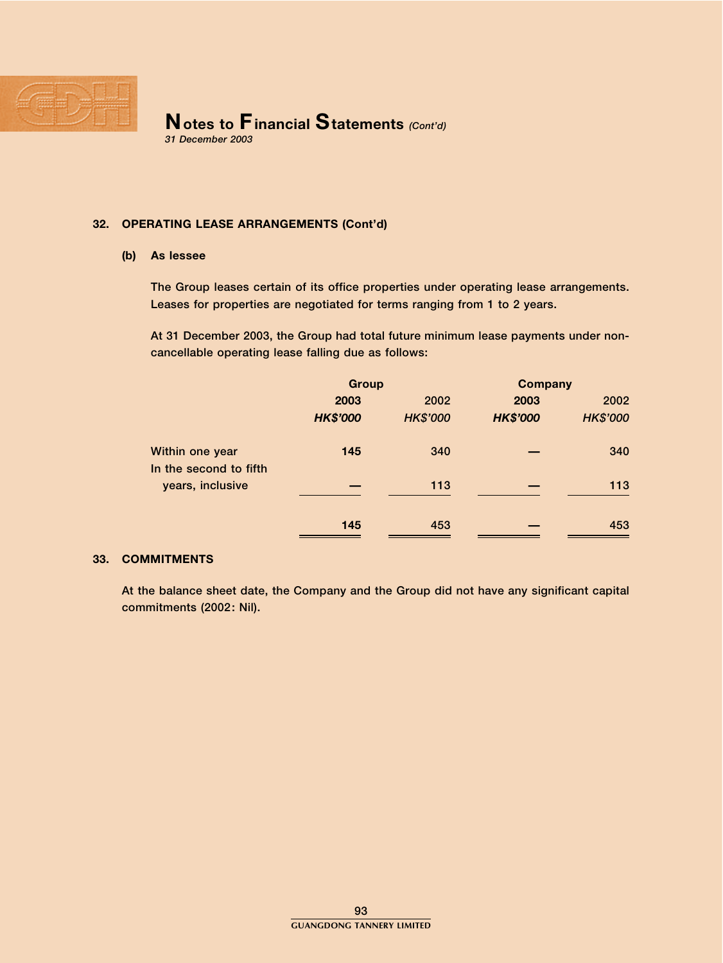

## 32. OPERATING LEASE ARRANGEMENTS (Cont'd)

## (b) As lessee

The Group leases certain of its office properties under operating lease arrangements. Leases for properties are negotiated for terms ranging from 1 to 2 years.

At 31 December 2003, the Group had total future minimum lease payments under noncancellable operating lease falling due as follows:

|                                           | <b>Group</b>    |                 | <b>Company</b>  |                 |  |
|-------------------------------------------|-----------------|-----------------|-----------------|-----------------|--|
|                                           | 2003            | 2002            | 2003            | 2002            |  |
|                                           | <b>HK\$'000</b> | <b>HK\$'000</b> | <b>HK\$'000</b> | <b>HK\$'000</b> |  |
| Within one year<br>In the second to fifth | 145             | 340             |                 | 340             |  |
| years, inclusive                          |                 | 113             |                 | 113             |  |
|                                           | 145             | 453             |                 | 453             |  |

### 33. COMMITMENTS

At the balance sheet date, the Company and the Group did not have any significant capital commitments (2002: Nil).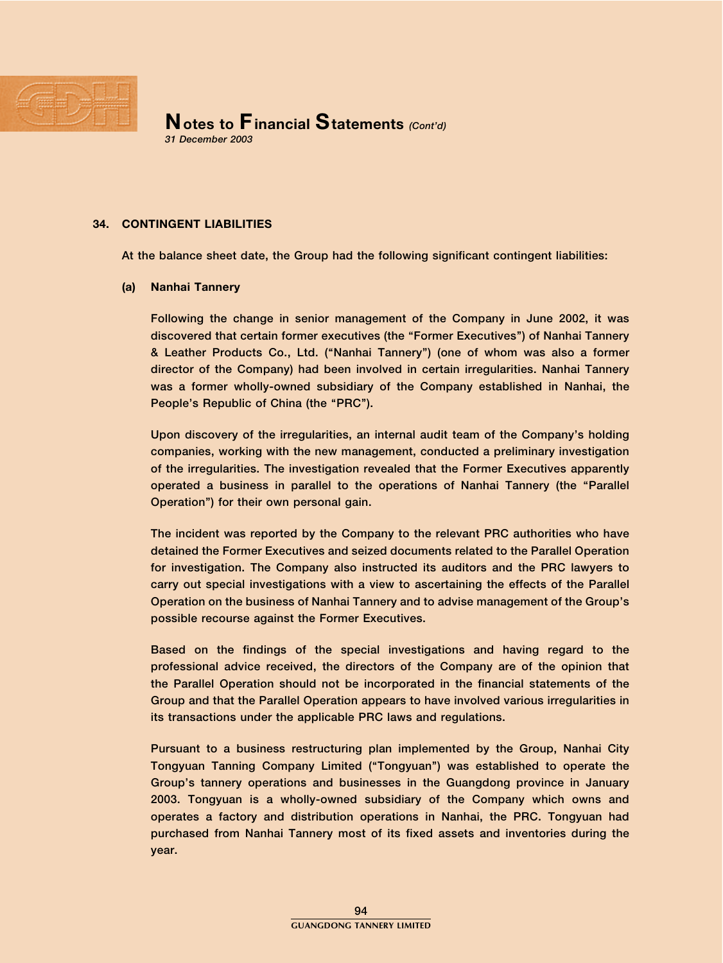

#### 34. CONTINGENT LIABILITIES

At the balance sheet date, the Group had the following significant contingent liabilities:

#### (a) Nanhai Tannery

Following the change in senior management of the Company in June 2002, it was discovered that certain former executives (the "Former Executives") of Nanhai Tannery & Leather Products Co., Ltd. (''Nanhai Tannery'') (one of whom was also a former director of the Company) had been involved in certain irregularities. Nanhai Tannery was a former wholly-owned subsidiary of the Company established in Nanhai, the People's Republic of China (the "PRC").

Upon discovery of the irregularities, an internal audit team of the Company's holding companies, working with the new management, conducted a preliminary investigation of the irregularities. The investigation revealed that the Former Executives apparently operated a business in parallel to the operations of Nanhai Tannery (the "Parallel Operation'') for their own personal gain.

The incident was reported by the Company to the relevant PRC authorities who have detained the Former Executives and seized documents related to the Parallel Operation for investigation. The Company also instructed its auditors and the PRC lawyers to carry out special investigations with a view to ascertaining the effects of the Parallel Operation on the business of Nanhai Tannery and to advise management of the Group's possible recourse against the Former Executives.

Based on the findings of the special investigations and having regard to the professional advice received, the directors of the Company are of the opinion that the Parallel Operation should not be incorporated in the financial statements of the Group and that the Parallel Operation appears to have involved various irregularities in its transactions under the applicable PRC laws and regulations.

Pursuant to a business restructuring plan implemented by the Group, Nanhai City Tongyuan Tanning Company Limited (''Tongyuan'') was established to operate the Group's tannery operations and businesses in the Guangdong province in January 2003. Tongyuan is a wholly-owned subsidiary of the Company which owns and operates a factory and distribution operations in Nanhai, the PRC. Tongyuan had purchased from Nanhai Tannery most of its fixed assets and inventories during the year.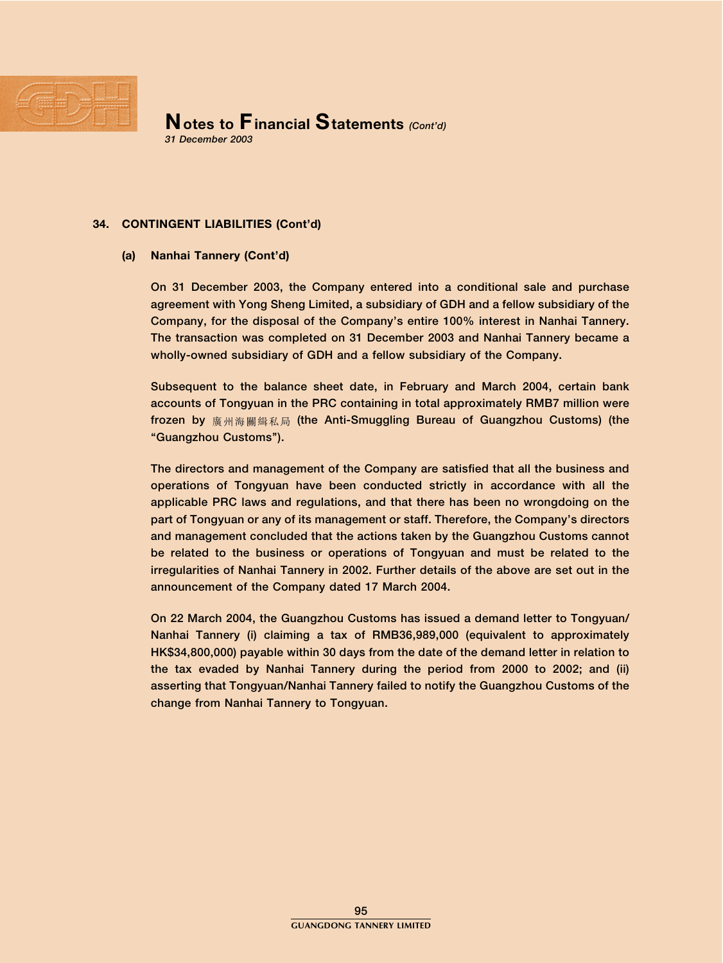

#### 34. CONTINGENT LIABILITIES (Cont'd)

#### (a) Nanhai Tannery (Cont'd)

On 31 December 2003, the Company entered into a conditional sale and purchase agreement with Yong Sheng Limited, a subsidiary of GDH and a fellow subsidiary of the Company, for the disposal of the Company's entire 100% interest in Nanhai Tannery. The transaction was completed on 31 December 2003 and Nanhai Tannery became a wholly-owned subsidiary of GDH and a fellow subsidiary of the Company.

Subsequent to the balance sheet date, in February and March 2004, certain bank accounts of Tongyuan in the PRC containing in total approximately RMB7 million were frozen by 廣州海關緝私局 (the Anti-Smuggling Bureau of Guangzhou Customs) (the ''Guangzhou Customs'').

The directors and management of the Company are satisfied that all the business and operations of Tongyuan have been conducted strictly in accordance with all the applicable PRC laws and regulations, and that there has been no wrongdoing on the part of Tongyuan or any of its management or staff. Therefore, the Company's directors and management concluded that the actions taken by the Guangzhou Customs cannot be related to the business or operations of Tongyuan and must be related to the irregularities of Nanhai Tannery in 2002. Further details of the above are set out in the announcement of the Company dated 17 March 2004.

On 22 March 2004, the Guangzhou Customs has issued a demand letter to Tongyuan/ Nanhai Tannery (i) claiming a tax of RMB36,989,000 (equivalent to approximately HK\$34,800,000) payable within 30 days from the date of the demand letter in relation to the tax evaded by Nanhai Tannery during the period from 2000 to 2002; and (ii) asserting that Tongyuan/Nanhai Tannery failed to notify the Guangzhou Customs of the change from Nanhai Tannery to Tongyuan.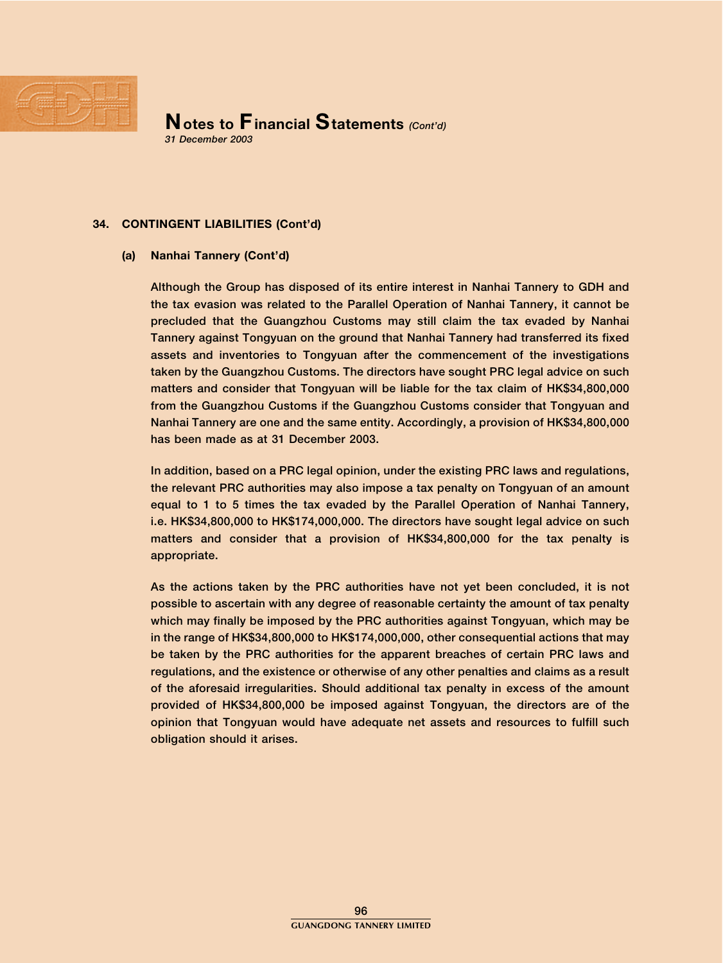

#### 34. CONTINGENT LIABILITIES (Cont'd)

#### (a) Nanhai Tannery (Cont'd)

Although the Group has disposed of its entire interest in Nanhai Tannery to GDH and the tax evasion was related to the Parallel Operation of Nanhai Tannery, it cannot be precluded that the Guangzhou Customs may still claim the tax evaded by Nanhai Tannery against Tongyuan on the ground that Nanhai Tannery had transferred its fixed assets and inventories to Tongyuan after the commencement of the investigations taken by the Guangzhou Customs. The directors have sought PRC legal advice on such matters and consider that Tongyuan will be liable for the tax claim of HK\$34,800,000 from the Guangzhou Customs if the Guangzhou Customs consider that Tongyuan and Nanhai Tannery are one and the same entity. Accordingly, a provision of HK\$34,800,000 has been made as at 31 December 2003.

In addition, based on a PRC legal opinion, under the existing PRC laws and regulations, the relevant PRC authorities may also impose a tax penalty on Tongyuan of an amount equal to 1 to 5 times the tax evaded by the Parallel Operation of Nanhai Tannery, i.e. HK\$34,800,000 to HK\$174,000,000. The directors have sought legal advice on such matters and consider that a provision of HK\$34,800,000 for the tax penalty is appropriate.

As the actions taken by the PRC authorities have not yet been concluded, it is not possible to ascertain with any degree of reasonable certainty the amount of tax penalty which may finally be imposed by the PRC authorities against Tongyuan, which may be in the range of HK\$34,800,000 to HK\$174,000,000, other consequential actions that may be taken by the PRC authorities for the apparent breaches of certain PRC laws and regulations, and the existence or otherwise of any other penalties and claims as a result of the aforesaid irregularities. Should additional tax penalty in excess of the amount provided of HK\$34,800,000 be imposed against Tongyuan, the directors are of the opinion that Tongyuan would have adequate net assets and resources to fulfill such obligation should it arises.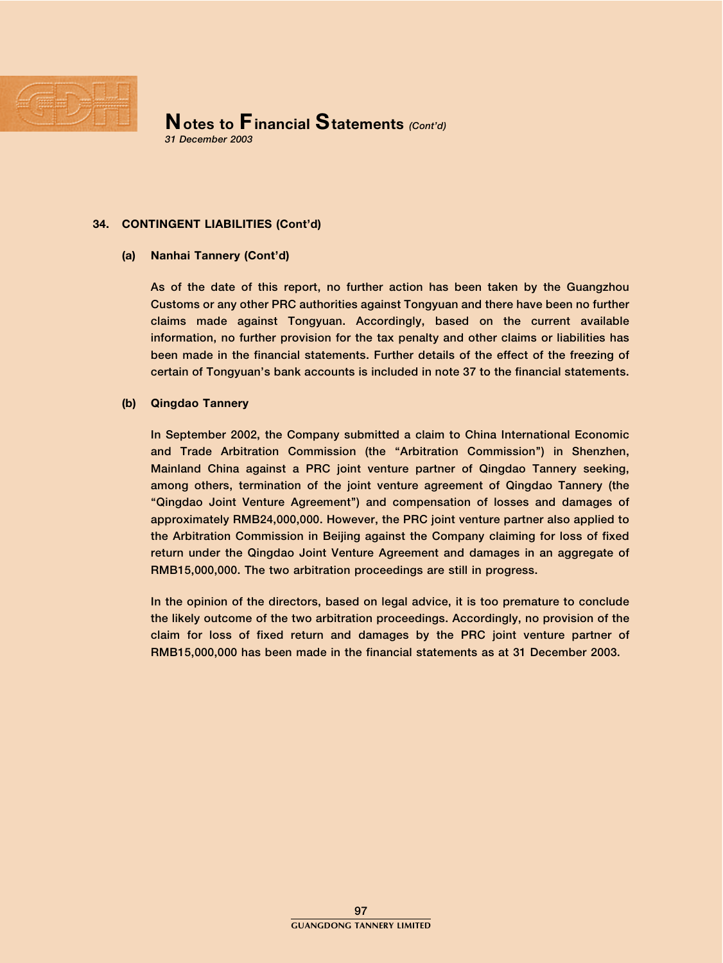

#### 34. CONTINGENT LIABILITIES (Cont'd)

#### (a) Nanhai Tannery (Cont'd)

As of the date of this report, no further action has been taken by the Guangzhou Customs or any other PRC authorities against Tongyuan and there have been no further claims made against Tongyuan. Accordingly, based on the current available information, no further provision for the tax penalty and other claims or liabilities has been made in the financial statements. Further details of the effect of the freezing of certain of Tongyuan's bank accounts is included in note 37 to the financial statements.

#### (b) Qingdao Tannery

In September 2002, the Company submitted a claim to China International Economic and Trade Arbitration Commission (the ''Arbitration Commission'') in Shenzhen, Mainland China against a PRC joint venture partner of Qingdao Tannery seeking, among others, termination of the joint venture agreement of Qingdao Tannery (the ''Qingdao Joint Venture Agreement'') and compensation of losses and damages of approximately RMB24,000,000. However, the PRC joint venture partner also applied to the Arbitration Commission in Beijing against the Company claiming for loss of fixed return under the Qingdao Joint Venture Agreement and damages in an aggregate of RMB15,000,000. The two arbitration proceedings are still in progress.

In the opinion of the directors, based on legal advice, it is too premature to conclude the likely outcome of the two arbitration proceedings. Accordingly, no provision of the claim for loss of fixed return and damages by the PRC joint venture partner of RMB15,000,000 has been made in the financial statements as at 31 December 2003.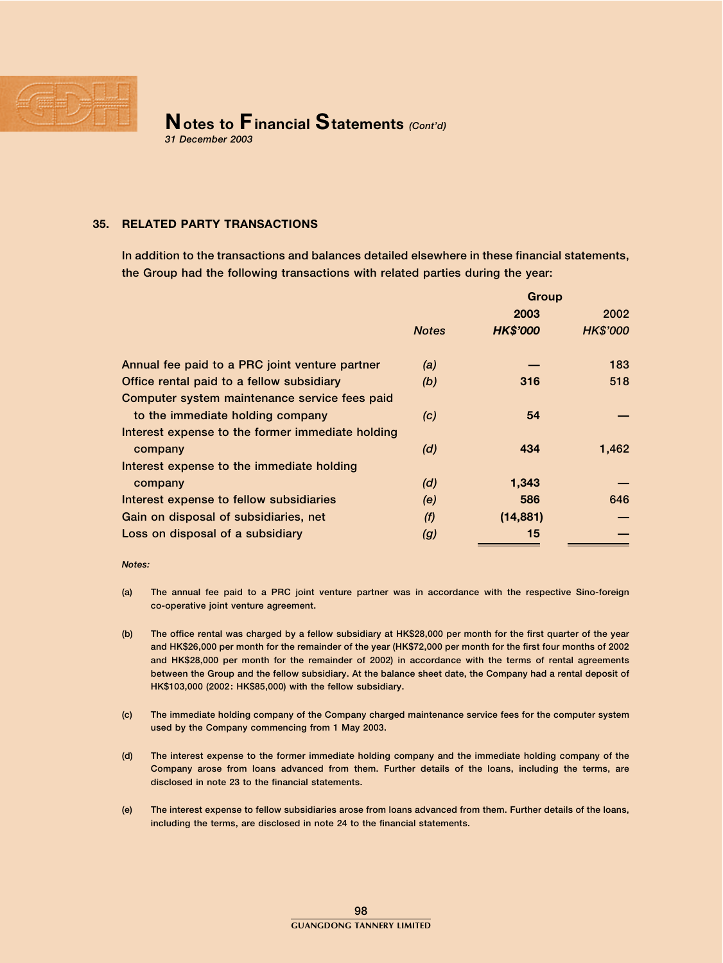

### 35. RELATED PARTY TRANSACTIONS

In addition to the transactions and balances detailed elsewhere in these financial statements, the Group had the following transactions with related parties during the year:

|                                                  | <b>Group</b> |                 |                 |
|--------------------------------------------------|--------------|-----------------|-----------------|
|                                                  |              | 2003            | 2002            |
|                                                  | <b>Notes</b> | <b>HK\$'000</b> | <b>HK\$'000</b> |
| Annual fee paid to a PRC joint venture partner   | (a)          |                 | 183             |
| Office rental paid to a fellow subsidiary        | (b)          | 316             | 518             |
| Computer system maintenance service fees paid    |              |                 |                 |
| to the immediate holding company                 | (c)          | 54              |                 |
| Interest expense to the former immediate holding |              |                 |                 |
| company                                          | (d)          | 434             | 1,462           |
| Interest expense to the immediate holding        |              |                 |                 |
| company                                          | (d)          | 1,343           |                 |
| Interest expense to fellow subsidiaries          | (e)          | 586             | 646             |
| Gain on disposal of subsidiaries, net            | (f)          | (14, 881)       |                 |
| Loss on disposal of a subsidiary                 | (g)          | 15              |                 |

#### Notes:

- (a) The annual fee paid to a PRC joint venture partner was in accordance with the respective Sino-foreign co-operative joint venture agreement.
- (b) The office rental was charged by a fellow subsidiary at HK\$28,000 per month for the first quarter of the year and HK\$26,000 per month for the remainder of the year (HK\$72,000 per month for the first four months of 2002 and HK\$28,000 per month for the remainder of 2002) in accordance with the terms of rental agreements between the Group and the fellow subsidiary. At the balance sheet date, the Company had a rental deposit of HK\$103,000 (2002: HK\$85,000) with the fellow subsidiary.
- (c) The immediate holding company of the Company charged maintenance service fees for the computer system used by the Company commencing from 1 May 2003.
- (d) The interest expense to the former immediate holding company and the immediate holding company of the Company arose from loans advanced from them. Further details of the loans, including the terms, are disclosed in note 23 to the financial statements.
- (e) The interest expense to fellow subsidiaries arose from loans advanced from them. Further details of the loans, including the terms, are disclosed in note 24 to the financial statements.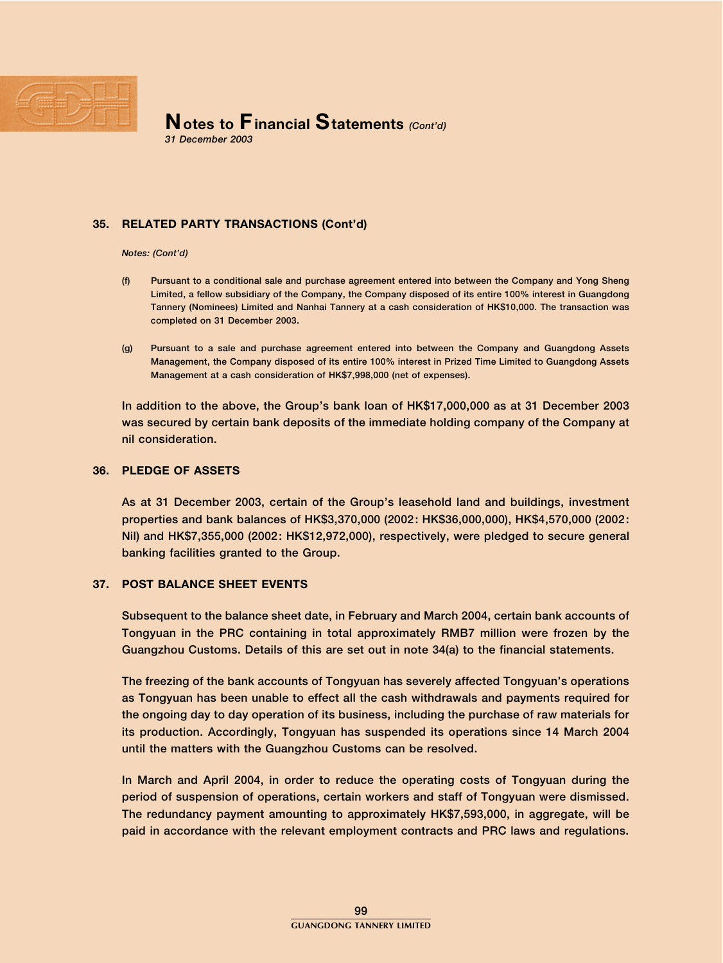

31 December 2003

## 35. RELATED PARTY TRANSACTIONS (Cont'd)

Notes: (Cont'd)

- (f) Pursuant to a conditional sale and purchase agreement entered into between the Company and Yong Sheng Limited, a fellow subsidiary of the Company, the Company disposed of its entire 100% interest in Guangdong Tannery (Nominees) Limited and Nanhai Tannery at a cash consideration of HK\$10,000. The transaction was completed on 31 December 2003.
- (g) Pursuant to a sale and purchase agreement entered into between the Company and Guangdong Assets Management, the Company disposed of its entire 100% interest in Prized Time Limited to Guangdong Assets Management at a cash consideration of HK\$7,998,000 (net of expenses).

In addition to the above, the Group's bank loan of HK\$17,000,000 as at 31 December 2003 was secured by certain bank deposits of the immediate holding company of the Company at nil consideration.

## 36. PLEDGE OF ASSETS

As at 31 December 2003, certain of the Group's leasehold land and buildings, investment properties and bank balances of HK\$3,370,000 (2002: HK\$36,000,000), HK\$4,570,000 (2002: Nil) and HK\$7,355,000 (2002: HK\$12,972,000), respectively, were pledged to secure general banking facilities granted to the Group.

### 37. POST BALANCE SHEET EVENTS

Subsequent to the balance sheet date, in February and March 2004, certain bank accounts of Tongyuan in the PRC containing in total approximately RMB7 million were frozen by the Guangzhou Customs. Details of this are set out in note 34(a) to the financial statements.

The freezing of the bank accounts of Tongyuan has severely affected Tongyuan's operations as Tongyuan has been unable to effect all the cash withdrawals and payments required for the ongoing day to day operation of its business, including the purchase of raw materials for its production. Accordingly, Tongyuan has suspended its operations since 14 March 2004 until the matters with the Guangzhou Customs can be resolved.

In March and April 2004, in order to reduce the operating costs of Tongyuan during the period of suspension of operations, certain workers and staff of Tongyuan were dismissed. The redundancy payment amounting to approximately HK\$7,593,000, in aggregate, will be paid in accordance with the relevant employment contracts and PRC laws and regulations.